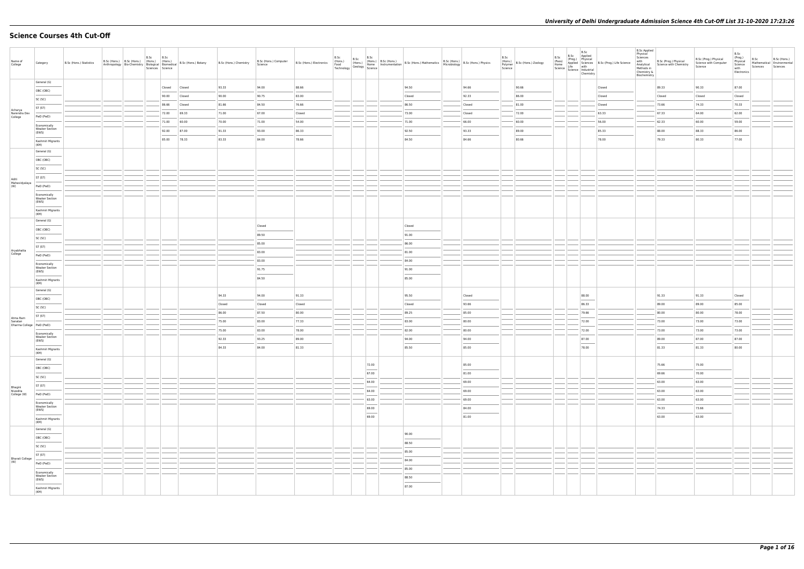# **Science Courses 4th Cut-Off**

| Name of<br>College                    | Category                                                                                                                                                                                                                                                                                                                                                                                                                                                                                                 | B.Sc (Hons.) Statistics | B.Sc (Hons.) B.Sc (Hons.) (Hons.) (Hons.)<br>Anthropology Bio-Chemistry Biological Biomedical | B.Sc | B.Sc<br>Sciences Science | B.Sc (Hons.) Botany | B.Sc (Hons.) Chemistry | B.Sc (Hons.) Computer<br>Science | B.Sc (Hons.) Electronics | B.Sc<br>(Hons.)<br>Food | B.Sc                              | Homs.) B.Sc (Hons.) B.Sc (Hons.) B.Sc (Hons.) B.Sc (Hons.) Mathematics B.Sc (Hons.) B.Sc (Hons.) Physics<br>Feod (Seology Science Instrumentation Science B.Sc (Hons.) Microbiology B.Sc (Hons.) Physics<br>Technology Science |                | B.Sc<br>Polymer<br>Science | (Hons.)<br>B.Sc (Hons.) Zoology |                | $\begin{array}{ll}\n\mathcal{L} & \text{B.Sc} \\ \mathcal{L} & \text{Appplied} \\ (\text{Prog.}) & \text{Prop, Physical} \\ \text{Home} & \text{Liffe Science} \\ \text{Science} & \text{Lifte} \\ \text{Science} & \text{Industrial} \\ \text{Chemistry} & \text{Chemistry}\n\end{array}$ | <b>B.Sc Applied</b><br>Physical<br>Sciences<br>with<br>Analytical<br>Methods in<br>Chemistry &<br>Biochemistry | B.Sc (Prog.) Physical<br>Science with Chemistry | B.Sc (Prog.) Physical<br>Science with Computer<br>Science | B.Sc<br>(Prog.)<br>Physical<br>Science<br>with<br>Electronics | B.Sc<br>Sciences | B.Sc (Hons.)<br>Mathematical Environmental<br>Sciences |
|---------------------------------------|----------------------------------------------------------------------------------------------------------------------------------------------------------------------------------------------------------------------------------------------------------------------------------------------------------------------------------------------------------------------------------------------------------------------------------------------------------------------------------------------------------|-------------------------|-----------------------------------------------------------------------------------------------|------|--------------------------|---------------------|------------------------|----------------------------------|--------------------------|-------------------------|-----------------------------------|--------------------------------------------------------------------------------------------------------------------------------------------------------------------------------------------------------------------------------|----------------|----------------------------|---------------------------------|----------------|--------------------------------------------------------------------------------------------------------------------------------------------------------------------------------------------------------------------------------------------------------------------------------------------|----------------------------------------------------------------------------------------------------------------|-------------------------------------------------|-----------------------------------------------------------|---------------------------------------------------------------|------------------|--------------------------------------------------------|
|                                       | General (G)                                                                                                                                                                                                                                                                                                                                                                                                                                                                                              |                         |                                                                                               |      | Closed                   | Closed              | 93.33                  | 94.00                            | 88.66                    |                         |                                   | 94.50                                                                                                                                                                                                                          | 94.66          |                            | 90.66                           |                | Closed                                                                                                                                                                                                                                                                                     |                                                                                                                | 89.33                                           | 90.33                                                     | 87.00                                                         |                  |                                                        |
|                                       | OBC (OBC)                                                                                                                                                                                                                                                                                                                                                                                                                                                                                                |                         |                                                                                               |      | 90.00                    | Closed              | 90.00                  | 90.75                            | 83.00                    |                         |                                   | Closed                                                                                                                                                                                                                         | 92.33          |                            | 86.00                           |                | Closed                                                                                                                                                                                                                                                                                     |                                                                                                                | Closed                                          | Closed                                                    | Closed                                                        |                  |                                                        |
|                                       | SC (SC)<br>ST (ST)                                                                                                                                                                                                                                                                                                                                                                                                                                                                                       |                         |                                                                                               |      | 86.66                    | Closed              | 81.66                  | 84.50                            | 76.66                    |                         |                                   | 86.50                                                                                                                                                                                                                          | Closed         |                            | 81.00                           |                | Closed                                                                                                                                                                                                                                                                                     |                                                                                                                | 73.66                                           | 74.33                                                     | 70.33                                                         |                  |                                                        |
| Acharya<br>Narendra Dev               |                                                                                                                                                                                                                                                                                                                                                                                                                                                                                                          |                         |                                                                                               |      | 72.00                    | 69.33               | 71.00                  | 67.00                            | Closed                   |                         |                                   | 73.00                                                                                                                                                                                                                          | Closed         |                            | 72.00                           |                | 63.33                                                                                                                                                                                                                                                                                      |                                                                                                                | 67.33                                           | 64.00                                                     | 62.00                                                         |                  |                                                        |
| College                               | PwD (PwD)                                                                                                                                                                                                                                                                                                                                                                                                                                                                                                |                         |                                                                                               |      | 71.00                    | 60.00               | 70.00                  | 71.00                            | 54.00                    |                         |                                   | 71.00                                                                                                                                                                                                                          | 66.00          |                            | 60.00                           |                | 56.00                                                                                                                                                                                                                                                                                      |                                                                                                                | 62.33                                           | 60.00                                                     | 59.00                                                         |                  |                                                        |
|                                       | Economically<br><b>Weaker Section</b><br>(EWS)                                                                                                                                                                                                                                                                                                                                                                                                                                                           |                         |                                                                                               |      | 92.00                    | 87.00               | 91.33                  | 93.00                            | 86.33                    |                         |                                   | 92.50                                                                                                                                                                                                                          | 93.33          |                            | 89.00                           |                | 85.33                                                                                                                                                                                                                                                                                      |                                                                                                                | 88.00                                           | 88.33                                                     | 86.00                                                         |                  |                                                        |
|                                       | Kashmiri Migrants                                                                                                                                                                                                                                                                                                                                                                                                                                                                                        |                         |                                                                                               |      | 85.00                    | 78.33               | 83.33                  | 84.00                            | 78.66                    |                         |                                   | 84.50                                                                                                                                                                                                                          | 84.66          |                            | 80.66                           |                | 78.00                                                                                                                                                                                                                                                                                      |                                                                                                                | 79.33                                           | 80.33                                                     | 77.00                                                         |                  |                                                        |
|                                       | (KM)<br>General (G)                                                                                                                                                                                                                                                                                                                                                                                                                                                                                      |                         |                                                                                               |      |                          |                     |                        |                                  |                          |                         |                                   |                                                                                                                                                                                                                                |                |                            |                                 |                |                                                                                                                                                                                                                                                                                            |                                                                                                                |                                                 |                                                           |                                                               |                  |                                                        |
|                                       | OBC (OBC)                                                                                                                                                                                                                                                                                                                                                                                                                                                                                                |                         |                                                                                               |      |                          |                     |                        |                                  |                          |                         |                                   |                                                                                                                                                                                                                                |                |                            |                                 |                |                                                                                                                                                                                                                                                                                            |                                                                                                                |                                                 |                                                           |                                                               |                  |                                                        |
|                                       | SC (SC)                                                                                                                                                                                                                                                                                                                                                                                                                                                                                                  |                         |                                                                                               |      |                          |                     |                        |                                  |                          |                         |                                   |                                                                                                                                                                                                                                |                |                            |                                 |                |                                                                                                                                                                                                                                                                                            |                                                                                                                |                                                 |                                                           |                                                               |                  |                                                        |
|                                       | ST (ST)                                                                                                                                                                                                                                                                                                                                                                                                                                                                                                  |                         |                                                                                               |      |                          |                     |                        |                                  |                          |                         |                                   |                                                                                                                                                                                                                                |                |                            |                                 |                |                                                                                                                                                                                                                                                                                            |                                                                                                                |                                                 |                                                           |                                                               |                  |                                                        |
| Aditi<br>Mahavidyalaya<br>(W)         | PwD (PwD)                                                                                                                                                                                                                                                                                                                                                                                                                                                                                                |                         |                                                                                               |      |                          |                     |                        |                                  |                          |                         |                                   |                                                                                                                                                                                                                                |                |                            |                                 |                |                                                                                                                                                                                                                                                                                            |                                                                                                                |                                                 |                                                           |                                                               |                  |                                                        |
|                                       | Economically                                                                                                                                                                                                                                                                                                                                                                                                                                                                                             |                         |                                                                                               |      |                          |                     |                        |                                  |                          |                         |                                   |                                                                                                                                                                                                                                |                |                            |                                 |                |                                                                                                                                                                                                                                                                                            |                                                                                                                |                                                 |                                                           |                                                               |                  |                                                        |
|                                       | <b>Weaker Section</b><br>(EWS)                                                                                                                                                                                                                                                                                                                                                                                                                                                                           |                         |                                                                                               |      |                          |                     |                        |                                  |                          |                         |                                   |                                                                                                                                                                                                                                |                |                            |                                 |                |                                                                                                                                                                                                                                                                                            |                                                                                                                |                                                 |                                                           |                                                               |                  |                                                        |
|                                       | Kashmiri Migrants<br>(KM)                                                                                                                                                                                                                                                                                                                                                                                                                                                                                |                         |                                                                                               |      |                          |                     |                        |                                  |                          |                         |                                   |                                                                                                                                                                                                                                |                |                            |                                 |                |                                                                                                                                                                                                                                                                                            |                                                                                                                |                                                 |                                                           |                                                               |                  |                                                        |
|                                       | General (G)                                                                                                                                                                                                                                                                                                                                                                                                                                                                                              |                         |                                                                                               |      |                          |                     |                        | Closed                           |                          |                         |                                   | Closed                                                                                                                                                                                                                         |                |                            |                                 |                |                                                                                                                                                                                                                                                                                            |                                                                                                                |                                                 |                                                           |                                                               |                  |                                                        |
|                                       | OBC (OBC)                                                                                                                                                                                                                                                                                                                                                                                                                                                                                                |                         |                                                                                               |      |                          |                     |                        | 89.50                            |                          |                         |                                   | 91.00                                                                                                                                                                                                                          |                |                            |                                 |                |                                                                                                                                                                                                                                                                                            |                                                                                                                |                                                 |                                                           |                                                               |                  |                                                        |
|                                       | SC (SC)                                                                                                                                                                                                                                                                                                                                                                                                                                                                                                  |                         |                                                                                               |      |                          |                     |                        | 85.00                            |                          |                         |                                   | 86.00                                                                                                                                                                                                                          |                |                            |                                 |                |                                                                                                                                                                                                                                                                                            |                                                                                                                |                                                 |                                                           |                                                               |                  |                                                        |
| Aryabhatta<br>College                 | ST (ST)                                                                                                                                                                                                                                                                                                                                                                                                                                                                                                  |                         |                                                                                               |      |                          |                     |                        | 83.00                            |                          |                         |                                   | 81.00                                                                                                                                                                                                                          |                |                            |                                 |                |                                                                                                                                                                                                                                                                                            |                                                                                                                |                                                 |                                                           |                                                               |                  |                                                        |
|                                       | PwD (PwD)                                                                                                                                                                                                                                                                                                                                                                                                                                                                                                |                         |                                                                                               |      |                          |                     |                        | 83.00                            |                          |                         |                                   | 84.00                                                                                                                                                                                                                          |                |                            |                                 |                |                                                                                                                                                                                                                                                                                            |                                                                                                                |                                                 |                                                           |                                                               |                  |                                                        |
|                                       | Economically<br><b>Weaker Section</b>                                                                                                                                                                                                                                                                                                                                                                                                                                                                    |                         |                                                                                               |      |                          |                     |                        | 91.75                            |                          |                         |                                   | 91.00                                                                                                                                                                                                                          |                |                            |                                 |                |                                                                                                                                                                                                                                                                                            |                                                                                                                |                                                 |                                                           |                                                               |                  |                                                        |
|                                       | (EWS)<br>Kashmiri Migrants<br>(KM)                                                                                                                                                                                                                                                                                                                                                                                                                                                                       |                         |                                                                                               |      |                          |                     |                        | 84.50                            |                          |                         |                                   | 85.00                                                                                                                                                                                                                          |                |                            |                                 |                |                                                                                                                                                                                                                                                                                            |                                                                                                                |                                                 |                                                           |                                                               |                  |                                                        |
|                                       | General (G)                                                                                                                                                                                                                                                                                                                                                                                                                                                                                              |                         |                                                                                               |      |                          |                     |                        |                                  |                          |                         |                                   |                                                                                                                                                                                                                                |                |                            |                                 |                |                                                                                                                                                                                                                                                                                            |                                                                                                                |                                                 |                                                           |                                                               |                  |                                                        |
|                                       | OBC (OBC)                                                                                                                                                                                                                                                                                                                                                                                                                                                                                                |                         |                                                                                               |      |                          |                     | 94.33                  | 94.00                            | 91.33                    |                         |                                   | 95.50                                                                                                                                                                                                                          | Closed         |                            |                                 | 88.00          |                                                                                                                                                                                                                                                                                            |                                                                                                                | 91.33                                           | 91.33                                                     | Closed                                                        |                  |                                                        |
|                                       | SC (SC)                                                                                                                                                                                                                                                                                                                                                                                                                                                                                                  |                         |                                                                                               |      |                          |                     | Closed                 | Closed                           | Closed                   |                         |                                   | Closed                                                                                                                                                                                                                         | 93.66          |                            |                                 | 86.33          |                                                                                                                                                                                                                                                                                            |                                                                                                                | 89.00                                           | 89.00                                                     | 85.00                                                         |                  |                                                        |
| Atma Ram                              | ST (ST)                                                                                                                                                                                                                                                                                                                                                                                                                                                                                                  |                         |                                                                                               |      |                          |                     | 86.00                  | 87.50                            | 80.00                    |                         |                                   | 89.25                                                                                                                                                                                                                          | 85.00          |                            |                                 | 79.66          |                                                                                                                                                                                                                                                                                            |                                                                                                                | 80.00                                           | 80.00                                                     | 78.00                                                         |                  |                                                        |
| Sanatan<br>Dharma College   PwD (PwD) |                                                                                                                                                                                                                                                                                                                                                                                                                                                                                                          |                         |                                                                                               |      |                          |                     | 75.00                  | 83.00                            | 77.33                    |                         |                                   | 83.00                                                                                                                                                                                                                          | 80.00          |                            |                                 | 72.00          |                                                                                                                                                                                                                                                                                            |                                                                                                                | 73.00                                           | 73.00                                                     | 73.00                                                         |                  |                                                        |
|                                       | Economically<br><b>Weaker Section</b>                                                                                                                                                                                                                                                                                                                                                                                                                                                                    |                         |                                                                                               |      |                          |                     | 75.00                  | 83.00                            | 78.00                    |                         |                                   | 82.00                                                                                                                                                                                                                          | 80.00          |                            |                                 | 72.00          |                                                                                                                                                                                                                                                                                            |                                                                                                                | 73.00                                           | 73.00                                                     | 73.00                                                         |                  |                                                        |
|                                       | (EWS)<br>$\frac{1}{2} \left( \frac{1}{2} \right) \left( \frac{1}{2} \right) \left( \frac{1}{2} \right) \left( \frac{1}{2} \right) \left( \frac{1}{2} \right) \left( \frac{1}{2} \right) \left( \frac{1}{2} \right) \left( \frac{1}{2} \right) \left( \frac{1}{2} \right) \left( \frac{1}{2} \right) \left( \frac{1}{2} \right) \left( \frac{1}{2} \right) \left( \frac{1}{2} \right) \left( \frac{1}{2} \right) \left( \frac{1}{2} \right) \left( \frac{1}{2} \right) \left( \frac$<br>Kashmiri Migrants |                         |                                                                                               |      |                          |                     | 92.33<br>84.33         | 93.25<br>84.00                   | 89.00<br>81.33           |                         |                                   | 94.00<br>85.50                                                                                                                                                                                                                 | 94.00<br>85.00 |                            |                                 | 87.00<br>78.00 |                                                                                                                                                                                                                                                                                            |                                                                                                                | 89.00<br>81.33                                  | 87.00<br>81.33                                            | 87.00<br>80.00                                                |                  |                                                        |
|                                       | (KM)<br>General (G)                                                                                                                                                                                                                                                                                                                                                                                                                                                                                      |                         |                                                                                               |      |                          |                     |                        |                                  |                          |                         |                                   |                                                                                                                                                                                                                                |                |                            |                                 |                |                                                                                                                                                                                                                                                                                            |                                                                                                                |                                                 |                                                           |                                                               |                  |                                                        |
|                                       | OBC (OBC)                                                                                                                                                                                                                                                                                                                                                                                                                                                                                                |                         |                                                                                               |      |                          |                     |                        |                                  |                          |                         | 72.00                             |                                                                                                                                                                                                                                | 85.00          |                            |                                 |                |                                                                                                                                                                                                                                                                                            |                                                                                                                | 75.66                                           | 75.00                                                     |                                                               |                  |                                                        |
|                                       | SC (SC)                                                                                                                                                                                                                                                                                                                                                                                                                                                                                                  |                         |                                                                                               |      |                          |                     |                        |                                  |                          |                         | $\frac{1}{2}$<br>67.00            |                                                                                                                                                                                                                                | 81.00          |                            |                                 |                |                                                                                                                                                                                                                                                                                            |                                                                                                                | 69.66                                           | 70.00                                                     |                                                               |                  |                                                        |
|                                       | ST (ST)                                                                                                                                                                                                                                                                                                                                                                                                                                                                                                  |                         |                                                                                               |      |                          |                     |                        |                                  |                          |                         | 64.00                             |                                                                                                                                                                                                                                | 69.00          |                            |                                 |                |                                                                                                                                                                                                                                                                                            |                                                                                                                | 63.00                                           | 63.00                                                     |                                                               |                  |                                                        |
| Bhagini<br>Nivedita<br>College (W)    | PwD (PwD)                                                                                                                                                                                                                                                                                                                                                                                                                                                                                                |                         |                                                                                               |      |                          |                     |                        |                                  |                          |                         | 64.00                             |                                                                                                                                                                                                                                | 69.00          |                            |                                 |                |                                                                                                                                                                                                                                                                                            |                                                                                                                | 63.00                                           | 63.00                                                     |                                                               |                  |                                                        |
|                                       | Economically                                                                                                                                                                                                                                                                                                                                                                                                                                                                                             |                         |                                                                                               |      |                          |                     |                        |                                  |                          |                         | 63.00                             |                                                                                                                                                                                                                                | 69.00          |                            |                                 |                |                                                                                                                                                                                                                                                                                            |                                                                                                                | 63.00                                           | 63.00                                                     |                                                               |                  |                                                        |
|                                       | <b>Weaker Section</b><br>(EWS)                                                                                                                                                                                                                                                                                                                                                                                                                                                                           |                         |                                                                                               |      |                          |                     |                        |                                  |                          |                         | 69.00                             |                                                                                                                                                                                                                                | 84.00          |                            |                                 |                |                                                                                                                                                                                                                                                                                            |                                                                                                                | 74.33                                           | 73.66                                                     |                                                               |                  |                                                        |
|                                       | Kashmiri Migrants                                                                                                                                                                                                                                                                                                                                                                                                                                                                                        |                         |                                                                                               |      |                          |                     |                        |                                  |                          |                         | $\overline{\phantom{a}}$<br>69.00 |                                                                                                                                                                                                                                | 81.00          |                            |                                 |                |                                                                                                                                                                                                                                                                                            |                                                                                                                | $\overbrace{\hspace{25mm}}^{}$<br>63.00         | 63.00                                                     |                                                               |                  |                                                        |
|                                       | (KM)<br>General (G)                                                                                                                                                                                                                                                                                                                                                                                                                                                                                      |                         |                                                                                               |      |                          |                     |                        |                                  |                          |                         |                                   |                                                                                                                                                                                                                                |                |                            |                                 |                |                                                                                                                                                                                                                                                                                            |                                                                                                                |                                                 |                                                           |                                                               |                  |                                                        |
|                                       | OBC (OBC)                                                                                                                                                                                                                                                                                                                                                                                                                                                                                                |                         |                                                                                               |      |                          |                     |                        |                                  |                          |                         |                                   | 90.00                                                                                                                                                                                                                          |                |                            |                                 |                |                                                                                                                                                                                                                                                                                            |                                                                                                                |                                                 |                                                           |                                                               |                  |                                                        |
|                                       | SC (SC)                                                                                                                                                                                                                                                                                                                                                                                                                                                                                                  |                         |                                                                                               |      |                          |                     |                        |                                  |                          |                         |                                   | 88.50                                                                                                                                                                                                                          |                |                            |                                 |                |                                                                                                                                                                                                                                                                                            |                                                                                                                |                                                 |                                                           |                                                               |                  |                                                        |
|                                       | ST (ST)                                                                                                                                                                                                                                                                                                                                                                                                                                                                                                  |                         |                                                                                               |      |                          |                     |                        |                                  |                          |                         |                                   | 85.00                                                                                                                                                                                                                          |                |                            |                                 |                |                                                                                                                                                                                                                                                                                            |                                                                                                                |                                                 |                                                           |                                                               |                  |                                                        |
| <b>Bharati College</b><br>(W)         | PwD (PwD)                                                                                                                                                                                                                                                                                                                                                                                                                                                                                                |                         |                                                                                               |      |                          |                     |                        |                                  |                          |                         |                                   | 84.00                                                                                                                                                                                                                          |                |                            |                                 |                |                                                                                                                                                                                                                                                                                            |                                                                                                                |                                                 |                                                           |                                                               |                  |                                                        |
|                                       | Economically                                                                                                                                                                                                                                                                                                                                                                                                                                                                                             |                         |                                                                                               |      |                          |                     |                        |                                  |                          |                         |                                   | 85.00                                                                                                                                                                                                                          |                |                            |                                 |                |                                                                                                                                                                                                                                                                                            |                                                                                                                |                                                 |                                                           |                                                               |                  |                                                        |
|                                       | <b>Weaker Section</b><br>(EWS)                                                                                                                                                                                                                                                                                                                                                                                                                                                                           |                         |                                                                                               |      |                          |                     |                        |                                  |                          |                         |                                   | 88.50                                                                                                                                                                                                                          |                |                            |                                 |                |                                                                                                                                                                                                                                                                                            |                                                                                                                |                                                 |                                                           |                                                               |                  |                                                        |
|                                       | Kashmiri Migrants<br>(KM)                                                                                                                                                                                                                                                                                                                                                                                                                                                                                |                         |                                                                                               |      |                          |                     |                        |                                  |                          |                         |                                   | 87.00                                                                                                                                                                                                                          |                |                            |                                 |                |                                                                                                                                                                                                                                                                                            |                                                                                                                |                                                 |                                                           |                                                               |                  |                                                        |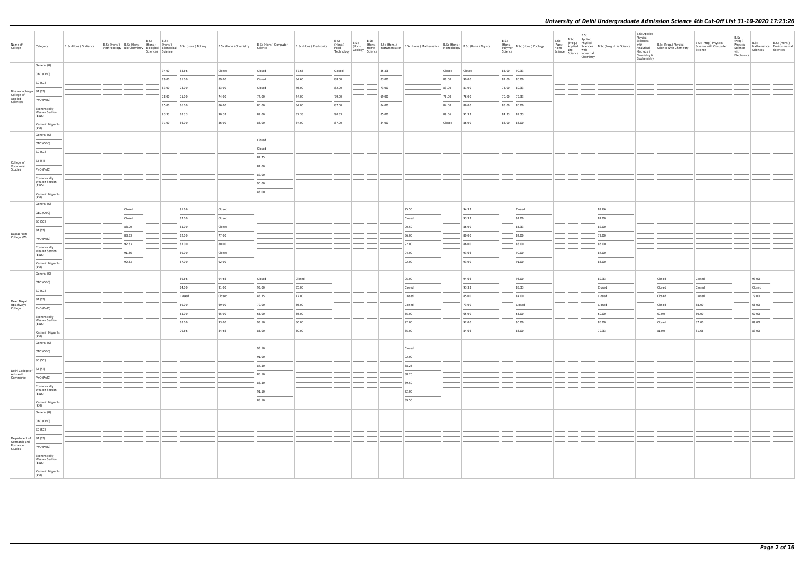| Name of<br>College                                          | Category                                            | B.Sc (Hons.) Statistics | B.Sc (Hons.)   B.Sc (Hons.)   (Hons.)   (Hons.)<br>Anthropology Bio-Chemistry Biological Biomedical | B.Sc | B.Sc<br>Sciences Science | B.Sc (Hons.) Botany | B.Sc (Hons.) Chemistry | B.Sc (Hons.) Computer<br>Science | B.Sc (Hons.) Electronics | B.Sc<br>(Hons.)<br>Food<br>Technology | B.Sc<br>B.Sc (Hons.)<br>(Hons.) (Hons.)<br>Geology Science |       | Homs.) B.Sc (Hons.) B.Sc (Hons.) Mathematics B.Sc (Hons.) B.Sc (Hons.) Physics<br>Home Instrumentation B.Sc (Hons.) Mathematics Microbiology B.Sc (Hons.) Physics                                                                                                                                                                                                                                                                                                                   |        |                | B.Sc<br>(Hons.)<br>Polymer<br>Science | B.Sc (Hons.) Zoology   | B.Sc<br>(Pass)<br>Home | B.Sc<br>B.Sc Applied<br>Science   Science   Industrial<br>Chemistry | Prog.)<br>Applied Sciences<br>Life With B.Sc (Prog.) Life Science<br>Life with                                                                                                                                                                                                                                                                                                                                                                                                      | <b>B.Sc Applied</b><br>Physical<br>Sciences<br>with<br>Analytical<br>Methods in<br>Chemistry &<br>Biochemistry | B.Sc (Prog.) Physical<br>Science with Chemistry                                                                                                                                                                                                                                                                                                                                                                                                                                     | B.Sc (Prog.) Physical<br>Science with Computer<br>Science | B.Sc<br>(Prog.)<br>Physical<br>Science<br>with<br>Electronics | B.Sc<br>Sciences       | B.Sc (Hons.)<br>Mathematical Environmental<br>Sciences |
|-------------------------------------------------------------|-----------------------------------------------------|-------------------------|-----------------------------------------------------------------------------------------------------|------|--------------------------|---------------------|------------------------|----------------------------------|--------------------------|---------------------------------------|------------------------------------------------------------|-------|-------------------------------------------------------------------------------------------------------------------------------------------------------------------------------------------------------------------------------------------------------------------------------------------------------------------------------------------------------------------------------------------------------------------------------------------------------------------------------------|--------|----------------|---------------------------------------|------------------------|------------------------|---------------------------------------------------------------------|-------------------------------------------------------------------------------------------------------------------------------------------------------------------------------------------------------------------------------------------------------------------------------------------------------------------------------------------------------------------------------------------------------------------------------------------------------------------------------------|----------------------------------------------------------------------------------------------------------------|-------------------------------------------------------------------------------------------------------------------------------------------------------------------------------------------------------------------------------------------------------------------------------------------------------------------------------------------------------------------------------------------------------------------------------------------------------------------------------------|-----------------------------------------------------------|---------------------------------------------------------------|------------------------|--------------------------------------------------------|
|                                                             | General (G)                                         |                         |                                                                                                     |      | 94.00                    | 88.66               | Closed                 | Closed                           | 87.66                    | Closed                                |                                                            | 85.33 |                                                                                                                                                                                                                                                                                                                                                                                                                                                                                     | Closed | Closed         | 85.00 90.33                           |                        |                        |                                                                     |                                                                                                                                                                                                                                                                                                                                                                                                                                                                                     |                                                                                                                |                                                                                                                                                                                                                                                                                                                                                                                                                                                                                     |                                                           |                                                               |                        |                                                        |
|                                                             | OBC (OBC)                                           |                         |                                                                                                     |      | 89.00                    | 85.00               | 89.00                  | Closed                           | 84.66                    | 88.00                                 |                                                            | 83.00 |                                                                                                                                                                                                                                                                                                                                                                                                                                                                                     | 88.00  | 90.00          | 81.00 86.00                           |                        |                        |                                                                     |                                                                                                                                                                                                                                                                                                                                                                                                                                                                                     |                                                                                                                |                                                                                                                                                                                                                                                                                                                                                                                                                                                                                     |                                                           |                                                               |                        |                                                        |
|                                                             | SC (SC)                                             |                         |                                                                                                     |      | 83.00                    | 78.00               | 83.00                  | Closed                           | 76.00                    | 82.00                                 |                                                            | 73.00 |                                                                                                                                                                                                                                                                                                                                                                                                                                                                                     | 83.00  | 81.00          | 75.00 80.33                           |                        |                        |                                                                     |                                                                                                                                                                                                                                                                                                                                                                                                                                                                                     |                                                                                                                |                                                                                                                                                                                                                                                                                                                                                                                                                                                                                     |                                                           |                                                               |                        |                                                        |
| Bhaskaracharya ST (ST)<br>College of<br>Applied<br>Sciences |                                                     |                         |                                                                                                     |      | 78.00                    | 75.00               | 74.00                  | 77.00                            | 74.00                    | 79.00                                 |                                                            | 69.00 |                                                                                                                                                                                                                                                                                                                                                                                                                                                                                     | 78.00  | 76.00          | 70.00 79.33                           |                        |                        |                                                                     |                                                                                                                                                                                                                                                                                                                                                                                                                                                                                     |                                                                                                                |                                                                                                                                                                                                                                                                                                                                                                                                                                                                                     |                                                           |                                                               |                        |                                                        |
|                                                             | PwD (PwD)                                           |                         |                                                                                                     |      | 85.00                    | 86.00               | 86.00                  | 86.00                            | 84.00                    | 87.00                                 |                                                            | 84.00 |                                                                                                                                                                                                                                                                                                                                                                                                                                                                                     | 84.00  | 86.00          | 83.00 86.00                           |                        |                        |                                                                     |                                                                                                                                                                                                                                                                                                                                                                                                                                                                                     |                                                                                                                |                                                                                                                                                                                                                                                                                                                                                                                                                                                                                     |                                                           |                                                               |                        |                                                        |
|                                                             | Economically<br><b>Weaker Section</b><br>(EWS)      |                         |                                                                                                     |      | 93.33                    | 88.33               | 90.33                  | 89.00                            | 87.33                    | 90.33                                 |                                                            | 85.00 |                                                                                                                                                                                                                                                                                                                                                                                                                                                                                     | 89.66  | 91.33          | 84.33 89.33                           |                        |                        |                                                                     |                                                                                                                                                                                                                                                                                                                                                                                                                                                                                     |                                                                                                                |                                                                                                                                                                                                                                                                                                                                                                                                                                                                                     |                                                           |                                                               |                        |                                                        |
|                                                             | Kashmiri Migrants                                   |                         |                                                                                                     |      | 91.00                    | 86.00               | 86.00                  | 86.00                            | 84.00                    | 87.00                                 |                                                            | 84.00 |                                                                                                                                                                                                                                                                                                                                                                                                                                                                                     | Closed | 86.00          |                                       | 83.00 86.00            |                        |                                                                     |                                                                                                                                                                                                                                                                                                                                                                                                                                                                                     |                                                                                                                |                                                                                                                                                                                                                                                                                                                                                                                                                                                                                     |                                                           |                                                               |                        |                                                        |
|                                                             | (KM)<br>General (G)                                 |                         |                                                                                                     |      |                          |                     |                        |                                  |                          |                                       |                                                            |       |                                                                                                                                                                                                                                                                                                                                                                                                                                                                                     |        |                |                                       |                        |                        |                                                                     |                                                                                                                                                                                                                                                                                                                                                                                                                                                                                     |                                                                                                                |                                                                                                                                                                                                                                                                                                                                                                                                                                                                                     |                                                           |                                                               |                        |                                                        |
|                                                             | OBC (OBC)                                           |                         |                                                                                                     |      |                          |                     |                        | Closed                           |                          |                                       |                                                            |       |                                                                                                                                                                                                                                                                                                                                                                                                                                                                                     |        |                |                                       |                        |                        |                                                                     |                                                                                                                                                                                                                                                                                                                                                                                                                                                                                     |                                                                                                                |                                                                                                                                                                                                                                                                                                                                                                                                                                                                                     |                                                           |                                                               |                        |                                                        |
|                                                             | SC (SC)                                             |                         |                                                                                                     |      |                          |                     |                        | Closed                           |                          |                                       |                                                            |       |                                                                                                                                                                                                                                                                                                                                                                                                                                                                                     |        |                |                                       |                        |                        |                                                                     |                                                                                                                                                                                                                                                                                                                                                                                                                                                                                     |                                                                                                                |                                                                                                                                                                                                                                                                                                                                                                                                                                                                                     |                                                           |                                                               |                        |                                                        |
|                                                             | ST (ST)                                             |                         |                                                                                                     |      |                          |                     |                        | 82.75                            |                          |                                       |                                                            |       |                                                                                                                                                                                                                                                                                                                                                                                                                                                                                     |        |                |                                       |                        |                        |                                                                     |                                                                                                                                                                                                                                                                                                                                                                                                                                                                                     |                                                                                                                |                                                                                                                                                                                                                                                                                                                                                                                                                                                                                     |                                                           |                                                               |                        |                                                        |
| College of<br>Vocational<br>Studies                         | PwD (PwD)                                           |                         |                                                                                                     |      |                          |                     |                        | 81.00                            |                          |                                       |                                                            |       |                                                                                                                                                                                                                                                                                                                                                                                                                                                                                     |        |                |                                       |                        |                        |                                                                     |                                                                                                                                                                                                                                                                                                                                                                                                                                                                                     |                                                                                                                |                                                                                                                                                                                                                                                                                                                                                                                                                                                                                     |                                                           |                                                               |                        |                                                        |
|                                                             | Economically                                        |                         |                                                                                                     |      |                          |                     |                        | 82.00                            |                          |                                       |                                                            |       |                                                                                                                                                                                                                                                                                                                                                                                                                                                                                     |        |                |                                       |                        |                        |                                                                     |                                                                                                                                                                                                                                                                                                                                                                                                                                                                                     |                                                                                                                |                                                                                                                                                                                                                                                                                                                                                                                                                                                                                     |                                                           |                                                               |                        |                                                        |
|                                                             | <b>Weaker Section</b><br>(EWS)                      |                         |                                                                                                     |      |                          |                     |                        | 90.00                            |                          |                                       |                                                            |       |                                                                                                                                                                                                                                                                                                                                                                                                                                                                                     |        |                |                                       |                        |                        |                                                                     |                                                                                                                                                                                                                                                                                                                                                                                                                                                                                     |                                                                                                                |                                                                                                                                                                                                                                                                                                                                                                                                                                                                                     |                                                           |                                                               |                        |                                                        |
|                                                             | Kashmiri Migrants<br>(KM)                           |                         |                                                                                                     |      |                          |                     |                        | 83.00                            |                          |                                       |                                                            |       |                                                                                                                                                                                                                                                                                                                                                                                                                                                                                     |        |                |                                       |                        |                        |                                                                     |                                                                                                                                                                                                                                                                                                                                                                                                                                                                                     |                                                                                                                |                                                                                                                                                                                                                                                                                                                                                                                                                                                                                     |                                                           |                                                               |                        |                                                        |
|                                                             | General (G)                                         |                         |                                                                                                     |      |                          |                     |                        |                                  |                          |                                       |                                                            |       |                                                                                                                                                                                                                                                                                                                                                                                                                                                                                     |        |                |                                       |                        |                        |                                                                     |                                                                                                                                                                                                                                                                                                                                                                                                                                                                                     |                                                                                                                |                                                                                                                                                                                                                                                                                                                                                                                                                                                                                     |                                                           |                                                               |                        |                                                        |
|                                                             | OBC (OBC)                                           |                         | Closed                                                                                              |      |                          | 91.66               | Closed                 |                                  |                          |                                       |                                                            |       | 95.50                                                                                                                                                                                                                                                                                                                                                                                                                                                                               |        | 94.33          |                                       | Closed                 |                        |                                                                     | 89.66                                                                                                                                                                                                                                                                                                                                                                                                                                                                               |                                                                                                                |                                                                                                                                                                                                                                                                                                                                                                                                                                                                                     |                                                           |                                                               |                        |                                                        |
|                                                             | SC (SC)                                             |                         | Closed                                                                                              |      |                          | 87.00               | Closed                 |                                  |                          |                                       |                                                            |       | Closed                                                                                                                                                                                                                                                                                                                                                                                                                                                                              |        | 93.33          |                                       | 91.00                  |                        |                                                                     | 87.00                                                                                                                                                                                                                                                                                                                                                                                                                                                                               |                                                                                                                |                                                                                                                                                                                                                                                                                                                                                                                                                                                                                     |                                                           |                                                               |                        |                                                        |
| Daulat Ram                                                  | ST (ST)                                             |                         | 88.00                                                                                               |      |                          | 85.00               | Closed<br>77.00        |                                  |                          |                                       |                                                            |       | 90.50                                                                                                                                                                                                                                                                                                                                                                                                                                                                               |        | 86.00<br>80.00 |                                       | 85.33                  |                        |                                                                     | 82.00                                                                                                                                                                                                                                                                                                                                                                                                                                                                               |                                                                                                                |                                                                                                                                                                                                                                                                                                                                                                                                                                                                                     |                                                           |                                                               |                        |                                                        |
| College (W)                                                 | PwD (PwD)                                           |                         | 88.33<br>92.33                                                                                      |      |                          | 82.00<br>87.00      | 80.00                  |                                  |                          |                                       |                                                            |       | 86.00<br>92.00                                                                                                                                                                                                                                                                                                                                                                                                                                                                      |        | 86.00          |                                       | 82.00<br>88.00         |                        |                                                                     | 79.00<br>85.00                                                                                                                                                                                                                                                                                                                                                                                                                                                                      |                                                                                                                |                                                                                                                                                                                                                                                                                                                                                                                                                                                                                     |                                                           |                                                               |                        |                                                        |
|                                                             | Economically<br><b>Weaker Section</b>               |                         | 91.66                                                                                               |      |                          | 89.00               | Closed                 |                                  |                          |                                       |                                                            |       | 94.00                                                                                                                                                                                                                                                                                                                                                                                                                                                                               |        | 93.66          |                                       | 90.00                  |                        |                                                                     | 87.00                                                                                                                                                                                                                                                                                                                                                                                                                                                                               |                                                                                                                |                                                                                                                                                                                                                                                                                                                                                                                                                                                                                     |                                                           |                                                               |                        |                                                        |
|                                                             | (EWS)                                               |                         | 92.33                                                                                               |      |                          | 87.00               | 92.00                  |                                  |                          |                                       |                                                            |       | 92.00                                                                                                                                                                                                                                                                                                                                                                                                                                                                               |        | 93.00          |                                       | 91.00                  |                        |                                                                     | 86.00                                                                                                                                                                                                                                                                                                                                                                                                                                                                               |                                                                                                                |                                                                                                                                                                                                                                                                                                                                                                                                                                                                                     |                                                           |                                                               |                        |                                                        |
|                                                             | Kashmiri Migrants<br>(KM)                           |                         |                                                                                                     |      |                          |                     |                        |                                  |                          |                                       |                                                            |       |                                                                                                                                                                                                                                                                                                                                                                                                                                                                                     |        |                |                                       |                        |                        |                                                                     |                                                                                                                                                                                                                                                                                                                                                                                                                                                                                     |                                                                                                                |                                                                                                                                                                                                                                                                                                                                                                                                                                                                                     |                                                           |                                                               |                        |                                                        |
|                                                             | General (G)                                         |                         |                                                                                                     |      |                          | 89.66               | 94.66                  | Closed                           | Closed                   |                                       |                                                            |       | 95.00                                                                                                                                                                                                                                                                                                                                                                                                                                                                               |        | 94.66          |                                       | 93.00                  |                        |                                                                     | 89.33                                                                                                                                                                                                                                                                                                                                                                                                                                                                               |                                                                                                                | Closed                                                                                                                                                                                                                                                                                                                                                                                                                                                                              | Closed                                                    |                                                               | 93.00                  |                                                        |
|                                                             | OBC (OBC)                                           |                         |                                                                                                     |      |                          | 84.00               | 91.00                  | 93.00                            | 85.00                    |                                       |                                                            |       | Closed                                                                                                                                                                                                                                                                                                                                                                                                                                                                              |        | 93.33          |                                       | 88.33                  |                        |                                                                     | Closed                                                                                                                                                                                                                                                                                                                                                                                                                                                                              |                                                                                                                | Closed                                                                                                                                                                                                                                                                                                                                                                                                                                                                              | Closed                                                    |                                                               | Closed                 |                                                        |
|                                                             | SC (SC)                                             |                         |                                                                                                     |      |                          | Closed              | Closed                 | 88.75                            | 77.00                    |                                       |                                                            |       | Closed                                                                                                                                                                                                                                                                                                                                                                                                                                                                              |        | 85.00          |                                       | 84.00                  |                        |                                                                     | Closed                                                                                                                                                                                                                                                                                                                                                                                                                                                                              |                                                                                                                | Closed                                                                                                                                                                                                                                                                                                                                                                                                                                                                              | Closed                                                    |                                                               | 79.00                  |                                                        |
| Deen Dayal<br>Upadhyaya<br>College                          | ST (ST)                                             |                         |                                                                                                     |      |                          | 69.00               | 69.00                  | 79.00                            | 66.00                    |                                       |                                                            |       | Closed                                                                                                                                                                                                                                                                                                                                                                                                                                                                              |        | 73.00          |                                       | Closed                 |                        |                                                                     | Closed                                                                                                                                                                                                                                                                                                                                                                                                                                                                              |                                                                                                                | Closed                                                                                                                                                                                                                                                                                                                                                                                                                                                                              | 68.00                                                     |                                                               | 68.00                  |                                                        |
|                                                             | PwD (PwD)                                           |                         |                                                                                                     |      |                          | 65.00               | 65.00                  | 65.00                            | 65.00                    |                                       |                                                            |       | 65.00                                                                                                                                                                                                                                                                                                                                                                                                                                                                               |        | 65.00          |                                       | 65.00                  |                        |                                                                     | 60.00                                                                                                                                                                                                                                                                                                                                                                                                                                                                               |                                                                                                                | 60.00                                                                                                                                                                                                                                                                                                                                                                                                                                                                               | 60.00                                                     |                                                               | 60.00                  |                                                        |
|                                                             | Economically<br><b>Weaker Section</b><br>(EWS)      |                         |                                                                                                     |      |                          | 88.00               | 93.00                  | 93.50                            | 86.00                    |                                       |                                                            |       | 92.00                                                                                                                                                                                                                                                                                                                                                                                                                                                                               |        | 92.00          |                                       | 90.00                  |                        |                                                                     | 85.00                                                                                                                                                                                                                                                                                                                                                                                                                                                                               |                                                                                                                | Closed                                                                                                                                                                                                                                                                                                                                                                                                                                                                              | 87.00                                                     |                                                               | 89.00                  |                                                        |
|                                                             | Kashmiri Migrants                                   |                         |                                                                                                     |      |                          | 79.66               | 84.66                  | 85.00                            | 80.00                    |                                       |                                                            |       | $\frac{1}{2} \left( \frac{1}{2} \right) \left( \frac{1}{2} \right) \left( \frac{1}{2} \right) \left( \frac{1}{2} \right) \left( \frac{1}{2} \right) \left( \frac{1}{2} \right) \left( \frac{1}{2} \right) \left( \frac{1}{2} \right) \left( \frac{1}{2} \right) \left( \frac{1}{2} \right) \left( \frac{1}{2} \right) \left( \frac{1}{2} \right) \left( \frac{1}{2} \right) \left( \frac{1}{2} \right) \left( \frac{1}{2} \right) \left( \frac{1}{2} \right) \left( \frac$<br>85.00 |        | 84.66          |                                       | $\frac{1}{2}$<br>83.00 |                        |                                                                     | $\frac{1}{2} \left( \frac{1}{2} \right) \left( \frac{1}{2} \right) \left( \frac{1}{2} \right) \left( \frac{1}{2} \right) \left( \frac{1}{2} \right) \left( \frac{1}{2} \right) \left( \frac{1}{2} \right) \left( \frac{1}{2} \right) \left( \frac{1}{2} \right) \left( \frac{1}{2} \right) \left( \frac{1}{2} \right) \left( \frac{1}{2} \right) \left( \frac{1}{2} \right) \left( \frac{1}{2} \right) \left( \frac{1}{2} \right) \left( \frac{1}{2} \right) \left( \frac$<br>79.33 |                                                                                                                | $\frac{1}{2} \left( \frac{1}{2} \right) \left( \frac{1}{2} \right) \left( \frac{1}{2} \right) \left( \frac{1}{2} \right) \left( \frac{1}{2} \right) \left( \frac{1}{2} \right) \left( \frac{1}{2} \right) \left( \frac{1}{2} \right) \left( \frac{1}{2} \right) \left( \frac{1}{2} \right) \left( \frac{1}{2} \right) \left( \frac{1}{2} \right) \left( \frac{1}{2} \right) \left( \frac{1}{2} \right) \left( \frac{1}{2} \right) \left( \frac{1}{2} \right) \left( \frac$<br>81.00 | 81.66                                                     |                                                               | $\frac{1}{2}$<br>83.00 |                                                        |
|                                                             | (KM)<br>General (G)                                 |                         |                                                                                                     |      |                          |                     |                        |                                  |                          |                                       |                                                            |       |                                                                                                                                                                                                                                                                                                                                                                                                                                                                                     |        |                |                                       |                        |                        |                                                                     |                                                                                                                                                                                                                                                                                                                                                                                                                                                                                     |                                                                                                                |                                                                                                                                                                                                                                                                                                                                                                                                                                                                                     |                                                           |                                                               |                        |                                                        |
|                                                             | OBC (OBC)                                           |                         |                                                                                                     |      |                          |                     |                        | 93.50                            |                          |                                       |                                                            |       | Closed                                                                                                                                                                                                                                                                                                                                                                                                                                                                              |        |                |                                       |                        |                        |                                                                     |                                                                                                                                                                                                                                                                                                                                                                                                                                                                                     |                                                                                                                |                                                                                                                                                                                                                                                                                                                                                                                                                                                                                     |                                                           |                                                               |                        |                                                        |
|                                                             | SC (SC)                                             |                         |                                                                                                     |      |                          |                     |                        | 91.00                            |                          |                                       |                                                            |       | 92.00                                                                                                                                                                                                                                                                                                                                                                                                                                                                               |        |                |                                       |                        |                        |                                                                     |                                                                                                                                                                                                                                                                                                                                                                                                                                                                                     |                                                                                                                |                                                                                                                                                                                                                                                                                                                                                                                                                                                                                     |                                                           |                                                               |                        |                                                        |
| Delhi College of                                            | ST (ST)                                             |                         |                                                                                                     |      |                          |                     |                        | 87.50                            |                          |                                       |                                                            |       | 88.25                                                                                                                                                                                                                                                                                                                                                                                                                                                                               |        |                |                                       |                        |                        |                                                                     |                                                                                                                                                                                                                                                                                                                                                                                                                                                                                     |                                                                                                                |                                                                                                                                                                                                                                                                                                                                                                                                                                                                                     |                                                           |                                                               |                        |                                                        |
| Arts and<br>Commerce                                        | PwD (PwD)                                           |                         |                                                                                                     |      |                          |                     |                        | 85.50                            |                          |                                       |                                                            |       | 88.25                                                                                                                                                                                                                                                                                                                                                                                                                                                                               |        |                |                                       |                        |                        |                                                                     |                                                                                                                                                                                                                                                                                                                                                                                                                                                                                     |                                                                                                                |                                                                                                                                                                                                                                                                                                                                                                                                                                                                                     |                                                           |                                                               |                        |                                                        |
|                                                             | Economically                                        |                         |                                                                                                     |      |                          |                     |                        | 88.50                            |                          |                                       |                                                            |       | 89.50                                                                                                                                                                                                                                                                                                                                                                                                                                                                               |        |                |                                       |                        |                        |                                                                     |                                                                                                                                                                                                                                                                                                                                                                                                                                                                                     |                                                                                                                |                                                                                                                                                                                                                                                                                                                                                                                                                                                                                     |                                                           |                                                               |                        |                                                        |
|                                                             | <b>Weaker Section</b><br>(EWS)<br><b>STATISTICS</b> |                         |                                                                                                     |      |                          |                     |                        | 91.50                            |                          |                                       |                                                            |       | 92.00                                                                                                                                                                                                                                                                                                                                                                                                                                                                               |        |                |                                       |                        |                        |                                                                     |                                                                                                                                                                                                                                                                                                                                                                                                                                                                                     |                                                                                                                |                                                                                                                                                                                                                                                                                                                                                                                                                                                                                     |                                                           |                                                               |                        |                                                        |
|                                                             | Kashmiri Migrants<br>(KM)                           |                         |                                                                                                     |      |                          |                     |                        | 88.50                            |                          |                                       |                                                            |       | 89.50                                                                                                                                                                                                                                                                                                                                                                                                                                                                               |        |                |                                       |                        |                        |                                                                     |                                                                                                                                                                                                                                                                                                                                                                                                                                                                                     |                                                                                                                |                                                                                                                                                                                                                                                                                                                                                                                                                                                                                     |                                                           |                                                               |                        |                                                        |
|                                                             | General (G)                                         |                         |                                                                                                     |      |                          |                     |                        |                                  |                          |                                       |                                                            |       |                                                                                                                                                                                                                                                                                                                                                                                                                                                                                     |        |                |                                       |                        |                        |                                                                     |                                                                                                                                                                                                                                                                                                                                                                                                                                                                                     |                                                                                                                |                                                                                                                                                                                                                                                                                                                                                                                                                                                                                     |                                                           |                                                               |                        |                                                        |
|                                                             | OBC (OBC)                                           |                         |                                                                                                     |      |                          |                     |                        |                                  |                          |                                       |                                                            |       |                                                                                                                                                                                                                                                                                                                                                                                                                                                                                     |        |                |                                       |                        |                        |                                                                     |                                                                                                                                                                                                                                                                                                                                                                                                                                                                                     |                                                                                                                |                                                                                                                                                                                                                                                                                                                                                                                                                                                                                     |                                                           |                                                               |                        |                                                        |
|                                                             | SC (SC)                                             |                         |                                                                                                     |      |                          |                     |                        |                                  |                          |                                       |                                                            |       |                                                                                                                                                                                                                                                                                                                                                                                                                                                                                     |        |                |                                       |                        |                        |                                                                     |                                                                                                                                                                                                                                                                                                                                                                                                                                                                                     |                                                                                                                |                                                                                                                                                                                                                                                                                                                                                                                                                                                                                     |                                                           |                                                               |                        |                                                        |
| Department of<br>Germanic and                               | ST (ST)                                             |                         |                                                                                                     |      |                          |                     |                        |                                  |                          |                                       |                                                            |       |                                                                                                                                                                                                                                                                                                                                                                                                                                                                                     |        |                |                                       |                        |                        |                                                                     |                                                                                                                                                                                                                                                                                                                                                                                                                                                                                     |                                                                                                                |                                                                                                                                                                                                                                                                                                                                                                                                                                                                                     |                                                           |                                                               |                        |                                                        |
| Romance<br>Studies                                          | PwD (PwD)                                           |                         |                                                                                                     |      |                          |                     |                        |                                  |                          |                                       |                                                            |       |                                                                                                                                                                                                                                                                                                                                                                                                                                                                                     |        |                |                                       |                        |                        |                                                                     |                                                                                                                                                                                                                                                                                                                                                                                                                                                                                     |                                                                                                                |                                                                                                                                                                                                                                                                                                                                                                                                                                                                                     |                                                           |                                                               |                        |                                                        |
|                                                             | Economically<br><b>Weaker Section</b>               |                         |                                                                                                     |      |                          |                     |                        |                                  |                          |                                       |                                                            |       |                                                                                                                                                                                                                                                                                                                                                                                                                                                                                     |        |                |                                       |                        |                        |                                                                     |                                                                                                                                                                                                                                                                                                                                                                                                                                                                                     |                                                                                                                |                                                                                                                                                                                                                                                                                                                                                                                                                                                                                     |                                                           |                                                               |                        |                                                        |
|                                                             | (EWS)<br>Kashmiri Migrants<br>(KM)                  |                         |                                                                                                     |      |                          |                     |                        |                                  |                          |                                       |                                                            |       |                                                                                                                                                                                                                                                                                                                                                                                                                                                                                     |        |                |                                       |                        |                        |                                                                     |                                                                                                                                                                                                                                                                                                                                                                                                                                                                                     |                                                                                                                |                                                                                                                                                                                                                                                                                                                                                                                                                                                                                     |                                                           |                                                               |                        |                                                        |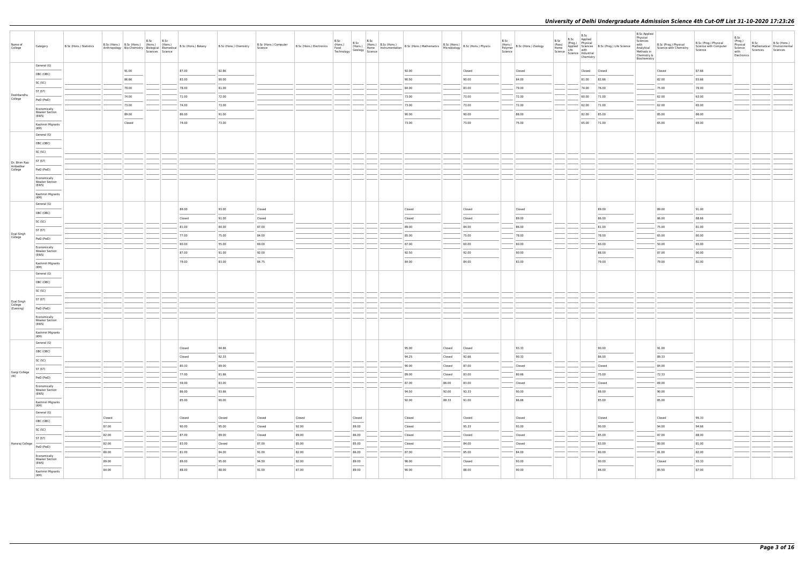| Name of<br>College                  | Category                                       | B.Sc (Hons.) Statistics |        | B.Sc (Hons.) B.Sc (Hons.) (Hons.) (Hons.) | B.Sc | B.Sc<br>Sciences Science | Anthropology   Bio-Chemistry   $\begin{bmatrix} 110115.7 \\ \end{bmatrix}$   Biomedical   B.Sc (Hons.) Botany | B.Sc (Hons.) Chemistry | B.Sc (Hons.) Computer<br>Science | B.Sc (Hons.) Electronics (Hons.)<br>B.Sc (Hons.) Electronics (Food (Hons.) Home In Technology Geology Science | B.Sc |                                                     | B.Sc |        |        |        | B.Sc<br>(Hons.)<br>B.Sc (Hons.) Zoology<br>Polymer<br>Science | B.Sc<br>(Pass)<br>Home | B.Sc<br>B.Sc Applied<br>(Prog.) Physical<br>Life with<br>Science   Lite<br>  Science   Industrial<br>Chemistry | Applied   Sciences   B.Sc (Prog.) Life Science | <b>B.Sc Applied</b><br>Physical<br>Sciences<br>with<br>Analytical<br>Methods in<br>Chemistry &<br>Biochemistry | B.Sc (Prog.) Physical<br>Science with Chemistry | B.Sc (Prog.) Physical<br>Science with Computer<br>Science | B.Sc<br>(Prog.)<br>Physical<br>Science<br>with<br>Electronics | B.Sc<br>Sciences | B.Sc (Hons.)<br>Mathematical Environmental<br>Sciences |
|-------------------------------------|------------------------------------------------|-------------------------|--------|-------------------------------------------|------|--------------------------|---------------------------------------------------------------------------------------------------------------|------------------------|----------------------------------|---------------------------------------------------------------------------------------------------------------|------|-----------------------------------------------------|------|--------|--------|--------|---------------------------------------------------------------|------------------------|----------------------------------------------------------------------------------------------------------------|------------------------------------------------|----------------------------------------------------------------------------------------------------------------|-------------------------------------------------|-----------------------------------------------------------|---------------------------------------------------------------|------------------|--------------------------------------------------------|
|                                     | General (G)                                    |                         |        | 91.00                                     |      |                          | 87.00                                                                                                         | 92.66                  |                                  |                                                                                                               |      |                                                     |      | 92.00  |        | Closed | Closed                                                        |                        |                                                                                                                | Closed Closed                                  |                                                                                                                | Closed                                          | 87.66                                                     |                                                               |                  |                                                        |
|                                     | OBC (OBC)                                      |                         |        | 86.66                                     |      |                          | 83.00                                                                                                         | 90.00                  |                                  |                                                                                                               |      |                                                     |      | 90.50  |        | 90.00  | 84.00                                                         |                        |                                                                                                                | 81.00 82.66                                    |                                                                                                                | 82.00                                           | 83.66                                                     |                                                               |                  |                                                        |
|                                     | SC (SC)                                        |                         |        | 79.00                                     |      |                          | 78.00                                                                                                         | 81.00                  |                                  |                                                                                                               |      |                                                     |      | 84.00  |        | 83.00  | 79.00                                                         |                        |                                                                                                                | 74.00 76.00                                    |                                                                                                                | 75.00                                           | 76.00                                                     |                                                               |                  |                                                        |
| Deshbandhu                          | ST (ST)                                        |                         |        | 74.00                                     |      |                          | 71.00                                                                                                         | 72.00                  |                                  |                                                                                                               |      |                                                     |      | 73.00  |        | 73.00  | 72.00                                                         |                        |                                                                                                                | 60.00 71.00                                    |                                                                                                                | 62.00                                           | 63.00                                                     |                                                               |                  |                                                        |
| College                             | PwD (PwD)                                      |                         |        | 73.00                                     |      |                          | 74.00                                                                                                         | 73.00                  |                                  |                                                                                                               |      |                                                     |      | 73.00  |        | 73.00  | 72.00                                                         |                        |                                                                                                                | 62.00 71.00                                    |                                                                                                                | 62.00                                           | 65.00                                                     |                                                               |                  |                                                        |
|                                     | Economically<br><b>Weaker Section</b><br>(EWS) |                         |        | 89.00                                     |      |                          | 86.00                                                                                                         | 91.00                  |                                  |                                                                                                               |      |                                                     |      | 90.00  |        | 90.00  | 88.00                                                         |                        |                                                                                                                | 82.00 85.00                                    |                                                                                                                | 85.00                                           | 86.00                                                     |                                                               |                  |                                                        |
|                                     | Kashmiri Migrants                              |                         |        | Closed                                    |      |                          | 74.00                                                                                                         | 73.00                  |                                  |                                                                                                               |      |                                                     |      | 73.00  |        | 73.00  | 75.00                                                         |                        |                                                                                                                | 65.00 71.00                                    |                                                                                                                | 65.00                                           | 65.00                                                     |                                                               |                  |                                                        |
|                                     | (KM)                                           |                         |        |                                           |      |                          |                                                                                                               |                        |                                  |                                                                                                               |      |                                                     |      |        |        |        |                                                               |                        |                                                                                                                |                                                |                                                                                                                |                                                 |                                                           |                                                               |                  |                                                        |
|                                     | General (G)<br>OBC (OBC)                       |                         |        |                                           |      |                          |                                                                                                               |                        |                                  |                                                                                                               |      |                                                     |      |        |        |        |                                                               |                        |                                                                                                                |                                                |                                                                                                                |                                                 |                                                           |                                                               |                  |                                                        |
|                                     | SC (SC)                                        |                         |        |                                           |      |                          |                                                                                                               |                        |                                  |                                                                                                               |      |                                                     |      |        |        |        |                                                               |                        |                                                                                                                |                                                |                                                                                                                |                                                 |                                                           |                                                               |                  |                                                        |
|                                     | ST (ST)                                        |                         |        |                                           |      |                          |                                                                                                               |                        |                                  |                                                                                                               |      |                                                     |      |        |        |        |                                                               |                        |                                                                                                                |                                                |                                                                                                                |                                                 |                                                           |                                                               |                  |                                                        |
| Dr. Bhim Rao<br>Ambedkar<br>College | PwD (PwD)                                      |                         |        |                                           |      |                          |                                                                                                               |                        |                                  |                                                                                                               |      |                                                     |      |        |        |        |                                                               |                        |                                                                                                                |                                                |                                                                                                                |                                                 |                                                           |                                                               |                  |                                                        |
|                                     | Economically                                   |                         |        |                                           |      |                          |                                                                                                               |                        |                                  |                                                                                                               |      |                                                     |      |        |        |        |                                                               |                        |                                                                                                                |                                                |                                                                                                                |                                                 |                                                           |                                                               |                  |                                                        |
|                                     | <b>Weaker Section</b><br>(EWS)                 |                         |        |                                           |      |                          |                                                                                                               |                        |                                  |                                                                                                               |      |                                                     |      |        |        |        |                                                               |                        |                                                                                                                |                                                |                                                                                                                |                                                 |                                                           |                                                               |                  |                                                        |
|                                     | Kashmiri Migrants<br>(KM)                      |                         |        |                                           |      |                          |                                                                                                               |                        |                                  |                                                                                                               |      |                                                     |      |        |        |        |                                                               |                        |                                                                                                                |                                                |                                                                                                                |                                                 |                                                           |                                                               |                  |                                                        |
|                                     | General (G)                                    |                         |        |                                           |      |                          | 89.00                                                                                                         | 93.00                  | Closed                           |                                                                                                               |      |                                                     |      | Closed |        | Closed | Closed                                                        |                        |                                                                                                                | 89.00                                          |                                                                                                                | 89.00                                           | 91.00                                                     |                                                               |                  |                                                        |
|                                     | OBC (OBC)                                      |                         |        |                                           |      |                          | Closed                                                                                                        | 91.00                  | Closed                           |                                                                                                               |      |                                                     |      | Closed |        | Closed | 89.00                                                         |                        |                                                                                                                | 86.00                                          |                                                                                                                | 86.00                                           | 88.66                                                     |                                                               |                  |                                                        |
|                                     | SC (SC)                                        |                         |        |                                           |      |                          | 81.00                                                                                                         | 84.00                  | 87.00                            |                                                                                                               |      |                                                     |      | 89.00  |        | 84.00  | 86.00                                                         |                        |                                                                                                                | 81.00                                          |                                                                                                                | 75.00                                           | 81.00                                                     |                                                               |                  |                                                        |
| Dyal Singh<br>College               | ST (ST)                                        |                         |        |                                           |      |                          | 77.00                                                                                                         | 75.00                  | 84.00                            |                                                                                                               |      |                                                     |      | 85.00  |        | 75.00  | 78.00                                                         |                        |                                                                                                                | 78.00                                          |                                                                                                                | 65.00                                           | 80.00                                                     |                                                               |                  |                                                        |
|                                     | PwD (PwD)                                      |                         |        |                                           |      |                          | 60.00                                                                                                         | 55.00                  | 69.00                            |                                                                                                               |      |                                                     |      | 67.00  |        | 60.00  | 60.00                                                         |                        |                                                                                                                | 60.00                                          |                                                                                                                | 50.00                                           | 65.00                                                     |                                                               |                  |                                                        |
|                                     | Economically<br><b>Weaker Section</b><br>(EWS) |                         |        |                                           |      |                          | 87.00                                                                                                         | 91.00                  | 92.00                            |                                                                                                               |      |                                                     |      | 92.50  |        | 92.00  | 90.00                                                         |                        |                                                                                                                | 88.00                                          |                                                                                                                | 87.00                                           | 90.00                                                     |                                                               |                  |                                                        |
|                                     | Kashmiri Migrants                              |                         |        |                                           |      |                          | 79.00                                                                                                         | 83.00                  | 84.75                            |                                                                                                               |      |                                                     |      | 84.00  |        | 84.00  | 83.00                                                         |                        |                                                                                                                | 79.00                                          |                                                                                                                | 79.00                                           | 81.00                                                     |                                                               |                  |                                                        |
|                                     | (KM)<br>General (G)                            |                         |        |                                           |      |                          |                                                                                                               |                        |                                  |                                                                                                               |      |                                                     |      |        |        |        |                                                               |                        |                                                                                                                |                                                |                                                                                                                |                                                 |                                                           |                                                               |                  |                                                        |
|                                     | OBC (OBC)                                      |                         |        |                                           |      |                          |                                                                                                               |                        |                                  |                                                                                                               |      |                                                     |      |        |        |        |                                                               |                        |                                                                                                                |                                                |                                                                                                                |                                                 |                                                           |                                                               |                  |                                                        |
|                                     | SC (SC)                                        |                         |        |                                           |      |                          |                                                                                                               |                        |                                  |                                                                                                               |      |                                                     |      |        |        |        |                                                               |                        |                                                                                                                |                                                |                                                                                                                |                                                 |                                                           |                                                               |                  |                                                        |
| Dyal Singh                          | ST (ST)                                        |                         |        |                                           |      |                          |                                                                                                               |                        |                                  |                                                                                                               |      |                                                     |      |        |        |        |                                                               |                        |                                                                                                                |                                                |                                                                                                                |                                                 |                                                           |                                                               |                  |                                                        |
| College<br>(Evening)                | PwD (PwD)                                      |                         |        |                                           |      |                          |                                                                                                               |                        |                                  |                                                                                                               |      |                                                     |      |        |        |        |                                                               |                        |                                                                                                                |                                                |                                                                                                                |                                                 |                                                           |                                                               |                  |                                                        |
|                                     | Economically<br><b>Weaker Section</b>          |                         |        |                                           |      |                          |                                                                                                               |                        |                                  |                                                                                                               |      |                                                     |      |        |        |        |                                                               |                        |                                                                                                                |                                                |                                                                                                                |                                                 |                                                           |                                                               |                  |                                                        |
|                                     | (EWS)<br>Kashmiri Migrants                     |                         |        |                                           |      |                          |                                                                                                               |                        |                                  |                                                                                                               |      |                                                     |      |        |        |        |                                                               |                        |                                                                                                                |                                                |                                                                                                                |                                                 |                                                           |                                                               |                  |                                                        |
|                                     | (KM)<br>General (G)                            |                         |        |                                           |      |                          |                                                                                                               |                        |                                  |                                                                                                               |      |                                                     |      |        |        |        |                                                               |                        |                                                                                                                |                                                |                                                                                                                |                                                 |                                                           |                                                               |                  |                                                        |
|                                     | OBC (OBC)                                      |                         |        |                                           |      |                          | Closed                                                                                                        | 94.66                  |                                  |                                                                                                               |      |                                                     |      | 95.00  | Closed | Closed | 93.33                                                         |                        |                                                                                                                | 90.00                                          |                                                                                                                | 91.00                                           |                                                           |                                                               |                  |                                                        |
|                                     | SC (SC)                                        |                         |        |                                           |      |                          | Closed                                                                                                        | 92.33                  |                                  |                                                                                                               |      |                                                     |      | 94.25  | Closed | 92.66  | 90.33                                                         |                        |                                                                                                                | 86.00                                          |                                                                                                                | 89.33                                           |                                                           |                                                               |                  |                                                        |
|                                     | ST (ST)                                        |                         |        |                                           |      |                          | 80.33                                                                                                         | 89.00                  |                                  |                                                                                                               |      |                                                     |      | 90.00  | Closed | 87.00  | Closed                                                        |                        |                                                                                                                | Closed                                         |                                                                                                                | 84.00                                           |                                                           |                                                               |                  |                                                        |
| Gargi College<br>(W)                | PwD (PwD)                                      |                         |        |                                           |      |                          | 77.00                                                                                                         | 81.66                  |                                  |                                                                                                               |      |                                                     |      | 89.00  | Closed | 83.00  | 80.66                                                         |                        |                                                                                                                | 75.00                                          |                                                                                                                | 72.33                                           |                                                           |                                                               |                  |                                                        |
|                                     | Economically                                   |                         |        |                                           |      |                          | 59.00                                                                                                         | 83.00                  |                                  |                                                                                                               |      |                                                     |      | 87.00  | 86.00  | 83.00  | Closed                                                        | --                     |                                                                                                                | Closed                                         |                                                                                                                | 69.00                                           |                                                           |                                                               |                  |                                                        |
|                                     | <b>Weaker Section</b><br>(EWS)                 |                         |        |                                           |      |                          | 86.00                                                                                                         | 93.66                  |                                  |                                                                                                               |      |                                                     |      | 94.50  | 92.00  | 93.33  | 90.00                                                         |                        |                                                                                                                | 88.00                                          |                                                                                                                | 90.00                                           |                                                           |                                                               |                  |                                                        |
|                                     | Kashmiri Migrants<br>(KM)                      |                         |        |                                           |      |                          | 85.00                                                                                                         | 90.00                  |                                  |                                                                                                               |      |                                                     |      | 92.00  | 88.33  | 91.00  | 86.66                                                         |                        |                                                                                                                | 85.00                                          |                                                                                                                | 85.00                                           |                                                           |                                                               |                  |                                                        |
|                                     | General (G)<br>OBC (OBC)                       |                         | Closed |                                           |      |                          | Closed                                                                                                        | Closed                 | Closed                           | Closed                                                                                                        |      | Closed                                              |      | Closed |        | Closed | Closed                                                        |                        |                                                                                                                | Closed                                         |                                                                                                                | Closed                                          | 95.33                                                     |                                                               |                  |                                                        |
|                                     | SC (SC)                                        |                         | 87.00  |                                           |      |                          | 90.00                                                                                                         | 95.00                  | Closed                           | 92.00                                                                                                         |      | 89.00                                               |      | Closed |        | 95.33  | 93.00                                                         |                        |                                                                                                                | 90.00                                          |                                                                                                                | 94.00                                           | 94.66                                                     |                                                               |                  |                                                        |
|                                     | ST (ST)                                        |                         | 82.00  |                                           |      |                          | 87.00                                                                                                         | 89.00                  | Closed                           | 89.00                                                                                                         |      | 86.00                                               |      | Closed |        | Closed | Closed                                                        |                        |                                                                                                                | 85.00                                          |                                                                                                                | 87.00                                           | 88.00                                                     |                                                               |                  |                                                        |
| Hansraj College                     | PwD (PwD)                                      |                         | 82.00  |                                           |      |                          | 83.00                                                                                                         | Closed                 | 87.00                            | 85.00                                                                                                         |      | 85.00                                               |      | Closed |        | 84.00  | Closed                                                        |                        |                                                                                                                | 83.00                                          |                                                                                                                | 80.00                                           | 81.00                                                     |                                                               |                  |                                                        |
|                                     | Economically                                   |                         | 80.00  |                                           |      |                          | 81.00                                                                                                         | 84.00                  | 91.00                            | 82.00                                                                                                         |      | 86.00                                               |      | 87.00  |        | 85.00  | 84.00                                                         |                        |                                                                                                                | 80.00                                          |                                                                                                                | 81.00                                           | 82.00                                                     |                                                               |                  |                                                        |
|                                     | <b>Weaker Section</b><br>(EWS)                 |                         | 89.00  |                                           |      |                          | 89.00                                                                                                         | 95.00                  | 94.50                            | 92.00                                                                                                         |      | 89.00<br><b>Contract Contract Contract Contract</b> |      | 96.00  |        | Closed | 93.00                                                         |                        |                                                                                                                | 90.00                                          |                                                                                                                | Closed                                          | 93.33                                                     |                                                               |                  |                                                        |
|                                     | Kashmiri Migrants<br>(KM)                      |                         | 84.00  |                                           |      |                          | 88.00                                                                                                         | 88.00                  | 91.00                            | 87.00                                                                                                         |      | 89.00                                               |      | 90.00  |        | 88.00  | 90.00                                                         |                        |                                                                                                                | 86.00                                          |                                                                                                                | 85.50                                           | 87.00                                                     |                                                               |                  |                                                        |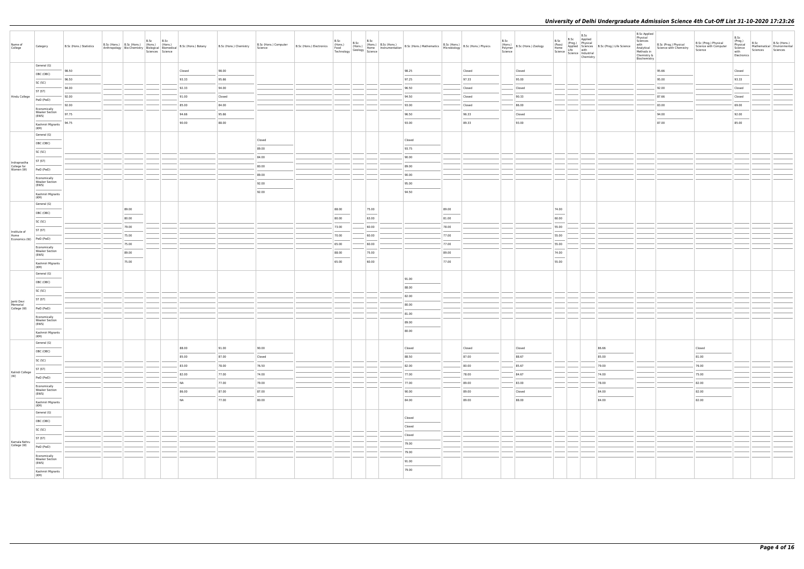| ic (Prog.) Life Science | B.Sc Applied<br>Physical<br>Sciences<br>with<br>Analytical<br>Methods in<br>Chemistry &<br>Biochemistry | B.Sc (Prog.) Physical<br>Science with Chemistry | B.Sc (Prog.) Physical<br>Science with Computer<br>Science | B.Sc<br>(Prog.)<br>Physical<br>Science<br>with<br>Electronics | B.Sc<br>Mathematical<br>Sciences | B.Sc (Hons.)<br>Environmental<br>Sciences |
|-------------------------|---------------------------------------------------------------------------------------------------------|-------------------------------------------------|-----------------------------------------------------------|---------------------------------------------------------------|----------------------------------|-------------------------------------------|
|                         |                                                                                                         | 95.66                                           |                                                           | Closed                                                        |                                  |                                           |
|                         |                                                                                                         | 95.00                                           |                                                           | 93.33                                                         |                                  |                                           |
|                         |                                                                                                         | 92.00                                           |                                                           | Closed                                                        |                                  |                                           |
|                         |                                                                                                         | 87.66                                           |                                                           | Closed                                                        |                                  |                                           |
|                         |                                                                                                         | 83.00                                           |                                                           | 69.00                                                         |                                  |                                           |
|                         |                                                                                                         | 94.00                                           |                                                           | 92.00                                                         |                                  |                                           |
|                         |                                                                                                         | 87.00                                           |                                                           | 85.00                                                         |                                  |                                           |
|                         |                                                                                                         |                                                 |                                                           |                                                               |                                  |                                           |
|                         |                                                                                                         |                                                 |                                                           |                                                               |                                  |                                           |
|                         |                                                                                                         |                                                 |                                                           |                                                               |                                  |                                           |
|                         |                                                                                                         |                                                 |                                                           |                                                               |                                  |                                           |
|                         |                                                                                                         |                                                 |                                                           |                                                               |                                  |                                           |
|                         |                                                                                                         |                                                 |                                                           |                                                               |                                  |                                           |
|                         |                                                                                                         |                                                 |                                                           |                                                               |                                  |                                           |
|                         |                                                                                                         |                                                 |                                                           |                                                               |                                  |                                           |
|                         |                                                                                                         |                                                 |                                                           |                                                               |                                  |                                           |
|                         |                                                                                                         |                                                 |                                                           |                                                               |                                  |                                           |
|                         |                                                                                                         |                                                 |                                                           |                                                               |                                  |                                           |
|                         |                                                                                                         |                                                 |                                                           |                                                               |                                  |                                           |
|                         |                                                                                                         |                                                 |                                                           |                                                               |                                  |                                           |
|                         |                                                                                                         |                                                 |                                                           |                                                               |                                  |                                           |
|                         |                                                                                                         |                                                 |                                                           |                                                               |                                  |                                           |
|                         |                                                                                                         |                                                 |                                                           |                                                               |                                  |                                           |
|                         |                                                                                                         |                                                 |                                                           |                                                               |                                  |                                           |
|                         |                                                                                                         |                                                 |                                                           |                                                               |                                  |                                           |
|                         |                                                                                                         |                                                 |                                                           |                                                               |                                  |                                           |
|                         |                                                                                                         |                                                 |                                                           |                                                               |                                  |                                           |
|                         |                                                                                                         |                                                 |                                                           |                                                               |                                  |                                           |
|                         |                                                                                                         |                                                 |                                                           |                                                               |                                  |                                           |
|                         |                                                                                                         |                                                 |                                                           |                                                               |                                  |                                           |
|                         |                                                                                                         |                                                 |                                                           |                                                               |                                  |                                           |
|                         |                                                                                                         |                                                 |                                                           |                                                               |                                  |                                           |
|                         |                                                                                                         |                                                 |                                                           |                                                               |                                  |                                           |
| 66                      |                                                                                                         |                                                 | Closed                                                    |                                                               |                                  |                                           |
| $^{00}$                 |                                                                                                         |                                                 | 81.00                                                     |                                                               |                                  |                                           |
| $00\,$                  |                                                                                                         |                                                 | 76.00                                                     |                                                               |                                  |                                           |
| $00\,$                  |                                                                                                         |                                                 | 75.00                                                     |                                                               |                                  |                                           |
| $00\,$                  |                                                                                                         |                                                 | 82.00                                                     |                                                               |                                  |                                           |
| 00                      |                                                                                                         |                                                 | 82.00                                                     |                                                               |                                  |                                           |
| 00                      |                                                                                                         |                                                 | 82.00                                                     |                                                               |                                  |                                           |
|                         |                                                                                                         |                                                 |                                                           |                                                               |                                  |                                           |
|                         |                                                                                                         |                                                 |                                                           |                                                               |                                  |                                           |
|                         |                                                                                                         |                                                 |                                                           |                                                               |                                  |                                           |
|                         |                                                                                                         |                                                 |                                                           |                                                               |                                  |                                           |
|                         |                                                                                                         |                                                 |                                                           |                                                               |                                  |                                           |
|                         |                                                                                                         |                                                 |                                                           |                                                               |                                  |                                           |
|                         |                                                                                                         |                                                 |                                                           |                                                               |                                  |                                           |
|                         |                                                                                                         |                                                 |                                                           |                                                               |                                  |                                           |
|                         |                                                                                                         |                                                 |                                                           |                                                               |                                  |                                           |
|                         |                                                                                                         |                                                 |                                                           |                                                               |                                  |                                           |

| Name of<br>College          | Category                              | B.Sc (Hons.) Statistics | B.Sc (Hons.)   B.Sc (Hons.)<br>Anthropology Bio-Chemistry Biological Biomedical | B.Sc<br>(Hons.) | B.Sc<br>(Hons.)<br>Sciences Science | B.Sc (Hons.) Botany | B.Sc (Hons.) Chemistry | B.Sc (Hons.) Computer<br>Science | B.Sc (Hons.) Electronics | B.Sc<br>(Hons.)<br>Food<br>Technology | B.Sc<br>(Hons.)<br>$\frac{1}{\text{Geology}}$ Science | B.Sc  | (Hons.) B.Sc (Hons.) | (Hons.) B.Sc (Hons.) B.Sc (Hons.) Mathematics B.Sc (Hons.) B.Sc (Hons.) Physics<br>Home Instrumentation B.Sc (Hons.) Mathematics Microbiology B.Sc (Hons.) Physics |       |        | B.Sc<br>Polymer<br>Science | $\left \frac{\text{Hons.}}{\text{Dohomar}}\right $ B.Sc (Hons.) Zoology | B.Sc<br>(Pass)<br>Home | B.Sc | B.Sc<br>Applied<br>(Prog.) Physical<br>Applied Sciences B.Sc I<br>Life with<br>Science Science Industrial<br>Chemistry |                                                                                                                                                                                                                                                                                                                                                                                                                                                                                     |
|-----------------------------|---------------------------------------|-------------------------|---------------------------------------------------------------------------------|-----------------|-------------------------------------|---------------------|------------------------|----------------------------------|--------------------------|---------------------------------------|-------------------------------------------------------|-------|----------------------|--------------------------------------------------------------------------------------------------------------------------------------------------------------------|-------|--------|----------------------------|-------------------------------------------------------------------------|------------------------|------|------------------------------------------------------------------------------------------------------------------------|-------------------------------------------------------------------------------------------------------------------------------------------------------------------------------------------------------------------------------------------------------------------------------------------------------------------------------------------------------------------------------------------------------------------------------------------------------------------------------------|
|                             | General (G)                           |                         |                                                                                 |                 |                                     |                     |                        |                                  |                          |                                       |                                                       |       |                      |                                                                                                                                                                    |       |        |                            |                                                                         |                        |      |                                                                                                                        |                                                                                                                                                                                                                                                                                                                                                                                                                                                                                     |
|                             | OBC (OBC)                             | 98.50                   |                                                                                 |                 |                                     | Closed              | 98.00                  |                                  |                          |                                       |                                                       |       |                      | 98.25                                                                                                                                                              |       | Closed |                            | Closed                                                                  |                        |      |                                                                                                                        |                                                                                                                                                                                                                                                                                                                                                                                                                                                                                     |
|                             |                                       | 96.50                   |                                                                                 |                 |                                     | 93.33               | 95.66                  |                                  |                          |                                       |                                                       |       |                      | 97.25                                                                                                                                                              |       | 97.33  |                            | 95.00                                                                   |                        |      |                                                                                                                        |                                                                                                                                                                                                                                                                                                                                                                                                                                                                                     |
|                             | SC (SC)                               | 94.00                   |                                                                                 |                 |                                     | 92.33               | 94.00                  |                                  |                          |                                       |                                                       |       |                      | 96.50                                                                                                                                                              |       | Closed |                            | Closed                                                                  |                        |      |                                                                                                                        |                                                                                                                                                                                                                                                                                                                                                                                                                                                                                     |
|                             | ST (ST)                               |                         |                                                                                 |                 |                                     |                     |                        |                                  |                          |                                       |                                                       |       |                      |                                                                                                                                                                    |       |        |                            |                                                                         |                        |      |                                                                                                                        |                                                                                                                                                                                                                                                                                                                                                                                                                                                                                     |
| Hindu College               | PwD (PwD)                             | 92.00                   |                                                                                 |                 |                                     | 91.00               | Closed                 |                                  |                          |                                       |                                                       |       |                      | 94.50                                                                                                                                                              |       | Closed |                            | 90.33                                                                   |                        |      |                                                                                                                        |                                                                                                                                                                                                                                                                                                                                                                                                                                                                                     |
|                             | Economically                          | 92.00                   |                                                                                 |                 |                                     | 85.00               | 84.00                  |                                  |                          |                                       |                                                       |       |                      | 93.00                                                                                                                                                              |       | Closed |                            | 86.00                                                                   |                        |      |                                                                                                                        |                                                                                                                                                                                                                                                                                                                                                                                                                                                                                     |
|                             | <b>Weaker Section</b>                 | 97.75                   |                                                                                 |                 |                                     | 94.66               | 95.66                  |                                  |                          |                                       |                                                       |       |                      | 96.50                                                                                                                                                              |       | 96.33  |                            | Closed                                                                  |                        |      |                                                                                                                        |                                                                                                                                                                                                                                                                                                                                                                                                                                                                                     |
|                             | (EWS)                                 |                         |                                                                                 |                 |                                     |                     | 88.00                  |                                  |                          |                                       |                                                       |       |                      |                                                                                                                                                                    |       | 89.33  |                            |                                                                         |                        |      |                                                                                                                        |                                                                                                                                                                                                                                                                                                                                                                                                                                                                                     |
|                             | Kashmiri Migrants<br>(KM)             | 94.75                   |                                                                                 |                 |                                     | 90.00               |                        |                                  |                          |                                       |                                                       |       |                      | 93.00                                                                                                                                                              |       |        |                            | 93.00                                                                   |                        |      |                                                                                                                        |                                                                                                                                                                                                                                                                                                                                                                                                                                                                                     |
|                             | General (G)                           |                         |                                                                                 |                 |                                     |                     |                        |                                  |                          |                                       |                                                       |       |                      |                                                                                                                                                                    |       |        |                            |                                                                         |                        |      |                                                                                                                        |                                                                                                                                                                                                                                                                                                                                                                                                                                                                                     |
|                             | OBC (OBC)                             |                         |                                                                                 |                 |                                     |                     |                        | Closed                           |                          |                                       |                                                       |       |                      | Closed                                                                                                                                                             |       |        |                            |                                                                         |                        |      |                                                                                                                        |                                                                                                                                                                                                                                                                                                                                                                                                                                                                                     |
|                             |                                       |                         |                                                                                 |                 |                                     |                     |                        | 89.00                            |                          |                                       |                                                       |       |                      | 93.75                                                                                                                                                              |       |        |                            |                                                                         |                        |      |                                                                                                                        |                                                                                                                                                                                                                                                                                                                                                                                                                                                                                     |
|                             | SC (SC)                               |                         |                                                                                 |                 |                                     |                     |                        |                                  |                          |                                       |                                                       |       |                      |                                                                                                                                                                    |       |        |                            |                                                                         |                        |      |                                                                                                                        |                                                                                                                                                                                                                                                                                                                                                                                                                                                                                     |
| Indraprastha                | ST (ST)                               |                         |                                                                                 |                 |                                     |                     |                        | 84.00                            |                          |                                       |                                                       |       |                      | 90.00                                                                                                                                                              |       |        |                            |                                                                         |                        |      |                                                                                                                        |                                                                                                                                                                                                                                                                                                                                                                                                                                                                                     |
| College for<br>Women (W)    | PwD (PwD)                             |                         |                                                                                 |                 |                                     |                     |                        | 80.00                            |                          |                                       |                                                       |       |                      | 89.00                                                                                                                                                              |       |        |                            |                                                                         |                        |      |                                                                                                                        |                                                                                                                                                                                                                                                                                                                                                                                                                                                                                     |
|                             |                                       |                         |                                                                                 |                 |                                     |                     |                        | 89.00                            |                          |                                       |                                                       |       |                      | 90.00                                                                                                                                                              |       |        |                            |                                                                         |                        |      |                                                                                                                        |                                                                                                                                                                                                                                                                                                                                                                                                                                                                                     |
|                             | Economically<br><b>Weaker Section</b> |                         |                                                                                 |                 |                                     |                     |                        | 92.00                            |                          |                                       |                                                       |       |                      | 95.00                                                                                                                                                              |       |        |                            |                                                                         |                        |      |                                                                                                                        |                                                                                                                                                                                                                                                                                                                                                                                                                                                                                     |
|                             | (EWS)                                 |                         |                                                                                 |                 |                                     |                     |                        |                                  |                          |                                       |                                                       |       |                      |                                                                                                                                                                    |       |        |                            |                                                                         |                        |      |                                                                                                                        |                                                                                                                                                                                                                                                                                                                                                                                                                                                                                     |
|                             | Kashmiri Migrants<br>(KM)             |                         |                                                                                 |                 |                                     |                     |                        | 92.00                            |                          |                                       |                                                       |       |                      | 94.50                                                                                                                                                              |       |        |                            |                                                                         |                        |      |                                                                                                                        |                                                                                                                                                                                                                                                                                                                                                                                                                                                                                     |
|                             | General (G)                           |                         |                                                                                 |                 |                                     |                     |                        |                                  |                          |                                       |                                                       |       |                      |                                                                                                                                                                    |       |        |                            |                                                                         |                        |      |                                                                                                                        |                                                                                                                                                                                                                                                                                                                                                                                                                                                                                     |
|                             |                                       |                         | 89.00                                                                           |                 |                                     |                     |                        |                                  |                          | 88.00                                 |                                                       | 75.00 |                      |                                                                                                                                                                    | 89.00 |        |                            |                                                                         | 74.00                  |      |                                                                                                                        |                                                                                                                                                                                                                                                                                                                                                                                                                                                                                     |
|                             | OBC (OBC)                             |                         | 80.00                                                                           |                 |                                     |                     |                        |                                  |                          | 80.00                                 |                                                       | 63.00 |                      |                                                                                                                                                                    | 81.00 |        |                            |                                                                         | 60.00                  |      |                                                                                                                        |                                                                                                                                                                                                                                                                                                                                                                                                                                                                                     |
|                             | SC (SC)                               |                         |                                                                                 |                 |                                     |                     |                        |                                  |                          |                                       |                                                       |       |                      |                                                                                                                                                                    |       |        |                            |                                                                         |                        |      |                                                                                                                        |                                                                                                                                                                                                                                                                                                                                                                                                                                                                                     |
| Institute of                | ST (ST)                               |                         | 79.00                                                                           |                 |                                     |                     |                        |                                  |                          | 73.00                                 |                                                       | 60.00 |                      |                                                                                                                                                                    | 78.00 |        |                            |                                                                         | 55.00                  |      |                                                                                                                        |                                                                                                                                                                                                                                                                                                                                                                                                                                                                                     |
| Home<br>Economics (W)       | PwD (PwD)                             |                         | 75.00                                                                           |                 |                                     |                     |                        |                                  |                          | 70.00                                 |                                                       | 60.00 |                      |                                                                                                                                                                    | 77.00 |        |                            |                                                                         | 55.00                  |      |                                                                                                                        |                                                                                                                                                                                                                                                                                                                                                                                                                                                                                     |
|                             |                                       |                         | 75.00                                                                           |                 |                                     |                     |                        |                                  |                          | 65.00                                 |                                                       | 60.00 |                      |                                                                                                                                                                    | 77.00 |        |                            |                                                                         | 55.00                  |      |                                                                                                                        |                                                                                                                                                                                                                                                                                                                                                                                                                                                                                     |
|                             | Economically<br><b>Weaker Section</b> |                         | 89.00                                                                           |                 |                                     |                     |                        |                                  |                          | 88.00                                 |                                                       | 75.00 |                      |                                                                                                                                                                    | 89.00 |        |                            |                                                                         | 74.00                  |      |                                                                                                                        |                                                                                                                                                                                                                                                                                                                                                                                                                                                                                     |
|                             | (EWS)                                 |                         |                                                                                 |                 |                                     |                     |                        |                                  |                          |                                       |                                                       |       |                      |                                                                                                                                                                    |       |        |                            |                                                                         |                        |      |                                                                                                                        |                                                                                                                                                                                                                                                                                                                                                                                                                                                                                     |
|                             | Kashmiri Migrants<br>(KM)             |                         | 75.00                                                                           |                 |                                     |                     |                        |                                  |                          | 65.00                                 |                                                       | 60.00 |                      |                                                                                                                                                                    | 77.00 |        |                            |                                                                         | 55.00                  |      |                                                                                                                        |                                                                                                                                                                                                                                                                                                                                                                                                                                                                                     |
|                             | General (G)                           |                         |                                                                                 |                 |                                     |                     |                        |                                  |                          |                                       |                                                       |       |                      |                                                                                                                                                                    |       |        |                            |                                                                         |                        |      |                                                                                                                        |                                                                                                                                                                                                                                                                                                                                                                                                                                                                                     |
|                             |                                       |                         |                                                                                 |                 |                                     |                     |                        |                                  |                          |                                       |                                                       |       |                      | 91.00                                                                                                                                                              |       |        |                            |                                                                         |                        |      |                                                                                                                        |                                                                                                                                                                                                                                                                                                                                                                                                                                                                                     |
|                             | OBC (OBC)                             |                         |                                                                                 |                 |                                     |                     |                        |                                  |                          |                                       |                                                       |       |                      | 88.00                                                                                                                                                              |       |        |                            |                                                                         |                        |      |                                                                                                                        |                                                                                                                                                                                                                                                                                                                                                                                                                                                                                     |
|                             | SC (SC)                               |                         |                                                                                 |                 |                                     |                     |                        |                                  |                          |                                       |                                                       |       |                      |                                                                                                                                                                    |       |        |                            |                                                                         |                        |      |                                                                                                                        |                                                                                                                                                                                                                                                                                                                                                                                                                                                                                     |
| Janki Devi                  | ST (ST)                               |                         |                                                                                 |                 |                                     |                     |                        |                                  |                          |                                       |                                                       |       |                      | 82.00                                                                                                                                                              |       |        |                            |                                                                         |                        |      |                                                                                                                        |                                                                                                                                                                                                                                                                                                                                                                                                                                                                                     |
| Memorial<br>College (W)     | PwD (PwD)                             |                         |                                                                                 |                 |                                     |                     |                        |                                  |                          |                                       |                                                       |       |                      | 80.00                                                                                                                                                              |       |        |                            |                                                                         |                        |      |                                                                                                                        |                                                                                                                                                                                                                                                                                                                                                                                                                                                                                     |
|                             |                                       |                         |                                                                                 |                 |                                     |                     |                        |                                  |                          |                                       |                                                       |       |                      | 81.00                                                                                                                                                              |       |        |                            |                                                                         |                        |      |                                                                                                                        |                                                                                                                                                                                                                                                                                                                                                                                                                                                                                     |
|                             | Economically<br><b>Weaker Section</b> |                         |                                                                                 |                 |                                     |                     |                        |                                  |                          |                                       |                                                       |       |                      | 89.00                                                                                                                                                              |       |        |                            |                                                                         |                        |      |                                                                                                                        |                                                                                                                                                                                                                                                                                                                                                                                                                                                                                     |
|                             | (EWS)                                 |                         |                                                                                 |                 |                                     |                     |                        |                                  |                          |                                       |                                                       |       |                      |                                                                                                                                                                    |       |        |                            |                                                                         |                        |      |                                                                                                                        |                                                                                                                                                                                                                                                                                                                                                                                                                                                                                     |
|                             | Kashmiri Migrants<br>(KM)             |                         |                                                                                 |                 |                                     |                     |                        |                                  |                          |                                       |                                                       |       |                      | 80.00                                                                                                                                                              |       |        |                            |                                                                         |                        |      |                                                                                                                        |                                                                                                                                                                                                                                                                                                                                                                                                                                                                                     |
|                             | General (G)                           |                         |                                                                                 |                 |                                     |                     |                        |                                  |                          |                                       |                                                       |       |                      |                                                                                                                                                                    |       |        |                            |                                                                         |                        |      |                                                                                                                        |                                                                                                                                                                                                                                                                                                                                                                                                                                                                                     |
|                             |                                       |                         |                                                                                 |                 |                                     | 88.00               | 91.00                  | 90.00                            |                          |                                       |                                                       |       |                      | Closed                                                                                                                                                             |       | Closed |                            | Closed                                                                  |                        |      |                                                                                                                        | 86.66                                                                                                                                                                                                                                                                                                                                                                                                                                                                               |
|                             | OBC (OBC)                             |                         |                                                                                 |                 |                                     | 85.00               | 87.00                  | Closed                           |                          |                                       |                                                       |       |                      | 88.50                                                                                                                                                              |       | 87.00  |                            | 88.67                                                                   |                        |      |                                                                                                                        | $\frac{1}{2} \left( \frac{1}{2} \right) \left( \frac{1}{2} \right) \left( \frac{1}{2} \right) \left( \frac{1}{2} \right) \left( \frac{1}{2} \right) \left( \frac{1}{2} \right) \left( \frac{1}{2} \right) \left( \frac{1}{2} \right) \left( \frac{1}{2} \right) \left( \frac{1}{2} \right) \left( \frac{1}{2} \right) \left( \frac{1}{2} \right) \left( \frac{1}{2} \right) \left( \frac{1}{2} \right) \left( \frac{1}{2} \right) \left( \frac{1}{2} \right) \left( \frac$<br>85.00 |
|                             | SC (SC)                               |                         |                                                                                 |                 |                                     |                     |                        |                                  |                          |                                       |                                                       |       |                      |                                                                                                                                                                    |       |        |                            |                                                                         |                        |      |                                                                                                                        |                                                                                                                                                                                                                                                                                                                                                                                                                                                                                     |
|                             | ST (ST)                               |                         |                                                                                 |                 |                                     | 83.00               | 78.00                  | 76.50                            |                          |                                       |                                                       |       |                      | 82.00                                                                                                                                                              |       | 80.00  |                            | 85.67                                                                   |                        |      |                                                                                                                        | 79.00                                                                                                                                                                                                                                                                                                                                                                                                                                                                               |
| Kalindi College<br>(W)      | PwD (PwD)                             |                         |                                                                                 |                 |                                     | 82.00               | 77.00                  | 74.00                            |                          |                                       |                                                       |       |                      | 77.00                                                                                                                                                              |       | 78.00  |                            | 84.67                                                                   |                        |      |                                                                                                                        | 74.00                                                                                                                                                                                                                                                                                                                                                                                                                                                                               |
|                             |                                       |                         |                                                                                 |                 |                                     | <b>NA</b>           | 77.00                  | 79.00                            |                          |                                       |                                                       |       |                      | 77.00                                                                                                                                                              |       | 89.00  |                            | 83.00                                                                   |                        |      |                                                                                                                        | 78.00                                                                                                                                                                                                                                                                                                                                                                                                                                                                               |
|                             | Economically<br><b>Weaker Section</b> |                         |                                                                                 |                 |                                     | 86.00               | 87.00                  | 87.00                            |                          |                                       |                                                       |       |                      | 90.00                                                                                                                                                              |       | 89.00  |                            | Closed                                                                  |                        |      |                                                                                                                        | 84.00                                                                                                                                                                                                                                                                                                                                                                                                                                                                               |
|                             | (EWS)                                 |                         |                                                                                 |                 |                                     |                     |                        |                                  |                          |                                       |                                                       |       |                      |                                                                                                                                                                    |       |        |                            |                                                                         |                        |      |                                                                                                                        |                                                                                                                                                                                                                                                                                                                                                                                                                                                                                     |
|                             | Kashmiri Migrants                     |                         |                                                                                 |                 |                                     | <b>NA</b>           | 77.00                  | 80.00                            |                          |                                       |                                                       |       |                      | 84.00                                                                                                                                                              |       | 89.00  |                            | 88.00                                                                   |                        |      |                                                                                                                        | 84.00                                                                                                                                                                                                                                                                                                                                                                                                                                                                               |
|                             | (KM)<br>General (G)                   |                         |                                                                                 |                 |                                     |                     |                        |                                  |                          |                                       |                                                       |       |                      |                                                                                                                                                                    |       |        |                            |                                                                         |                        |      |                                                                                                                        |                                                                                                                                                                                                                                                                                                                                                                                                                                                                                     |
|                             |                                       |                         |                                                                                 |                 |                                     |                     |                        |                                  |                          |                                       |                                                       |       |                      | Closed                                                                                                                                                             |       |        |                            |                                                                         |                        |      |                                                                                                                        |                                                                                                                                                                                                                                                                                                                                                                                                                                                                                     |
|                             | OBC (OBC)                             |                         |                                                                                 |                 |                                     |                     |                        |                                  |                          |                                       |                                                       |       |                      | Closed                                                                                                                                                             |       |        |                            |                                                                         |                        |      |                                                                                                                        |                                                                                                                                                                                                                                                                                                                                                                                                                                                                                     |
|                             | SC (SC)                               |                         |                                                                                 |                 |                                     |                     |                        |                                  |                          |                                       |                                                       |       |                      |                                                                                                                                                                    |       |        |                            |                                                                         |                        |      |                                                                                                                        |                                                                                                                                                                                                                                                                                                                                                                                                                                                                                     |
|                             | ST (ST)                               |                         |                                                                                 |                 |                                     |                     |                        |                                  |                          |                                       |                                                       |       |                      | Closed                                                                                                                                                             |       |        |                            |                                                                         |                        |      |                                                                                                                        |                                                                                                                                                                                                                                                                                                                                                                                                                                                                                     |
| Kamala Nehru<br>College (W) | PwD (PwD)                             |                         |                                                                                 |                 |                                     |                     |                        |                                  |                          |                                       |                                                       |       |                      | 79.00                                                                                                                                                              |       |        |                            |                                                                         |                        |      |                                                                                                                        |                                                                                                                                                                                                                                                                                                                                                                                                                                                                                     |
|                             |                                       |                         |                                                                                 |                 |                                     |                     |                        |                                  |                          |                                       |                                                       |       |                      | 79.00                                                                                                                                                              |       |        |                            |                                                                         |                        |      |                                                                                                                        |                                                                                                                                                                                                                                                                                                                                                                                                                                                                                     |
|                             | Economically<br><b>Weaker Section</b> |                         |                                                                                 |                 |                                     |                     |                        |                                  |                          |                                       |                                                       |       |                      |                                                                                                                                                                    |       |        |                            |                                                                         |                        |      |                                                                                                                        |                                                                                                                                                                                                                                                                                                                                                                                                                                                                                     |
|                             | (EWS)                                 |                         |                                                                                 |                 |                                     |                     |                        |                                  |                          |                                       |                                                       |       |                      | 91.00                                                                                                                                                              |       |        |                            |                                                                         |                        |      |                                                                                                                        |                                                                                                                                                                                                                                                                                                                                                                                                                                                                                     |
|                             | Kashmiri Migrants                     |                         |                                                                                 |                 |                                     |                     |                        |                                  |                          |                                       |                                                       |       |                      | 79.00                                                                                                                                                              |       |        |                            |                                                                         |                        |      |                                                                                                                        |                                                                                                                                                                                                                                                                                                                                                                                                                                                                                     |
|                             | (KM)                                  |                         |                                                                                 |                 |                                     |                     |                        |                                  |                          |                                       |                                                       |       |                      |                                                                                                                                                                    |       |        |                            |                                                                         |                        |      |                                                                                                                        |                                                                                                                                                                                                                                                                                                                                                                                                                                                                                     |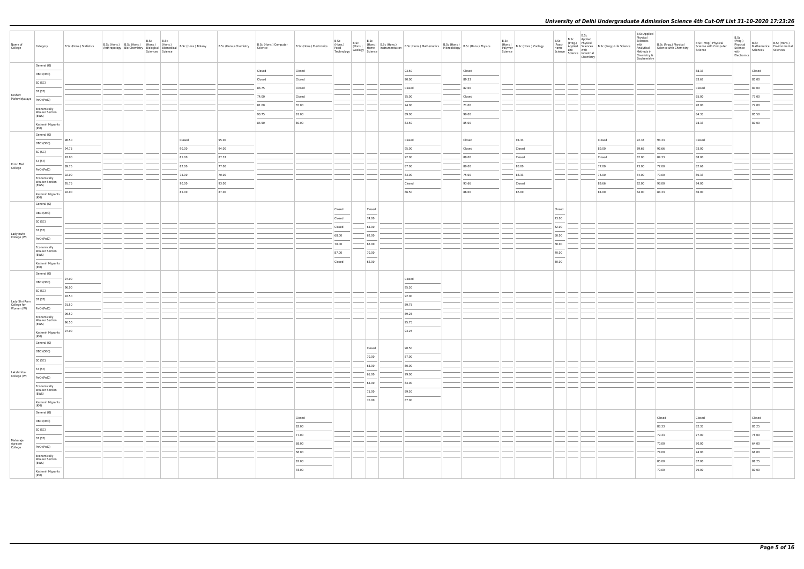| Name of<br>College                        | Category                                       | B.Sc (Hons.) Statistics | B.Sc (Hons.) B.Sc (Hons.) (Hons.) (Hons.)<br>Anthropology Bio-Chemistry Biological Biomedical | B.Sc B.Sc<br>Sciences Science | B.Sc (Hons.) Botany    | B.Sc (Hons.) Chemistry | B.Sc (Hons.) Computer<br>Science |                  | B.Sc           | B.Sc                              | $\begin{array}{ c c c c c } \hline \text{B}.\text{Sc} & \text{B}.\text{Sc} \\ \hline \text{(Hons.)} & \text{(Hons.)} & \text{B}.\text{Sc (Hons.)} \\ \hline \text{Home} & \text{Instrumentatio} \end{array}$ | B.Sc (Hons.) Electronics (Hons.) (Hons.) (Hons.) B.Sc (Hons.) B.Sc (Hons.) Mathematics B.Sc (Hons.) B.Sc (Hons.) (Hons.) (Hons.) (Hons.) (Hons.) (Hons.) (Hons.) (Hons.) (Hons.) (Hons.) (Hons.) (Hons.) (Hons.) (Hons.) (Hons                                                                                                                                                                                                                                                       |                 | B.Sc<br>Polymer<br>Science | (Hons.)<br>B.Sc (Hons.) Zoology                                                                                                                                                                                                                                                                                                                                                                                                                                                      | B.Sc<br>(Pass)<br>Home | B.Sc<br>Home<br>Science Life with<br>Science Industrial<br>Chemistry | B.Sc Applied<br>(Prog.) Physical<br>Applied Sciences B.Sc (Prog.) Life Science | <b>B.Sc Applied</b><br>Physical<br>Sciences<br>Methods in<br>Chemistry &<br>Biochemistry | with B.Sc (Prog.) Physical<br>Analytical Science with Chemistry | B.Sc (Prog.) Physical<br>Science with Computer<br>Science | B.Sc<br>(Prog.)<br>Physical<br>Science<br>with<br>Electronics | B.Sc<br>Sciences Sciences | B.Sc (Hons.)<br>Mathematical Environmental |
|-------------------------------------------|------------------------------------------------|-------------------------|-----------------------------------------------------------------------------------------------|-------------------------------|------------------------|------------------------|----------------------------------|------------------|----------------|-----------------------------------|--------------------------------------------------------------------------------------------------------------------------------------------------------------------------------------------------------------|--------------------------------------------------------------------------------------------------------------------------------------------------------------------------------------------------------------------------------------------------------------------------------------------------------------------------------------------------------------------------------------------------------------------------------------------------------------------------------------|-----------------|----------------------------|--------------------------------------------------------------------------------------------------------------------------------------------------------------------------------------------------------------------------------------------------------------------------------------------------------------------------------------------------------------------------------------------------------------------------------------------------------------------------------------|------------------------|----------------------------------------------------------------------|--------------------------------------------------------------------------------|------------------------------------------------------------------------------------------|-----------------------------------------------------------------|-----------------------------------------------------------|---------------------------------------------------------------|---------------------------|--------------------------------------------|
|                                           | General (G)                                    |                         |                                                                                               |                               |                        |                        |                                  |                  |                |                                   |                                                                                                                                                                                                              | 93.50                                                                                                                                                                                                                                                                                                                                                                                                                                                                                |                 |                            |                                                                                                                                                                                                                                                                                                                                                                                                                                                                                      |                        |                                                                      |                                                                                |                                                                                          |                                                                 |                                                           |                                                               |                           |                                            |
|                                           | OBC (OBC)                                      |                         |                                                                                               |                               |                        |                        | Closed<br>Closed                 | Closed<br>Closed |                |                                   |                                                                                                                                                                                                              | 90.00                                                                                                                                                                                                                                                                                                                                                                                                                                                                                | Closed<br>89.33 |                            |                                                                                                                                                                                                                                                                                                                                                                                                                                                                                      |                        |                                                                      |                                                                                |                                                                                          |                                                                 | 88.33<br>83.67                                            |                                                               | Closed<br>85.00           |                                            |
|                                           | SC (SC)                                        |                         |                                                                                               |                               |                        |                        | 83.75                            | Closed           |                |                                   |                                                                                                                                                                                                              | Closed                                                                                                                                                                                                                                                                                                                                                                                                                                                                               | 82.00           |                            |                                                                                                                                                                                                                                                                                                                                                                                                                                                                                      |                        |                                                                      |                                                                                |                                                                                          |                                                                 | Closed                                                    |                                                               | 80.00                     |                                            |
| Keshav                                    | ST (ST)                                        |                         |                                                                                               |                               |                        |                        | 74.00                            | Closed           |                |                                   |                                                                                                                                                                                                              | 75.00                                                                                                                                                                                                                                                                                                                                                                                                                                                                                | Closed          |                            |                                                                                                                                                                                                                                                                                                                                                                                                                                                                                      |                        |                                                                      |                                                                                |                                                                                          |                                                                 | 65.00                                                     |                                                               | 73.00                     |                                            |
| Mahavidyalaya                             | PwD (PwD)                                      |                         |                                                                                               |                               |                        |                        | 81.00                            | 65.00            |                |                                   |                                                                                                                                                                                                              | 74.00                                                                                                                                                                                                                                                                                                                                                                                                                                                                                | 71.00           |                            |                                                                                                                                                                                                                                                                                                                                                                                                                                                                                      |                        |                                                                      |                                                                                |                                                                                          |                                                                 | 70.00                                                     |                                                               | 72.00                     |                                            |
|                                           | Economically<br><b>Weaker Section</b>          |                         |                                                                                               |                               |                        |                        | 90.75                            | 81.00            |                |                                   |                                                                                                                                                                                                              | 89.00                                                                                                                                                                                                                                                                                                                                                                                                                                                                                | 90.00           |                            |                                                                                                                                                                                                                                                                                                                                                                                                                                                                                      |                        |                                                                      |                                                                                |                                                                                          |                                                                 | 84.33                                                     |                                                               | 85.50                     |                                            |
|                                           | (EWS)<br>Kashmiri Migrants                     |                         |                                                                                               |                               |                        |                        | 84.50                            | 80.00            |                |                                   |                                                                                                                                                                                                              | 83.50                                                                                                                                                                                                                                                                                                                                                                                                                                                                                | 85.00           |                            |                                                                                                                                                                                                                                                                                                                                                                                                                                                                                      |                        |                                                                      |                                                                                |                                                                                          |                                                                 | 78.33                                                     |                                                               | 80.00                     |                                            |
|                                           | (KM)                                           |                         |                                                                                               |                               |                        |                        |                                  |                  |                |                                   |                                                                                                                                                                                                              |                                                                                                                                                                                                                                                                                                                                                                                                                                                                                      |                 |                            |                                                                                                                                                                                                                                                                                                                                                                                                                                                                                      |                        |                                                                      |                                                                                |                                                                                          |                                                                 |                                                           |                                                               |                           |                                            |
|                                           | General (G)                                    | 96.50                   |                                                                                               |                               | Closed                 | 95.00                  |                                  |                  |                |                                   |                                                                                                                                                                                                              | Closed                                                                                                                                                                                                                                                                                                                                                                                                                                                                               | Closed          |                            | 94.33                                                                                                                                                                                                                                                                                                                                                                                                                                                                                |                        |                                                                      | Closed                                                                         | 92.33                                                                                    | 94.33                                                           | Closed                                                    |                                                               |                           |                                            |
|                                           | OBC (OBC)<br>SC (SC)                           | 94.75                   |                                                                                               |                               | 90.00                  | 94.00                  |                                  |                  |                |                                   |                                                                                                                                                                                                              | 95.00                                                                                                                                                                                                                                                                                                                                                                                                                                                                                | Closed          |                            | Closed                                                                                                                                                                                                                                                                                                                                                                                                                                                                               |                        |                                                                      | 89.00                                                                          | 89.66                                                                                    | 92.66                                                           | 93.00                                                     |                                                               |                           |                                            |
|                                           | ST (ST)                                        | 93.00                   |                                                                                               |                               | 85.00                  | 87.33                  |                                  |                  |                |                                   |                                                                                                                                                                                                              | 92.00                                                                                                                                                                                                                                                                                                                                                                                                                                                                                | 89.00           |                            | Closed                                                                                                                                                                                                                                                                                                                                                                                                                                                                               |                        |                                                                      | Closed                                                                         | 82.00                                                                                    | 84.33                                                           | 88.00                                                     |                                                               |                           |                                            |
| Kirori Mal<br>College                     | PwD (PwD)                                      | 89.75                   |                                                                                               |                               | 82.00                  | 77.00                  |                                  |                  |                |                                   |                                                                                                                                                                                                              | 87.00                                                                                                                                                                                                                                                                                                                                                                                                                                                                                | 80.00           |                            | 83.00                                                                                                                                                                                                                                                                                                                                                                                                                                                                                |                        |                                                                      | 77.00                                                                          | 73.00                                                                                    | 72.00                                                           | 82.66                                                     |                                                               |                           |                                            |
|                                           | Economically                                   | 92.00                   |                                                                                               |                               | 75.00                  | 70.00                  |                                  |                  |                |                                   |                                                                                                                                                                                                              | 83.00                                                                                                                                                                                                                                                                                                                                                                                                                                                                                | 75.00           |                            | 83.33                                                                                                                                                                                                                                                                                                                                                                                                                                                                                |                        |                                                                      | 75.00                                                                          | 74.00                                                                                    | 70.00                                                           | 80.33                                                     |                                                               |                           |                                            |
|                                           | <b>Weaker Section</b><br>(EWS)                 | 95.75                   |                                                                                               |                               | 90.00<br>$\frac{1}{2}$ | 93.00                  |                                  |                  |                |                                   |                                                                                                                                                                                                              | Closed<br>$\frac{1}{2} \left( \frac{1}{2} \right) \left( \frac{1}{2} \right) \left( \frac{1}{2} \right) \left( \frac{1}{2} \right) \left( \frac{1}{2} \right) \left( \frac{1}{2} \right) \left( \frac{1}{2} \right) \left( \frac{1}{2} \right) \left( \frac{1}{2} \right) \left( \frac{1}{2} \right) \left( \frac{1}{2} \right) \left( \frac{1}{2} \right) \left( \frac{1}{2} \right) \left( \frac{1}{2} \right) \left( \frac{1}{2} \right) \left( \frac{1}{2} \right) \left( \frac$ | 93.66           |                            | Closed<br>$\frac{1}{2} \left( \frac{1}{2} \right) \left( \frac{1}{2} \right) \left( \frac{1}{2} \right) \left( \frac{1}{2} \right) \left( \frac{1}{2} \right) \left( \frac{1}{2} \right) \left( \frac{1}{2} \right) \left( \frac{1}{2} \right) \left( \frac{1}{2} \right) \left( \frac{1}{2} \right) \left( \frac{1}{2} \right) \left( \frac{1}{2} \right) \left( \frac{1}{2} \right) \left( \frac{1}{2} \right) \left( \frac{1}{2} \right) \left( \frac{1}{2} \right) \left( \frac$ |                        |                                                                      | 89.66<br>$\frac{1}{2}$                                                         | 92.00                                                                                    | 93.00                                                           | 94.00                                                     |                                                               |                           |                                            |
|                                           | Kashmiri Migrants<br>(KM)                      | 92.00                   |                                                                                               |                               | 85.00                  | 87.00                  |                                  |                  |                |                                   |                                                                                                                                                                                                              | 86.50                                                                                                                                                                                                                                                                                                                                                                                                                                                                                | 86.00           |                            | 85.00                                                                                                                                                                                                                                                                                                                                                                                                                                                                                |                        |                                                                      | 84.00                                                                          | 84.00                                                                                    | 84.33                                                           | 86.00                                                     |                                                               |                           |                                            |
|                                           | General (G)                                    |                         |                                                                                               |                               |                        |                        |                                  |                  |                |                                   |                                                                                                                                                                                                              |                                                                                                                                                                                                                                                                                                                                                                                                                                                                                      |                 |                            |                                                                                                                                                                                                                                                                                                                                                                                                                                                                                      |                        |                                                                      |                                                                                |                                                                                          |                                                                 |                                                           |                                                               |                           |                                            |
|                                           | OBC (OBC)                                      |                         |                                                                                               |                               |                        |                        |                                  |                  | Closed         | Closed                            |                                                                                                                                                                                                              |                                                                                                                                                                                                                                                                                                                                                                                                                                                                                      |                 |                            |                                                                                                                                                                                                                                                                                                                                                                                                                                                                                      | Closed                 |                                                                      |                                                                                |                                                                                          |                                                                 |                                                           |                                                               |                           |                                            |
|                                           | SC (SC)                                        |                         |                                                                                               |                               |                        |                        |                                  |                  | Closed         | 74.00                             |                                                                                                                                                                                                              |                                                                                                                                                                                                                                                                                                                                                                                                                                                                                      |                 |                            |                                                                                                                                                                                                                                                                                                                                                                                                                                                                                      | 73.00                  |                                                                      |                                                                                |                                                                                          |                                                                 |                                                           |                                                               |                           |                                            |
|                                           | ST (ST)                                        |                         |                                                                                               |                               |                        |                        |                                  |                  | Closed         | 65.00                             |                                                                                                                                                                                                              |                                                                                                                                                                                                                                                                                                                                                                                                                                                                                      |                 |                            |                                                                                                                                                                                                                                                                                                                                                                                                                                                                                      | 62.00                  |                                                                      |                                                                                |                                                                                          |                                                                 |                                                           |                                                               |                           |                                            |
| Lady Irwin<br>College (W)                 | PwD (PwD)                                      |                         |                                                                                               |                               |                        |                        |                                  |                  | 68.00          | 62.00                             |                                                                                                                                                                                                              |                                                                                                                                                                                                                                                                                                                                                                                                                                                                                      |                 |                            |                                                                                                                                                                                                                                                                                                                                                                                                                                                                                      | 60.00                  |                                                                      |                                                                                |                                                                                          |                                                                 |                                                           |                                                               |                           |                                            |
|                                           | Economically<br><b>Weaker Section</b>          |                         |                                                                                               |                               |                        |                        |                                  |                  | 70.00<br>87.00 | 62.00<br>70.00                    |                                                                                                                                                                                                              |                                                                                                                                                                                                                                                                                                                                                                                                                                                                                      |                 |                            |                                                                                                                                                                                                                                                                                                                                                                                                                                                                                      | 60.00<br>70.00         |                                                                      |                                                                                |                                                                                          |                                                                 |                                                           |                                                               |                           |                                            |
|                                           | (EWS)                                          |                         |                                                                                               |                               |                        |                        |                                  |                  | Closed         | $\overline{\phantom{a}}$<br>62.00 |                                                                                                                                                                                                              |                                                                                                                                                                                                                                                                                                                                                                                                                                                                                      |                 |                            |                                                                                                                                                                                                                                                                                                                                                                                                                                                                                      | $\sim$<br>60.00        |                                                                      |                                                                                |                                                                                          |                                                                 |                                                           |                                                               |                           |                                            |
|                                           | Kashmiri Migrants<br>(KM)                      |                         |                                                                                               |                               |                        |                        |                                  |                  |                |                                   |                                                                                                                                                                                                              |                                                                                                                                                                                                                                                                                                                                                                                                                                                                                      |                 |                            |                                                                                                                                                                                                                                                                                                                                                                                                                                                                                      |                        |                                                                      |                                                                                |                                                                                          |                                                                 |                                                           |                                                               |                           |                                            |
|                                           | General (G)                                    | 97.00                   |                                                                                               |                               |                        |                        |                                  |                  |                |                                   |                                                                                                                                                                                                              | Closed                                                                                                                                                                                                                                                                                                                                                                                                                                                                               |                 |                            |                                                                                                                                                                                                                                                                                                                                                                                                                                                                                      |                        |                                                                      |                                                                                |                                                                                          |                                                                 |                                                           |                                                               |                           |                                            |
|                                           | OBC (OBC)                                      | 96.00                   |                                                                                               |                               |                        |                        |                                  |                  |                |                                   |                                                                                                                                                                                                              | 95.50                                                                                                                                                                                                                                                                                                                                                                                                                                                                                |                 |                            |                                                                                                                                                                                                                                                                                                                                                                                                                                                                                      |                        |                                                                      |                                                                                |                                                                                          |                                                                 |                                                           |                                                               |                           |                                            |
|                                           | SC (SC)                                        | 92.50                   |                                                                                               |                               |                        |                        |                                  |                  |                |                                   |                                                                                                                                                                                                              | 92.00                                                                                                                                                                                                                                                                                                                                                                                                                                                                                |                 |                            |                                                                                                                                                                                                                                                                                                                                                                                                                                                                                      |                        |                                                                      |                                                                                |                                                                                          |                                                                 |                                                           |                                                               |                           |                                            |
| Lady Shri Ram<br>College for<br>Women (W) | ST (ST)                                        | 91.50                   |                                                                                               |                               |                        |                        |                                  |                  |                |                                   |                                                                                                                                                                                                              | 89.75                                                                                                                                                                                                                                                                                                                                                                                                                                                                                |                 |                            |                                                                                                                                                                                                                                                                                                                                                                                                                                                                                      |                        |                                                                      |                                                                                |                                                                                          |                                                                 |                                                           |                                                               |                           |                                            |
|                                           | PwD (PwD)<br>Economically                      | 96.50                   |                                                                                               |                               |                        |                        |                                  |                  |                |                                   |                                                                                                                                                                                                              | 89.25                                                                                                                                                                                                                                                                                                                                                                                                                                                                                |                 |                            |                                                                                                                                                                                                                                                                                                                                                                                                                                                                                      |                        |                                                                      |                                                                                |                                                                                          |                                                                 |                                                           |                                                               |                           |                                            |
|                                           | Weaker Section<br>(EWS)                        | 96.50                   |                                                                                               |                               |                        |                        |                                  |                  |                |                                   |                                                                                                                                                                                                              | 95.75                                                                                                                                                                                                                                                                                                                                                                                                                                                                                |                 |                            |                                                                                                                                                                                                                                                                                                                                                                                                                                                                                      |                        |                                                                      |                                                                                |                                                                                          |                                                                 |                                                           |                                                               |                           |                                            |
|                                           | Kashmiri Migrants                              | 97.00                   |                                                                                               |                               |                        |                        |                                  |                  |                |                                   |                                                                                                                                                                                                              | 93.25                                                                                                                                                                                                                                                                                                                                                                                                                                                                                |                 |                            |                                                                                                                                                                                                                                                                                                                                                                                                                                                                                      |                        |                                                                      |                                                                                |                                                                                          |                                                                 |                                                           |                                                               |                           |                                            |
|                                           | (KM)<br>General (G)                            |                         |                                                                                               |                               |                        |                        |                                  |                  |                |                                   |                                                                                                                                                                                                              |                                                                                                                                                                                                                                                                                                                                                                                                                                                                                      |                 |                            |                                                                                                                                                                                                                                                                                                                                                                                                                                                                                      |                        |                                                                      |                                                                                |                                                                                          |                                                                 |                                                           |                                                               |                           |                                            |
|                                           | OBC (OBC)                                      |                         |                                                                                               |                               |                        |                        |                                  |                  |                | Closed                            |                                                                                                                                                                                                              | 90.50                                                                                                                                                                                                                                                                                                                                                                                                                                                                                |                 |                            |                                                                                                                                                                                                                                                                                                                                                                                                                                                                                      |                        |                                                                      |                                                                                |                                                                                          |                                                                 |                                                           |                                                               |                           |                                            |
|                                           | SC (SC)                                        |                         |                                                                                               |                               |                        |                        |                                  |                  |                | 70.00                             |                                                                                                                                                                                                              | 87.00                                                                                                                                                                                                                                                                                                                                                                                                                                                                                |                 |                            |                                                                                                                                                                                                                                                                                                                                                                                                                                                                                      |                        |                                                                      |                                                                                |                                                                                          |                                                                 |                                                           |                                                               |                           |                                            |
|                                           | ST (ST)                                        |                         |                                                                                               |                               |                        |                        |                                  |                  |                | 68.00                             |                                                                                                                                                                                                              | 80.00                                                                                                                                                                                                                                                                                                                                                                                                                                                                                |                 |                            |                                                                                                                                                                                                                                                                                                                                                                                                                                                                                      |                        |                                                                      |                                                                                |                                                                                          |                                                                 |                                                           |                                                               |                           |                                            |
| Lakshmibai<br>College (W)                 | PwD (PwD)                                      |                         |                                                                                               |                               |                        |                        |                                  |                  |                | 65.00                             |                                                                                                                                                                                                              | 79.00                                                                                                                                                                                                                                                                                                                                                                                                                                                                                |                 |                            |                                                                                                                                                                                                                                                                                                                                                                                                                                                                                      |                        |                                                                      |                                                                                |                                                                                          |                                                                 |                                                           |                                                               |                           |                                            |
|                                           | Economically<br>Weaker Section                 |                         |                                                                                               |                               |                        |                        |                                  |                  |                | 65.00                             |                                                                                                                                                                                                              | 84.00                                                                                                                                                                                                                                                                                                                                                                                                                                                                                |                 |                            |                                                                                                                                                                                                                                                                                                                                                                                                                                                                                      |                        |                                                                      |                                                                                |                                                                                          |                                                                 |                                                           |                                                               |                           |                                            |
|                                           | (EWS)                                          |                         |                                                                                               |                               |                        |                        |                                  |                  |                | 75.00<br>$\overline{\phantom{a}}$ |                                                                                                                                                                                                              | 89.50                                                                                                                                                                                                                                                                                                                                                                                                                                                                                |                 |                            |                                                                                                                                                                                                                                                                                                                                                                                                                                                                                      |                        |                                                                      |                                                                                |                                                                                          |                                                                 |                                                           |                                                               |                           |                                            |
|                                           | Kashmiri Migrants<br>(KM)                      |                         |                                                                                               |                               |                        |                        |                                  |                  |                | 70.00                             |                                                                                                                                                                                                              | 87.00                                                                                                                                                                                                                                                                                                                                                                                                                                                                                |                 |                            |                                                                                                                                                                                                                                                                                                                                                                                                                                                                                      |                        |                                                                      |                                                                                |                                                                                          |                                                                 |                                                           |                                                               |                           |                                            |
|                                           | General (G)                                    |                         |                                                                                               |                               |                        |                        |                                  | Closed           |                |                                   |                                                                                                                                                                                                              |                                                                                                                                                                                                                                                                                                                                                                                                                                                                                      |                 |                            |                                                                                                                                                                                                                                                                                                                                                                                                                                                                                      |                        |                                                                      |                                                                                |                                                                                          | Closed                                                          | Closed                                                    |                                                               | Closed                    |                                            |
|                                           | OBC (OBC)                                      |                         |                                                                                               |                               |                        |                        |                                  | 82.00            |                |                                   |                                                                                                                                                                                                              |                                                                                                                                                                                                                                                                                                                                                                                                                                                                                      |                 |                            |                                                                                                                                                                                                                                                                                                                                                                                                                                                                                      |                        |                                                                      |                                                                                |                                                                                          | 83.33                                                           | 82.33                                                     |                                                               | 85.25                     |                                            |
|                                           | SC (SC)                                        |                         |                                                                                               |                               |                        |                        |                                  | 77.00            |                |                                   |                                                                                                                                                                                                              |                                                                                                                                                                                                                                                                                                                                                                                                                                                                                      |                 |                            |                                                                                                                                                                                                                                                                                                                                                                                                                                                                                      |                        |                                                                      |                                                                                |                                                                                          | 79.33                                                           | 77.00                                                     |                                                               | 78.00                     |                                            |
| Maharaja                                  | ST (ST)                                        |                         |                                                                                               |                               |                        |                        |                                  | 68.00            |                |                                   |                                                                                                                                                                                                              |                                                                                                                                                                                                                                                                                                                                                                                                                                                                                      |                 |                            |                                                                                                                                                                                                                                                                                                                                                                                                                                                                                      |                        |                                                                      |                                                                                |                                                                                          | 70.00                                                           | 70.00                                                     |                                                               | 64.00                     |                                            |
| Agrasen<br>College                        | PwD (PwD)                                      |                         |                                                                                               |                               |                        |                        |                                  | 68.00            |                |                                   |                                                                                                                                                                                                              |                                                                                                                                                                                                                                                                                                                                                                                                                                                                                      |                 |                            |                                                                                                                                                                                                                                                                                                                                                                                                                                                                                      |                        |                                                                      |                                                                                |                                                                                          | 74.00                                                           | 74.00                                                     |                                                               | 68.00                     |                                            |
|                                           | Economically<br><b>Weaker Section</b><br>(EWS) |                         |                                                                                               |                               |                        |                        |                                  | 82.00            |                |                                   |                                                                                                                                                                                                              |                                                                                                                                                                                                                                                                                                                                                                                                                                                                                      |                 |                            |                                                                                                                                                                                                                                                                                                                                                                                                                                                                                      |                        |                                                                      |                                                                                |                                                                                          | 85.00                                                           | 87.00                                                     |                                                               | 88.25                     |                                            |
|                                           | Kashmiri Migrants                              |                         |                                                                                               |                               |                        |                        |                                  | 78.00            |                |                                   |                                                                                                                                                                                                              |                                                                                                                                                                                                                                                                                                                                                                                                                                                                                      |                 |                            |                                                                                                                                                                                                                                                                                                                                                                                                                                                                                      |                        |                                                                      |                                                                                |                                                                                          | 79.00                                                           | 79.00                                                     |                                                               | 80.00                     |                                            |
|                                           | (KM)                                           |                         |                                                                                               |                               |                        |                        |                                  |                  |                |                                   |                                                                                                                                                                                                              |                                                                                                                                                                                                                                                                                                                                                                                                                                                                                      |                 |                            |                                                                                                                                                                                                                                                                                                                                                                                                                                                                                      |                        |                                                                      |                                                                                |                                                                                          |                                                                 |                                                           |                                                               |                           |                                            |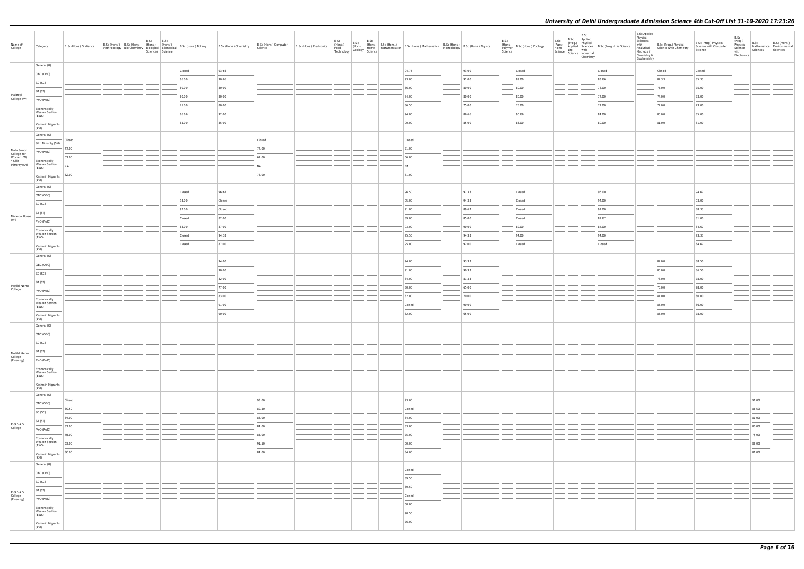| Name of<br>College                      | Category                                                                                                                                                                                                                                                                                                                                                                                                                                                                                                 | B.Sc (Hons.) Statistics | B.Sc (Hons.) B.Sc (Hons.) (Hons.) (Hons.)<br>Anthropology Bio-Chemistry Biological Biomedical | B.Sc | B.Sc<br>Sciences Science | B.Sc (Hons.) Botany | B.Sc (Hons.) Chemistry | B.Sc (Hons.) Computer<br>Science                                                                                                                                                                                                                                                                                                                                                                                                                                                    | B.Sc (Hons.) Electronics<br>Food<br>Technology | B.Sc<br>B.Sc<br>(Hons.)<br>Geology Home<br>Science | B.Sc | (Hons.) B.Sc (Hons.) B.Sc (Hons.) Mathematics B.Sc (Hons.) B.Sc (Hons.) Physics<br>Home Instrumentation B.Sc (Hons.) Mathematics Microbiology B.Sc (Hons.) Physics                                                                                                                                                                                                                                                                                                                   |       | B.Sc<br>(Hons.)<br>Polymer<br>Science | B.Sc (Hons.) Zoology | B.Sc | B.Sc<br>B.Sc Applied<br>(Pass) (Prog.) Physical<br>Home Applied Sciences<br>Science Life with<br>Science Industrial<br>Chemistry | Processor<br>Applied Sciences<br>Life with<br>Life with | <b>B.Sc Applied</b><br>Physical<br>Sciences<br>Methods in<br>Chemistry &<br>Biochemistry | with B.Sc (Prog.) Physical<br>Analytical Science with Chemistry | B.Sc (Prog.) Physical<br>Science with Computer<br>Science | B.Sc<br>(Prog.)<br>Physical<br>Science<br>with<br>Electronics | B.Sc<br>Sciences                                                                                                                                                                                                                                                                                                                                                                                                                                                                    | B.Sc (Hons.)<br>Mathematical Environmental<br>Sciences |
|-----------------------------------------|----------------------------------------------------------------------------------------------------------------------------------------------------------------------------------------------------------------------------------------------------------------------------------------------------------------------------------------------------------------------------------------------------------------------------------------------------------------------------------------------------------|-------------------------|-----------------------------------------------------------------------------------------------|------|--------------------------|---------------------|------------------------|-------------------------------------------------------------------------------------------------------------------------------------------------------------------------------------------------------------------------------------------------------------------------------------------------------------------------------------------------------------------------------------------------------------------------------------------------------------------------------------|------------------------------------------------|----------------------------------------------------|------|--------------------------------------------------------------------------------------------------------------------------------------------------------------------------------------------------------------------------------------------------------------------------------------------------------------------------------------------------------------------------------------------------------------------------------------------------------------------------------------|-------|---------------------------------------|----------------------|------|----------------------------------------------------------------------------------------------------------------------------------|---------------------------------------------------------|------------------------------------------------------------------------------------------|-----------------------------------------------------------------|-----------------------------------------------------------|---------------------------------------------------------------|-------------------------------------------------------------------------------------------------------------------------------------------------------------------------------------------------------------------------------------------------------------------------------------------------------------------------------------------------------------------------------------------------------------------------------------------------------------------------------------|--------------------------------------------------------|
|                                         | General (G)                                                                                                                                                                                                                                                                                                                                                                                                                                                                                              |                         |                                                                                               |      |                          | Closed              | 93.66                  |                                                                                                                                                                                                                                                                                                                                                                                                                                                                                     |                                                |                                                    |      | 94.75                                                                                                                                                                                                                                                                                                                                                                                                                                                                                | 93.00 |                                       | Closed               |      |                                                                                                                                  | Closed                                                  |                                                                                          | Closed                                                          | Closed                                                    |                                                               |                                                                                                                                                                                                                                                                                                                                                                                                                                                                                     |                                                        |
|                                         | OBC (OBC)                                                                                                                                                                                                                                                                                                                                                                                                                                                                                                |                         |                                                                                               |      |                          | 86.00               | 90.66                  |                                                                                                                                                                                                                                                                                                                                                                                                                                                                                     |                                                |                                                    |      | 93.00                                                                                                                                                                                                                                                                                                                                                                                                                                                                                | 91.00 |                                       | 89.00                |      |                                                                                                                                  | 83.66                                                   |                                                                                          | 87.33                                                           | 85.33                                                     |                                                               |                                                                                                                                                                                                                                                                                                                                                                                                                                                                                     |                                                        |
|                                         | SC (SC)                                                                                                                                                                                                                                                                                                                                                                                                                                                                                                  |                         |                                                                                               |      |                          | 80.00               | 80.00                  |                                                                                                                                                                                                                                                                                                                                                                                                                                                                                     |                                                |                                                    |      | 86.00                                                                                                                                                                                                                                                                                                                                                                                                                                                                                | 80.00 |                                       | 80.00                |      |                                                                                                                                  | 78.00                                                   |                                                                                          | 76.00                                                           | 75.00                                                     |                                                               |                                                                                                                                                                                                                                                                                                                                                                                                                                                                                     |                                                        |
| Maitreyi                                | ST (ST)                                                                                                                                                                                                                                                                                                                                                                                                                                                                                                  |                         |                                                                                               |      |                          | 80.00               | 80.00                  |                                                                                                                                                                                                                                                                                                                                                                                                                                                                                     |                                                |                                                    |      | 84.00                                                                                                                                                                                                                                                                                                                                                                                                                                                                                | 80.00 |                                       | 80.00                |      |                                                                                                                                  | 77.00                                                   |                                                                                          | 74.00                                                           | 73.00                                                     |                                                               |                                                                                                                                                                                                                                                                                                                                                                                                                                                                                     |                                                        |
| College (W)                             | PwD (PwD)                                                                                                                                                                                                                                                                                                                                                                                                                                                                                                |                         |                                                                                               |      |                          | 75.00               | 80.00                  |                                                                                                                                                                                                                                                                                                                                                                                                                                                                                     |                                                |                                                    |      | 86.50                                                                                                                                                                                                                                                                                                                                                                                                                                                                                | 75.00 |                                       | 75.00                |      |                                                                                                                                  | 72.00                                                   |                                                                                          | 74.00                                                           | 73.00                                                     |                                                               |                                                                                                                                                                                                                                                                                                                                                                                                                                                                                     |                                                        |
|                                         | Economically<br><b>Weaker Section</b>                                                                                                                                                                                                                                                                                                                                                                                                                                                                    |                         |                                                                                               |      |                          | 86.66               | 92.00                  |                                                                                                                                                                                                                                                                                                                                                                                                                                                                                     |                                                |                                                    |      | 94.00                                                                                                                                                                                                                                                                                                                                                                                                                                                                                | 86.66 |                                       | 90.66                |      |                                                                                                                                  | 84.00                                                   |                                                                                          | 85.00                                                           | 85.00                                                     |                                                               |                                                                                                                                                                                                                                                                                                                                                                                                                                                                                     |                                                        |
|                                         | (EWS)                                                                                                                                                                                                                                                                                                                                                                                                                                                                                                    |                         |                                                                                               |      |                          | 85.00               | 85.00                  |                                                                                                                                                                                                                                                                                                                                                                                                                                                                                     |                                                |                                                    |      | 90.00                                                                                                                                                                                                                                                                                                                                                                                                                                                                                | 85.00 |                                       | 83.00                |      |                                                                                                                                  | 80.00                                                   |                                                                                          | 81.00                                                           | 81.00                                                     |                                                               |                                                                                                                                                                                                                                                                                                                                                                                                                                                                                     |                                                        |
|                                         | Kashmiri Migrants<br>(KM)                                                                                                                                                                                                                                                                                                                                                                                                                                                                                |                         |                                                                                               |      |                          |                     |                        |                                                                                                                                                                                                                                                                                                                                                                                                                                                                                     |                                                |                                                    |      |                                                                                                                                                                                                                                                                                                                                                                                                                                                                                      |       |                                       |                      |      |                                                                                                                                  |                                                         |                                                                                          |                                                                 |                                                           |                                                               |                                                                                                                                                                                                                                                                                                                                                                                                                                                                                     |                                                        |
|                                         | General (G)                                                                                                                                                                                                                                                                                                                                                                                                                                                                                              | Closed                  |                                                                                               |      |                          |                     |                        | Closed                                                                                                                                                                                                                                                                                                                                                                                                                                                                              |                                                |                                                    |      | Closed                                                                                                                                                                                                                                                                                                                                                                                                                                                                               |       |                                       |                      |      |                                                                                                                                  |                                                         |                                                                                          |                                                                 |                                                           |                                                               |                                                                                                                                                                                                                                                                                                                                                                                                                                                                                     |                                                        |
|                                         | Sikh Minority (SM)                                                                                                                                                                                                                                                                                                                                                                                                                                                                                       | 77.00                   |                                                                                               |      |                          |                     |                        | 77.00                                                                                                                                                                                                                                                                                                                                                                                                                                                                               |                                                |                                                    |      | 71.00                                                                                                                                                                                                                                                                                                                                                                                                                                                                                |       |                                       |                      |      |                                                                                                                                  |                                                         |                                                                                          |                                                                 |                                                           |                                                               |                                                                                                                                                                                                                                                                                                                                                                                                                                                                                     |                                                        |
| Mata Sundri<br>College for<br>Women (W) | PwD (PwD)<br>and the control of                                                                                                                                                                                                                                                                                                                                                                                                                                                                          | 67.00                   |                                                                                               |      |                          |                     |                        | 67.00                                                                                                                                                                                                                                                                                                                                                                                                                                                                               |                                                |                                                    |      | 66.00                                                                                                                                                                                                                                                                                                                                                                                                                                                                                |       |                                       |                      |      |                                                                                                                                  |                                                         |                                                                                          |                                                                 |                                                           |                                                               |                                                                                                                                                                                                                                                                                                                                                                                                                                                                                     |                                                        |
| * Sikh<br>Minority(SM)                  | Economically<br><b>Weaker Section</b>                                                                                                                                                                                                                                                                                                                                                                                                                                                                    | NA                      |                                                                                               |      |                          |                     |                        | <b>NA</b>                                                                                                                                                                                                                                                                                                                                                                                                                                                                           |                                                |                                                    |      | NA                                                                                                                                                                                                                                                                                                                                                                                                                                                                                   |       |                                       |                      |      |                                                                                                                                  |                                                         |                                                                                          |                                                                 |                                                           |                                                               |                                                                                                                                                                                                                                                                                                                                                                                                                                                                                     |                                                        |
|                                         | (EWS)                                                                                                                                                                                                                                                                                                                                                                                                                                                                                                    | 82.00                   |                                                                                               |      |                          |                     |                        | 78.00                                                                                                                                                                                                                                                                                                                                                                                                                                                                               |                                                |                                                    |      | 81.00                                                                                                                                                                                                                                                                                                                                                                                                                                                                                |       |                                       |                      |      |                                                                                                                                  |                                                         |                                                                                          |                                                                 |                                                           |                                                               |                                                                                                                                                                                                                                                                                                                                                                                                                                                                                     |                                                        |
|                                         | Kashmiri Migrants<br>(KM)                                                                                                                                                                                                                                                                                                                                                                                                                                                                                |                         |                                                                                               |      |                          |                     |                        |                                                                                                                                                                                                                                                                                                                                                                                                                                                                                     |                                                |                                                    |      |                                                                                                                                                                                                                                                                                                                                                                                                                                                                                      |       |                                       |                      |      |                                                                                                                                  |                                                         |                                                                                          |                                                                 |                                                           |                                                               |                                                                                                                                                                                                                                                                                                                                                                                                                                                                                     |                                                        |
|                                         | General (G)                                                                                                                                                                                                                                                                                                                                                                                                                                                                                              |                         |                                                                                               |      |                          | Closed              | 96.67                  |                                                                                                                                                                                                                                                                                                                                                                                                                                                                                     |                                                |                                                    |      | 96.50                                                                                                                                                                                                                                                                                                                                                                                                                                                                                | 97.33 |                                       | Closed               |      |                                                                                                                                  | 96.00                                                   |                                                                                          |                                                                 | 94.67                                                     |                                                               |                                                                                                                                                                                                                                                                                                                                                                                                                                                                                     |                                                        |
|                                         | OBC (OBC)                                                                                                                                                                                                                                                                                                                                                                                                                                                                                                |                         |                                                                                               |      |                          | 93.00               | Closed                 |                                                                                                                                                                                                                                                                                                                                                                                                                                                                                     |                                                |                                                    |      | 95.00                                                                                                                                                                                                                                                                                                                                                                                                                                                                                | 94.33 |                                       | Closed               |      |                                                                                                                                  | 94.00                                                   |                                                                                          |                                                                 | 93.00                                                     |                                                               |                                                                                                                                                                                                                                                                                                                                                                                                                                                                                     |                                                        |
|                                         | SC (SC)                                                                                                                                                                                                                                                                                                                                                                                                                                                                                                  |                         |                                                                                               |      |                          | 92.00               | Closed                 |                                                                                                                                                                                                                                                                                                                                                                                                                                                                                     |                                                |                                                    |      | 91.00                                                                                                                                                                                                                                                                                                                                                                                                                                                                                | 89.67 |                                       | Closed               |      |                                                                                                                                  | 92.00                                                   |                                                                                          |                                                                 | 88.33                                                     |                                                               |                                                                                                                                                                                                                                                                                                                                                                                                                                                                                     |                                                        |
| Miranda House                           | ST (ST)                                                                                                                                                                                                                                                                                                                                                                                                                                                                                                  |                         |                                                                                               |      |                          | Closed              | 82.00                  |                                                                                                                                                                                                                                                                                                                                                                                                                                                                                     |                                                |                                                    |      | 89.00                                                                                                                                                                                                                                                                                                                                                                                                                                                                                | 85.00 |                                       | Closed               |      |                                                                                                                                  | 89.67                                                   |                                                                                          |                                                                 | 81.00                                                     |                                                               |                                                                                                                                                                                                                                                                                                                                                                                                                                                                                     |                                                        |
| (W)                                     | PwD (PwD)                                                                                                                                                                                                                                                                                                                                                                                                                                                                                                |                         |                                                                                               |      |                          | 88.00               | 87.00                  |                                                                                                                                                                                                                                                                                                                                                                                                                                                                                     |                                                |                                                    |      | 93.00                                                                                                                                                                                                                                                                                                                                                                                                                                                                                | 90.00 |                                       | 89.00                |      |                                                                                                                                  | 84.00                                                   |                                                                                          |                                                                 | 84.67                                                     |                                                               |                                                                                                                                                                                                                                                                                                                                                                                                                                                                                     |                                                        |
|                                         | Economically<br><b>Weaker Section</b>                                                                                                                                                                                                                                                                                                                                                                                                                                                                    |                         |                                                                                               |      |                          | Closed              | 94.33                  |                                                                                                                                                                                                                                                                                                                                                                                                                                                                                     |                                                |                                                    |      | 95.50                                                                                                                                                                                                                                                                                                                                                                                                                                                                                | 94.33 |                                       | 94.00                |      |                                                                                                                                  | 94.00                                                   |                                                                                          |                                                                 | 93.33                                                     |                                                               |                                                                                                                                                                                                                                                                                                                                                                                                                                                                                     |                                                        |
|                                         | (EWS)                                                                                                                                                                                                                                                                                                                                                                                                                                                                                                    |                         |                                                                                               |      |                          | Closed              | 87.00                  |                                                                                                                                                                                                                                                                                                                                                                                                                                                                                     |                                                |                                                    |      | 95.00                                                                                                                                                                                                                                                                                                                                                                                                                                                                                | 92.00 |                                       | Closed               |      |                                                                                                                                  | Closed                                                  |                                                                                          |                                                                 | 84.67                                                     |                                                               |                                                                                                                                                                                                                                                                                                                                                                                                                                                                                     |                                                        |
|                                         | Kashmiri Migrants<br>(KM)                                                                                                                                                                                                                                                                                                                                                                                                                                                                                |                         |                                                                                               |      |                          |                     |                        |                                                                                                                                                                                                                                                                                                                                                                                                                                                                                     |                                                |                                                    |      |                                                                                                                                                                                                                                                                                                                                                                                                                                                                                      |       |                                       |                      |      |                                                                                                                                  |                                                         |                                                                                          |                                                                 |                                                           |                                                               |                                                                                                                                                                                                                                                                                                                                                                                                                                                                                     |                                                        |
|                                         | General (G)                                                                                                                                                                                                                                                                                                                                                                                                                                                                                              |                         |                                                                                               |      |                          |                     | 94.00                  |                                                                                                                                                                                                                                                                                                                                                                                                                                                                                     |                                                |                                                    |      | 94.00                                                                                                                                                                                                                                                                                                                                                                                                                                                                                | 93.33 |                                       |                      |      |                                                                                                                                  |                                                         |                                                                                          | 87.00                                                           | 88.50                                                     |                                                               |                                                                                                                                                                                                                                                                                                                                                                                                                                                                                     |                                                        |
|                                         | OBC (OBC)                                                                                                                                                                                                                                                                                                                                                                                                                                                                                                |                         |                                                                                               |      |                          |                     | 90.00                  |                                                                                                                                                                                                                                                                                                                                                                                                                                                                                     |                                                |                                                    |      | 91.00                                                                                                                                                                                                                                                                                                                                                                                                                                                                                | 90.33 |                                       |                      |      |                                                                                                                                  |                                                         |                                                                                          | 85.00                                                           | 86.50                                                     |                                                               |                                                                                                                                                                                                                                                                                                                                                                                                                                                                                     |                                                        |
|                                         | SC (SC)                                                                                                                                                                                                                                                                                                                                                                                                                                                                                                  |                         |                                                                                               |      |                          |                     | 82.00                  |                                                                                                                                                                                                                                                                                                                                                                                                                                                                                     |                                                |                                                    |      | 84.00                                                                                                                                                                                                                                                                                                                                                                                                                                                                                | 81.33 |                                       |                      |      |                                                                                                                                  |                                                         |                                                                                          | 78.00                                                           | 78.00                                                     |                                                               |                                                                                                                                                                                                                                                                                                                                                                                                                                                                                     |                                                        |
| Motilal Nehru                           | ST (ST)                                                                                                                                                                                                                                                                                                                                                                                                                                                                                                  |                         |                                                                                               |      |                          |                     | 77.00                  |                                                                                                                                                                                                                                                                                                                                                                                                                                                                                     |                                                |                                                    |      | 80.00                                                                                                                                                                                                                                                                                                                                                                                                                                                                                | 65.00 |                                       |                      |      |                                                                                                                                  |                                                         |                                                                                          | 75.00                                                           | 78.00                                                     |                                                               |                                                                                                                                                                                                                                                                                                                                                                                                                                                                                     |                                                        |
| College                                 | PwD (PwD)                                                                                                                                                                                                                                                                                                                                                                                                                                                                                                |                         |                                                                                               |      |                          |                     | 83.00                  |                                                                                                                                                                                                                                                                                                                                                                                                                                                                                     |                                                |                                                    |      | 82.00                                                                                                                                                                                                                                                                                                                                                                                                                                                                                | 70.00 |                                       |                      |      |                                                                                                                                  |                                                         |                                                                                          | 81.00                                                           | 80.00                                                     |                                                               |                                                                                                                                                                                                                                                                                                                                                                                                                                                                                     |                                                        |
|                                         | Economically<br><b>Weaker Section</b>                                                                                                                                                                                                                                                                                                                                                                                                                                                                    |                         |                                                                                               |      |                          |                     | 91.00                  |                                                                                                                                                                                                                                                                                                                                                                                                                                                                                     |                                                |                                                    |      | Closed                                                                                                                                                                                                                                                                                                                                                                                                                                                                               | 90.00 |                                       |                      |      |                                                                                                                                  |                                                         |                                                                                          | 85.00                                                           | 86.00                                                     |                                                               |                                                                                                                                                                                                                                                                                                                                                                                                                                                                                     |                                                        |
|                                         | (EWS)                                                                                                                                                                                                                                                                                                                                                                                                                                                                                                    |                         |                                                                                               |      |                          |                     | 90.00                  |                                                                                                                                                                                                                                                                                                                                                                                                                                                                                     |                                                |                                                    |      | 82.00                                                                                                                                                                                                                                                                                                                                                                                                                                                                                | 65.00 |                                       |                      |      |                                                                                                                                  |                                                         |                                                                                          | 85.00                                                           | 78.00                                                     |                                                               |                                                                                                                                                                                                                                                                                                                                                                                                                                                                                     |                                                        |
|                                         | Kashmiri Migrants<br>(KM)                                                                                                                                                                                                                                                                                                                                                                                                                                                                                |                         |                                                                                               |      |                          |                     |                        |                                                                                                                                                                                                                                                                                                                                                                                                                                                                                     |                                                |                                                    |      |                                                                                                                                                                                                                                                                                                                                                                                                                                                                                      |       |                                       |                      |      |                                                                                                                                  |                                                         |                                                                                          |                                                                 |                                                           |                                                               |                                                                                                                                                                                                                                                                                                                                                                                                                                                                                     |                                                        |
|                                         | General (G)                                                                                                                                                                                                                                                                                                                                                                                                                                                                                              |                         |                                                                                               |      |                          |                     |                        |                                                                                                                                                                                                                                                                                                                                                                                                                                                                                     |                                                |                                                    |      |                                                                                                                                                                                                                                                                                                                                                                                                                                                                                      |       |                                       |                      |      |                                                                                                                                  |                                                         |                                                                                          |                                                                 |                                                           |                                                               |                                                                                                                                                                                                                                                                                                                                                                                                                                                                                     |                                                        |
|                                         | OBC (OBC)                                                                                                                                                                                                                                                                                                                                                                                                                                                                                                |                         |                                                                                               |      |                          |                     |                        |                                                                                                                                                                                                                                                                                                                                                                                                                                                                                     |                                                |                                                    |      |                                                                                                                                                                                                                                                                                                                                                                                                                                                                                      |       |                                       |                      |      |                                                                                                                                  |                                                         |                                                                                          |                                                                 |                                                           |                                                               |                                                                                                                                                                                                                                                                                                                                                                                                                                                                                     |                                                        |
|                                         | SC (SC)                                                                                                                                                                                                                                                                                                                                                                                                                                                                                                  |                         |                                                                                               |      |                          |                     |                        |                                                                                                                                                                                                                                                                                                                                                                                                                                                                                     |                                                |                                                    |      |                                                                                                                                                                                                                                                                                                                                                                                                                                                                                      |       |                                       |                      |      |                                                                                                                                  |                                                         |                                                                                          |                                                                 |                                                           |                                                               |                                                                                                                                                                                                                                                                                                                                                                                                                                                                                     |                                                        |
| Motilal Nehru                           | ST (ST)                                                                                                                                                                                                                                                                                                                                                                                                                                                                                                  |                         |                                                                                               |      |                          |                     |                        |                                                                                                                                                                                                                                                                                                                                                                                                                                                                                     |                                                |                                                    |      |                                                                                                                                                                                                                                                                                                                                                                                                                                                                                      |       |                                       |                      |      |                                                                                                                                  |                                                         |                                                                                          |                                                                 |                                                           |                                                               |                                                                                                                                                                                                                                                                                                                                                                                                                                                                                     |                                                        |
| College<br>(Evening)                    | PwD (PwD)                                                                                                                                                                                                                                                                                                                                                                                                                                                                                                |                         |                                                                                               |      |                          |                     |                        |                                                                                                                                                                                                                                                                                                                                                                                                                                                                                     |                                                |                                                    |      |                                                                                                                                                                                                                                                                                                                                                                                                                                                                                      |       |                                       |                      |      |                                                                                                                                  |                                                         |                                                                                          |                                                                 |                                                           |                                                               |                                                                                                                                                                                                                                                                                                                                                                                                                                                                                     |                                                        |
|                                         | Economically<br><b>Weaker Section</b>                                                                                                                                                                                                                                                                                                                                                                                                                                                                    |                         |                                                                                               |      |                          |                     |                        |                                                                                                                                                                                                                                                                                                                                                                                                                                                                                     |                                                |                                                    |      |                                                                                                                                                                                                                                                                                                                                                                                                                                                                                      |       |                                       |                      |      |                                                                                                                                  |                                                         |                                                                                          |                                                                 |                                                           |                                                               |                                                                                                                                                                                                                                                                                                                                                                                                                                                                                     |                                                        |
|                                         | (EWS)                                                                                                                                                                                                                                                                                                                                                                                                                                                                                                    |                         |                                                                                               |      |                          |                     |                        |                                                                                                                                                                                                                                                                                                                                                                                                                                                                                     |                                                |                                                    |      |                                                                                                                                                                                                                                                                                                                                                                                                                                                                                      |       |                                       |                      |      |                                                                                                                                  |                                                         |                                                                                          |                                                                 |                                                           |                                                               |                                                                                                                                                                                                                                                                                                                                                                                                                                                                                     |                                                        |
|                                         | Kashmiri Migrants<br>(KM)                                                                                                                                                                                                                                                                                                                                                                                                                                                                                |                         |                                                                                               |      |                          |                     |                        |                                                                                                                                                                                                                                                                                                                                                                                                                                                                                     |                                                |                                                    |      |                                                                                                                                                                                                                                                                                                                                                                                                                                                                                      |       |                                       |                      |      |                                                                                                                                  |                                                         |                                                                                          |                                                                 |                                                           |                                                               |                                                                                                                                                                                                                                                                                                                                                                                                                                                                                     |                                                        |
|                                         | General (G)                                                                                                                                                                                                                                                                                                                                                                                                                                                                                              | Closed                  |                                                                                               |      |                          |                     |                        | 93.00                                                                                                                                                                                                                                                                                                                                                                                                                                                                               |                                                |                                                    |      | 93.00                                                                                                                                                                                                                                                                                                                                                                                                                                                                                |       |                                       |                      |      |                                                                                                                                  |                                                         |                                                                                          |                                                                 |                                                           |                                                               | 91.00                                                                                                                                                                                                                                                                                                                                                                                                                                                                               |                                                        |
|                                         | OBC (OBC)                                                                                                                                                                                                                                                                                                                                                                                                                                                                                                | 89.50                   |                                                                                               |      |                          |                     |                        | 89.50                                                                                                                                                                                                                                                                                                                                                                                                                                                                               |                                                |                                                    |      | $\frac{1}{2} \left( \frac{1}{2} \right) \left( \frac{1}{2} \right) \left( \frac{1}{2} \right) \left( \frac{1}{2} \right) \left( \frac{1}{2} \right) \left( \frac{1}{2} \right) \left( \frac{1}{2} \right) \left( \frac{1}{2} \right) \left( \frac{1}{2} \right) \left( \frac{1}{2} \right) \left( \frac{1}{2} \right) \left( \frac{1}{2} \right) \left( \frac{1}{2} \right) \left( \frac{1}{2} \right) \left( \frac{1}{2} \right) \left( \frac{1}{2} \right) \left( \frac$<br>Closed |       |                                       |                      |      |                                                                                                                                  |                                                         |                                                                                          |                                                                 |                                                           |                                                               | $\frac{1}{2} \left( \frac{1}{2} \right) \left( \frac{1}{2} \right) \left( \frac{1}{2} \right) \left( \frac{1}{2} \right) \left( \frac{1}{2} \right) \left( \frac{1}{2} \right) \left( \frac{1}{2} \right) \left( \frac{1}{2} \right) \left( \frac{1}{2} \right) \left( \frac{1}{2} \right) \left( \frac{1}{2} \right) \left( \frac{1}{2} \right) \left( \frac{1}{2} \right) \left( \frac{1}{2} \right) \left( \frac{1}{2} \right) \left( \frac{1}{2} \right) \left( \frac$<br>86.50 |                                                        |
|                                         | SC (SC)                                                                                                                                                                                                                                                                                                                                                                                                                                                                                                  | 84.00                   |                                                                                               |      |                          |                     |                        | 86.00                                                                                                                                                                                                                                                                                                                                                                                                                                                                               |                                                |                                                    |      | 84.00                                                                                                                                                                                                                                                                                                                                                                                                                                                                                |       |                                       |                      |      |                                                                                                                                  |                                                         |                                                                                          |                                                                 |                                                           |                                                               | 81.00                                                                                                                                                                                                                                                                                                                                                                                                                                                                               |                                                        |
| P.G.D.A.V.<br>College                   | ST (ST)                                                                                                                                                                                                                                                                                                                                                                                                                                                                                                  | 81.00                   |                                                                                               |      |                          |                     |                        | 84.00                                                                                                                                                                                                                                                                                                                                                                                                                                                                               |                                                |                                                    |      | 83.00                                                                                                                                                                                                                                                                                                                                                                                                                                                                                |       |                                       |                      |      |                                                                                                                                  |                                                         |                                                                                          |                                                                 |                                                           |                                                               | 80.00                                                                                                                                                                                                                                                                                                                                                                                                                                                                               |                                                        |
|                                         | PwD (PwD)                                                                                                                                                                                                                                                                                                                                                                                                                                                                                                | 75.00                   |                                                                                               |      |                          |                     |                        | 85.00                                                                                                                                                                                                                                                                                                                                                                                                                                                                               |                                                |                                                    |      | 75.00                                                                                                                                                                                                                                                                                                                                                                                                                                                                                |       |                                       |                      |      |                                                                                                                                  |                                                         |                                                                                          |                                                                 |                                                           |                                                               | 75.00                                                                                                                                                                                                                                                                                                                                                                                                                                                                               |                                                        |
|                                         | Economically<br><b>Weaker Section</b>                                                                                                                                                                                                                                                                                                                                                                                                                                                                    | 93.00                   |                                                                                               |      |                          |                     |                        | 91.50                                                                                                                                                                                                                                                                                                                                                                                                                                                                               |                                                |                                                    |      | 90.00                                                                                                                                                                                                                                                                                                                                                                                                                                                                                |       |                                       |                      |      |                                                                                                                                  |                                                         |                                                                                          |                                                                 |                                                           |                                                               | 88.00                                                                                                                                                                                                                                                                                                                                                                                                                                                                               |                                                        |
|                                         | (EWS)<br>$\frac{1}{2} \left( \frac{1}{2} \right) \left( \frac{1}{2} \right) \left( \frac{1}{2} \right) \left( \frac{1}{2} \right) \left( \frac{1}{2} \right) \left( \frac{1}{2} \right) \left( \frac{1}{2} \right) \left( \frac{1}{2} \right) \left( \frac{1}{2} \right) \left( \frac{1}{2} \right) \left( \frac{1}{2} \right) \left( \frac{1}{2} \right) \left( \frac{1}{2} \right) \left( \frac{1}{2} \right) \left( \frac{1}{2} \right) \left( \frac{1}{2} \right) \left( \frac$<br>Kashmiri Migrants | 86.00                   |                                                                                               |      |                          |                     |                        | $\frac{1}{2} \left( \frac{1}{2} \right) \left( \frac{1}{2} \right) \left( \frac{1}{2} \right) \left( \frac{1}{2} \right) \left( \frac{1}{2} \right) \left( \frac{1}{2} \right) \left( \frac{1}{2} \right) \left( \frac{1}{2} \right) \left( \frac{1}{2} \right) \left( \frac{1}{2} \right) \left( \frac{1}{2} \right) \left( \frac{1}{2} \right) \left( \frac{1}{2} \right) \left( \frac{1}{2} \right) \left( \frac{1}{2} \right) \left( \frac{1}{2} \right) \left( \frac$<br>84.00 |                                                |                                                    |      | $\overline{\phantom{a}}$<br>84.00                                                                                                                                                                                                                                                                                                                                                                                                                                                    |       |                                       |                      |      |                                                                                                                                  |                                                         |                                                                                          |                                                                 |                                                           |                                                               | $\overline{\phantom{a}}$<br>81.00                                                                                                                                                                                                                                                                                                                                                                                                                                                   |                                                        |
|                                         | (KM)                                                                                                                                                                                                                                                                                                                                                                                                                                                                                                     |                         |                                                                                               |      |                          |                     |                        |                                                                                                                                                                                                                                                                                                                                                                                                                                                                                     |                                                |                                                    |      |                                                                                                                                                                                                                                                                                                                                                                                                                                                                                      |       |                                       |                      |      |                                                                                                                                  |                                                         |                                                                                          |                                                                 |                                                           |                                                               |                                                                                                                                                                                                                                                                                                                                                                                                                                                                                     |                                                        |
|                                         | General (G)                                                                                                                                                                                                                                                                                                                                                                                                                                                                                              |                         |                                                                                               |      |                          |                     |                        |                                                                                                                                                                                                                                                                                                                                                                                                                                                                                     |                                                |                                                    |      | Closed                                                                                                                                                                                                                                                                                                                                                                                                                                                                               |       |                                       |                      |      |                                                                                                                                  |                                                         |                                                                                          |                                                                 |                                                           |                                                               |                                                                                                                                                                                                                                                                                                                                                                                                                                                                                     |                                                        |
|                                         | OBC (OBC)                                                                                                                                                                                                                                                                                                                                                                                                                                                                                                |                         |                                                                                               |      |                          |                     |                        |                                                                                                                                                                                                                                                                                                                                                                                                                                                                                     |                                                |                                                    |      | 89.50                                                                                                                                                                                                                                                                                                                                                                                                                                                                                |       |                                       |                      |      |                                                                                                                                  |                                                         |                                                                                          |                                                                 |                                                           |                                                               |                                                                                                                                                                                                                                                                                                                                                                                                                                                                                     |                                                        |
|                                         | SC (SC)                                                                                                                                                                                                                                                                                                                                                                                                                                                                                                  |                         |                                                                                               |      |                          |                     |                        |                                                                                                                                                                                                                                                                                                                                                                                                                                                                                     |                                                |                                                    |      | 80.50                                                                                                                                                                                                                                                                                                                                                                                                                                                                                |       |                                       |                      |      |                                                                                                                                  |                                                         |                                                                                          |                                                                 |                                                           |                                                               |                                                                                                                                                                                                                                                                                                                                                                                                                                                                                     |                                                        |
| P.G.D.A.V.<br>College<br>(Evening)      | ST (ST)                                                                                                                                                                                                                                                                                                                                                                                                                                                                                                  |                         |                                                                                               |      |                          |                     |                        |                                                                                                                                                                                                                                                                                                                                                                                                                                                                                     |                                                |                                                    |      | Closed                                                                                                                                                                                                                                                                                                                                                                                                                                                                               |       |                                       |                      |      |                                                                                                                                  |                                                         |                                                                                          |                                                                 |                                                           |                                                               |                                                                                                                                                                                                                                                                                                                                                                                                                                                                                     |                                                        |
|                                         | PwD (PwD)                                                                                                                                                                                                                                                                                                                                                                                                                                                                                                |                         |                                                                                               |      |                          |                     |                        |                                                                                                                                                                                                                                                                                                                                                                                                                                                                                     |                                                |                                                    |      | 60.00                                                                                                                                                                                                                                                                                                                                                                                                                                                                                |       |                                       |                      |      |                                                                                                                                  |                                                         |                                                                                          |                                                                 |                                                           |                                                               |                                                                                                                                                                                                                                                                                                                                                                                                                                                                                     |                                                        |
|                                         | Economically<br><b>Weaker Section</b>                                                                                                                                                                                                                                                                                                                                                                                                                                                                    |                         |                                                                                               |      |                          |                     |                        |                                                                                                                                                                                                                                                                                                                                                                                                                                                                                     |                                                |                                                    |      | 90.50                                                                                                                                                                                                                                                                                                                                                                                                                                                                                |       |                                       |                      |      |                                                                                                                                  |                                                         |                                                                                          |                                                                 |                                                           |                                                               |                                                                                                                                                                                                                                                                                                                                                                                                                                                                                     |                                                        |
|                                         | (EWS)<br><b>Contract Contract</b>                                                                                                                                                                                                                                                                                                                                                                                                                                                                        |                         |                                                                                               |      |                          |                     |                        |                                                                                                                                                                                                                                                                                                                                                                                                                                                                                     |                                                |                                                    |      | $\overline{\phantom{a}}$<br>76.00                                                                                                                                                                                                                                                                                                                                                                                                                                                    |       |                                       |                      |      |                                                                                                                                  |                                                         |                                                                                          |                                                                 |                                                           |                                                               |                                                                                                                                                                                                                                                                                                                                                                                                                                                                                     |                                                        |
|                                         | Kashmiri Migrants<br>(KM)                                                                                                                                                                                                                                                                                                                                                                                                                                                                                |                         |                                                                                               |      |                          |                     |                        |                                                                                                                                                                                                                                                                                                                                                                                                                                                                                     |                                                |                                                    |      |                                                                                                                                                                                                                                                                                                                                                                                                                                                                                      |       |                                       |                      |      |                                                                                                                                  |                                                         |                                                                                          |                                                                 |                                                           |                                                               |                                                                                                                                                                                                                                                                                                                                                                                                                                                                                     |                                                        |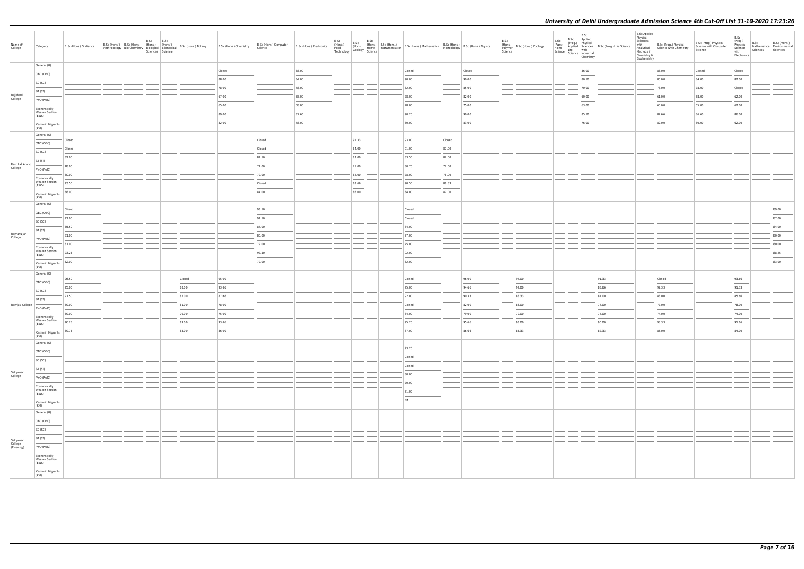| Name of<br>College       | Category                                                                                                                                                                                                                                                                                                                                                                                                                                                                                | B.Sc (Hons.) Statistics | B.Sc (Hons.) B.Sc (Hons.) (Hons.) (Hons.) | B.Sc B.Sc<br>Sciences Science | Anthropology   Bio-Chemistry   Kinons.)   Hons.)   B.Sc (Hons.) Botany   Bio-Chemistry   Biological   Biomedical   B.Sc (Hons.) Botany | B.Sc (Hons.) Chemistry | B.Sc (Hons.) Computer<br>Science                                                                                                                                                                                                                                                                                                                                                                                                                                                     |       | B.Sc                   | B.Sc | B.Sc (Hons.) Electronics (Hons.) B.Sc (Hons.) B.Sc (Hons.) B.Sc (Hons.) Mathematics B.Sc (Hons.) Microbiology B.Sc (Hons.) Physics<br>Technology Geology Science (Hons.) B.Sc (Hons.) Mathematics Microbiology B.Sc (Hons.) Phys                                                                                                                                                                                                                                                    |        |                | B.Sc<br>(Hons.)<br>B.Sc (Hons.) Zoology<br>Polymer<br>Science | B.Sc<br>(Pass) | B.Sc<br>B.Sc Applied<br>(Prog.) Physical<br>Applied Sciences B.Sc (Prog.) Life Science<br>Home<br>Science   Life<br>Science   Mustrial<br>Science   Mustrial<br>Chamistry<br>Chemistry | <b>B.Sc Applied</b><br>Physical<br>Sciences<br>Methods in<br>Chemistry &<br>Biochemistry | with B.Sc (Prog.) Physical<br>Analytical Science with Chemistry | B.Sc (Prog.) Physical<br>Science with Computer<br>Science | B.Sc<br>(Prog.)<br>Physical<br>Science<br>with<br>Electronics | B.Sc<br>Mathematical Environmental<br>Sciences | B.Sc (Hons.)<br>Sciences |
|--------------------------|-----------------------------------------------------------------------------------------------------------------------------------------------------------------------------------------------------------------------------------------------------------------------------------------------------------------------------------------------------------------------------------------------------------------------------------------------------------------------------------------|-------------------------|-------------------------------------------|-------------------------------|----------------------------------------------------------------------------------------------------------------------------------------|------------------------|--------------------------------------------------------------------------------------------------------------------------------------------------------------------------------------------------------------------------------------------------------------------------------------------------------------------------------------------------------------------------------------------------------------------------------------------------------------------------------------|-------|------------------------|------|-------------------------------------------------------------------------------------------------------------------------------------------------------------------------------------------------------------------------------------------------------------------------------------------------------------------------------------------------------------------------------------------------------------------------------------------------------------------------------------|--------|----------------|---------------------------------------------------------------|----------------|----------------------------------------------------------------------------------------------------------------------------------------------------------------------------------------|------------------------------------------------------------------------------------------|-----------------------------------------------------------------|-----------------------------------------------------------|---------------------------------------------------------------|------------------------------------------------|--------------------------|
|                          | General (G)                                                                                                                                                                                                                                                                                                                                                                                                                                                                             |                         |                                           |                               |                                                                                                                                        | Closed                 |                                                                                                                                                                                                                                                                                                                                                                                                                                                                                      | 88.00 |                        |      | Closed                                                                                                                                                                                                                                                                                                                                                                                                                                                                              |        | Closed         |                                                               |                | 86.00                                                                                                                                                                                  |                                                                                          | 88.00                                                           | Closed                                                    | Closed                                                        |                                                |                          |
|                          | OBC (OBC)<br>$\frac{1}{2} \left( \frac{1}{2} \right) \left( \frac{1}{2} \right) \left( \frac{1}{2} \right) \left( \frac{1}{2} \right) \left( \frac{1}{2} \right) \left( \frac{1}{2} \right) \left( \frac{1}{2} \right) \left( \frac{1}{2} \right) \left( \frac{1}{2} \right) \left( \frac{1}{2} \right) \left( \frac{1}{2} \right) \left( \frac{1}{2} \right) \left( \frac{1}{2} \right) \left( \frac{1}{2} \right) \left( \frac{1}{2} \right) \left( \frac{1}{2} \right) \left( \frac$ |                         |                                           |                               |                                                                                                                                        | 88.00                  |                                                                                                                                                                                                                                                                                                                                                                                                                                                                                      | 84.00 |                        |      | 90.00                                                                                                                                                                                                                                                                                                                                                                                                                                                                               |        | 90.00          |                                                               |                | ___<br>80.50                                                                                                                                                                           |                                                                                          | 85.00                                                           | 84.00                                                     | 82.00                                                         |                                                |                          |
|                          | SC (SC)                                                                                                                                                                                                                                                                                                                                                                                                                                                                                 |                         |                                           |                               |                                                                                                                                        | 78.00                  |                                                                                                                                                                                                                                                                                                                                                                                                                                                                                      | 78.00 |                        |      | 82.00                                                                                                                                                                                                                                                                                                                                                                                                                                                                               |        | 85.00          |                                                               |                | 70.00                                                                                                                                                                                  |                                                                                          | 73.00                                                           | 78.00                                                     | Closed                                                        |                                                |                          |
| Rajdhani<br>College      | ST (ST)                                                                                                                                                                                                                                                                                                                                                                                                                                                                                 |                         |                                           |                               |                                                                                                                                        | 67.00                  |                                                                                                                                                                                                                                                                                                                                                                                                                                                                                      | 68.00 |                        |      | 78.00                                                                                                                                                                                                                                                                                                                                                                                                                                                                               |        | 82.00          |                                                               |                | 60.00                                                                                                                                                                                  |                                                                                          | 61.00                                                           | 68.00                                                     | 62.00                                                         |                                                |                          |
|                          | PwD (PwD)                                                                                                                                                                                                                                                                                                                                                                                                                                                                               |                         |                                           |                               |                                                                                                                                        | 65.00                  |                                                                                                                                                                                                                                                                                                                                                                                                                                                                                      | 68.00 |                        |      | 78.00                                                                                                                                                                                                                                                                                                                                                                                                                                                                               |        | 75.00          |                                                               |                | 63.00                                                                                                                                                                                  |                                                                                          | 65.00                                                           | 65.00                                                     | 62.00                                                         |                                                |                          |
|                          | Economically<br><b>Weaker Section</b>                                                                                                                                                                                                                                                                                                                                                                                                                                                   |                         |                                           |                               |                                                                                                                                        | 89.00                  |                                                                                                                                                                                                                                                                                                                                                                                                                                                                                      | 87.66 |                        |      |                                                                                                                                                                                                                                                                                                                                                                                                                                                                                     |        |                |                                                               |                |                                                                                                                                                                                        |                                                                                          |                                                                 |                                                           |                                                               |                                                |                          |
|                          | (EWS)                                                                                                                                                                                                                                                                                                                                                                                                                                                                                   |                         |                                           |                               |                                                                                                                                        |                        |                                                                                                                                                                                                                                                                                                                                                                                                                                                                                      | 78.00 |                        |      | 90.25<br>80.00                                                                                                                                                                                                                                                                                                                                                                                                                                                                      |        | 90.00<br>83.00 |                                                               |                | 85.50<br>76.00                                                                                                                                                                         |                                                                                          | 87.66<br>82.00                                                  | 86.60<br>80.00                                            | 86.00<br>62.00                                                |                                                |                          |
|                          | Kashmiri Migrants<br>(KM)                                                                                                                                                                                                                                                                                                                                                                                                                                                               |                         |                                           |                               |                                                                                                                                        | 82.00                  |                                                                                                                                                                                                                                                                                                                                                                                                                                                                                      |       |                        |      |                                                                                                                                                                                                                                                                                                                                                                                                                                                                                     |        |                |                                                               |                |                                                                                                                                                                                        |                                                                                          |                                                                 |                                                           |                                                               |                                                |                          |
|                          | General (G)                                                                                                                                                                                                                                                                                                                                                                                                                                                                             |                         |                                           |                               |                                                                                                                                        |                        |                                                                                                                                                                                                                                                                                                                                                                                                                                                                                      |       |                        |      |                                                                                                                                                                                                                                                                                                                                                                                                                                                                                     |        |                |                                                               |                |                                                                                                                                                                                        |                                                                                          |                                                                 |                                                           |                                                               |                                                |                          |
|                          | OBC (OBC)                                                                                                                                                                                                                                                                                                                                                                                                                                                                               | Closed                  |                                           |                               |                                                                                                                                        |                        | Closed                                                                                                                                                                                                                                                                                                                                                                                                                                                                               |       | 91.33                  |      | 93.00                                                                                                                                                                                                                                                                                                                                                                                                                                                                               | Closed |                |                                                               |                |                                                                                                                                                                                        |                                                                                          |                                                                 |                                                           |                                                               |                                                |                          |
|                          | SC (SC)                                                                                                                                                                                                                                                                                                                                                                                                                                                                                 | Closed                  |                                           |                               |                                                                                                                                        |                        | Closed                                                                                                                                                                                                                                                                                                                                                                                                                                                                               |       | 84.00                  |      | 91.00                                                                                                                                                                                                                                                                                                                                                                                                                                                                               | 87.00  |                |                                                               |                |                                                                                                                                                                                        |                                                                                          |                                                                 |                                                           |                                                               |                                                |                          |
|                          | ST (ST)                                                                                                                                                                                                                                                                                                                                                                                                                                                                                 | 82.00                   |                                           |                               |                                                                                                                                        |                        | 82.50                                                                                                                                                                                                                                                                                                                                                                                                                                                                                |       | 83.00                  |      | 83.50                                                                                                                                                                                                                                                                                                                                                                                                                                                                               | 82.00  |                |                                                               |                |                                                                                                                                                                                        |                                                                                          |                                                                 |                                                           |                                                               |                                                |                          |
| Ram Lal Anand<br>College | PwD (PwD)                                                                                                                                                                                                                                                                                                                                                                                                                                                                               | 78.00                   |                                           |                               |                                                                                                                                        |                        | 77.00                                                                                                                                                                                                                                                                                                                                                                                                                                                                                |       | 75.00                  |      | 80.75                                                                                                                                                                                                                                                                                                                                                                                                                                                                               | 77.00  |                |                                                               |                |                                                                                                                                                                                        |                                                                                          |                                                                 |                                                           |                                                               |                                                |                          |
|                          | Economically<br><b>Weaker Section</b>                                                                                                                                                                                                                                                                                                                                                                                                                                                   | 80.00                   |                                           |                               |                                                                                                                                        |                        | 79.00                                                                                                                                                                                                                                                                                                                                                                                                                                                                                |       | 82.00                  |      | 78.00                                                                                                                                                                                                                                                                                                                                                                                                                                                                               | 78.00  |                |                                                               |                |                                                                                                                                                                                        |                                                                                          |                                                                 |                                                           |                                                               |                                                |                          |
|                          | (EWS)                                                                                                                                                                                                                                                                                                                                                                                                                                                                                   | 93.50                   |                                           |                               |                                                                                                                                        |                        | Closed<br>$\frac{1}{2} \left( \frac{1}{2} \right) \left( \frac{1}{2} \right) \left( \frac{1}{2} \right) \left( \frac{1}{2} \right) \left( \frac{1}{2} \right) \left( \frac{1}{2} \right) \left( \frac{1}{2} \right) \left( \frac{1}{2} \right) \left( \frac{1}{2} \right) \left( \frac{1}{2} \right) \left( \frac{1}{2} \right) \left( \frac{1}{2} \right) \left( \frac{1}{2} \right) \left( \frac{1}{2} \right) \left( \frac{1}{2} \right) \left( \frac{1}{2} \right) \left( \frac$ |       | 88.66<br>$\frac{1}{2}$ |      | 90.50                                                                                                                                                                                                                                                                                                                                                                                                                                                                               | 88.33  |                |                                                               |                |                                                                                                                                                                                        |                                                                                          |                                                                 |                                                           |                                                               |                                                |                          |
|                          | Kashmiri Migrants<br>(KM)                                                                                                                                                                                                                                                                                                                                                                                                                                                               | 88.00                   |                                           |                               |                                                                                                                                        |                        | 84.00                                                                                                                                                                                                                                                                                                                                                                                                                                                                                |       | 86.00                  |      | 84.00                                                                                                                                                                                                                                                                                                                                                                                                                                                                               | 87.00  |                |                                                               |                |                                                                                                                                                                                        |                                                                                          |                                                                 |                                                           |                                                               |                                                |                          |
|                          | General (G)                                                                                                                                                                                                                                                                                                                                                                                                                                                                             |                         |                                           |                               |                                                                                                                                        |                        |                                                                                                                                                                                                                                                                                                                                                                                                                                                                                      |       |                        |      |                                                                                                                                                                                                                                                                                                                                                                                                                                                                                     |        |                |                                                               |                |                                                                                                                                                                                        |                                                                                          |                                                                 |                                                           |                                                               |                                                |                          |
|                          | OBC (OBC)                                                                                                                                                                                                                                                                                                                                                                                                                                                                               | Closed                  |                                           |                               |                                                                                                                                        |                        | 93.50                                                                                                                                                                                                                                                                                                                                                                                                                                                                                |       |                        |      | Closed                                                                                                                                                                                                                                                                                                                                                                                                                                                                              |        |                |                                                               |                |                                                                                                                                                                                        |                                                                                          |                                                                 |                                                           |                                                               |                                                | 89.00                    |
|                          | SC (SC)                                                                                                                                                                                                                                                                                                                                                                                                                                                                                 | 91.00                   |                                           |                               |                                                                                                                                        |                        | 91.50                                                                                                                                                                                                                                                                                                                                                                                                                                                                                |       |                        |      | Closed                                                                                                                                                                                                                                                                                                                                                                                                                                                                              |        |                |                                                               |                |                                                                                                                                                                                        |                                                                                          |                                                                 |                                                           |                                                               |                                                | 87.00                    |
| Ramanujan                | ST (ST)                                                                                                                                                                                                                                                                                                                                                                                                                                                                                 | 85.50                   |                                           |                               |                                                                                                                                        |                        | 87.00                                                                                                                                                                                                                                                                                                                                                                                                                                                                                |       |                        |      | 84.00                                                                                                                                                                                                                                                                                                                                                                                                                                                                               |        |                |                                                               |                |                                                                                                                                                                                        |                                                                                          |                                                                 |                                                           |                                                               |                                                | 84.00                    |
| College                  | PwD (PwD)                                                                                                                                                                                                                                                                                                                                                                                                                                                                               | 81.00                   |                                           |                               |                                                                                                                                        |                        | 80.00                                                                                                                                                                                                                                                                                                                                                                                                                                                                                |       |                        |      | 77.00                                                                                                                                                                                                                                                                                                                                                                                                                                                                               |        |                |                                                               |                |                                                                                                                                                                                        |                                                                                          |                                                                 |                                                           |                                                               |                                                | 80.00                    |
|                          | Economically<br><b>Weaker Section</b>                                                                                                                                                                                                                                                                                                                                                                                                                                                   | 81.00                   |                                           |                               |                                                                                                                                        |                        | 79.00                                                                                                                                                                                                                                                                                                                                                                                                                                                                                |       |                        |      | 75.00                                                                                                                                                                                                                                                                                                                                                                                                                                                                               |        |                |                                                               |                |                                                                                                                                                                                        |                                                                                          |                                                                 |                                                           |                                                               |                                                | 80.00                    |
|                          | (EWS)                                                                                                                                                                                                                                                                                                                                                                                                                                                                                   | 93.25                   |                                           |                               |                                                                                                                                        |                        | 92.50<br>$\sim$                                                                                                                                                                                                                                                                                                                                                                                                                                                                      |       |                        |      | 92.00<br>$\frac{1}{2} \left( \frac{1}{2} \right) \left( \frac{1}{2} \right) \left( \frac{1}{2} \right) \left( \frac{1}{2} \right) \left( \frac{1}{2} \right) \left( \frac{1}{2} \right) \left( \frac{1}{2} \right) \left( \frac{1}{2} \right) \left( \frac{1}{2} \right) \left( \frac{1}{2} \right) \left( \frac{1}{2} \right) \left( \frac{1}{2} \right) \left( \frac{1}{2} \right) \left( \frac{1}{2} \right) \left( \frac{1}{2} \right) \left( \frac{1}{2} \right) \left( \frac$ |        |                |                                                               |                |                                                                                                                                                                                        |                                                                                          |                                                                 |                                                           |                                                               |                                                | 88.25                    |
|                          | Kashmiri Migrants<br>(KM)                                                                                                                                                                                                                                                                                                                                                                                                                                                               | 82.00                   |                                           |                               |                                                                                                                                        |                        | 79.00                                                                                                                                                                                                                                                                                                                                                                                                                                                                                |       |                        |      | 82.00                                                                                                                                                                                                                                                                                                                                                                                                                                                                               |        |                |                                                               |                |                                                                                                                                                                                        |                                                                                          |                                                                 |                                                           |                                                               |                                                | 83.00                    |
|                          | General (G)                                                                                                                                                                                                                                                                                                                                                                                                                                                                             |                         |                                           |                               |                                                                                                                                        |                        |                                                                                                                                                                                                                                                                                                                                                                                                                                                                                      |       |                        |      |                                                                                                                                                                                                                                                                                                                                                                                                                                                                                     |        |                |                                                               |                |                                                                                                                                                                                        |                                                                                          |                                                                 |                                                           |                                                               |                                                |                          |
|                          | OBC (OBC)                                                                                                                                                                                                                                                                                                                                                                                                                                                                               | 96.50                   |                                           |                               | Closed                                                                                                                                 | 95.00                  |                                                                                                                                                                                                                                                                                                                                                                                                                                                                                      |       |                        |      | Closed                                                                                                                                                                                                                                                                                                                                                                                                                                                                              |        | 96.00          | 94.00                                                         |                | 91.33                                                                                                                                                                                  |                                                                                          | Closed                                                          |                                                           | 93.66                                                         |                                                |                          |
|                          | SC (SC)                                                                                                                                                                                                                                                                                                                                                                                                                                                                                 | 95.00                   |                                           |                               | 88.00                                                                                                                                  | 93.66                  |                                                                                                                                                                                                                                                                                                                                                                                                                                                                                      |       |                        |      | 95.00                                                                                                                                                                                                                                                                                                                                                                                                                                                                               |        | 94.66          | 92.00                                                         |                | 88.66                                                                                                                                                                                  |                                                                                          | 92.33                                                           |                                                           | 91.33                                                         |                                                |                          |
|                          | ST (ST)                                                                                                                                                                                                                                                                                                                                                                                                                                                                                 | 91.50                   |                                           |                               | 85.00                                                                                                                                  | 87.66                  |                                                                                                                                                                                                                                                                                                                                                                                                                                                                                      |       |                        |      | 92.00                                                                                                                                                                                                                                                                                                                                                                                                                                                                               |        | 90.33          | 88.33                                                         |                | 81.00                                                                                                                                                                                  |                                                                                          | 83.00                                                           |                                                           | 85.66                                                         |                                                |                          |
| Ramjas College           | PwD (PwD)                                                                                                                                                                                                                                                                                                                                                                                                                                                                               | 89.00                   |                                           |                               | 81.00                                                                                                                                  | 78.00                  |                                                                                                                                                                                                                                                                                                                                                                                                                                                                                      |       |                        |      | Closed                                                                                                                                                                                                                                                                                                                                                                                                                                                                              |        | 82.00          | 83.00                                                         |                | 77.00                                                                                                                                                                                  |                                                                                          | 77.00                                                           |                                                           | 78.00                                                         |                                                |                          |
|                          | Economically<br><b>Weaker Section</b>                                                                                                                                                                                                                                                                                                                                                                                                                                                   | 89.00                   |                                           |                               | 79.00                                                                                                                                  | 75.00                  |                                                                                                                                                                                                                                                                                                                                                                                                                                                                                      |       |                        |      | 84.00                                                                                                                                                                                                                                                                                                                                                                                                                                                                               |        | 79.00          | 79.00                                                         |                | 74.00                                                                                                                                                                                  |                                                                                          | 74.00                                                           |                                                           | 74.00                                                         |                                                |                          |
|                          | (EWS)                                                                                                                                                                                                                                                                                                                                                                                                                                                                                   | 96.25                   |                                           |                               | 89.00                                                                                                                                  | 93.66                  |                                                                                                                                                                                                                                                                                                                                                                                                                                                                                      |       |                        |      | 95.25                                                                                                                                                                                                                                                                                                                                                                                                                                                                               |        | 95.66          | 93.00                                                         |                | 90.00                                                                                                                                                                                  |                                                                                          | 93.33                                                           |                                                           | 91.66<br>$\frac{1}{2}$                                        |                                                |                          |
|                          | Kashmiri Migrants<br>(KM)                                                                                                                                                                                                                                                                                                                                                                                                                                                               | 89.75                   |                                           |                               | 83.00                                                                                                                                  | 86.00                  |                                                                                                                                                                                                                                                                                                                                                                                                                                                                                      |       |                        |      | 87.00                                                                                                                                                                                                                                                                                                                                                                                                                                                                               |        | 86.66          | 85.33                                                         |                | 82.33                                                                                                                                                                                  |                                                                                          | 85.00                                                           |                                                           | 84.00                                                         |                                                |                          |
|                          | General (G)                                                                                                                                                                                                                                                                                                                                                                                                                                                                             |                         |                                           |                               |                                                                                                                                        |                        |                                                                                                                                                                                                                                                                                                                                                                                                                                                                                      |       |                        |      |                                                                                                                                                                                                                                                                                                                                                                                                                                                                                     |        |                |                                                               |                |                                                                                                                                                                                        |                                                                                          |                                                                 |                                                           |                                                               |                                                |                          |
|                          | OBC (OBC)                                                                                                                                                                                                                                                                                                                                                                                                                                                                               |                         |                                           |                               |                                                                                                                                        |                        |                                                                                                                                                                                                                                                                                                                                                                                                                                                                                      |       |                        |      | 93.25                                                                                                                                                                                                                                                                                                                                                                                                                                                                               |        |                |                                                               |                |                                                                                                                                                                                        |                                                                                          |                                                                 |                                                           |                                                               |                                                |                          |
|                          | SC (SC)                                                                                                                                                                                                                                                                                                                                                                                                                                                                                 |                         |                                           |                               |                                                                                                                                        |                        |                                                                                                                                                                                                                                                                                                                                                                                                                                                                                      |       |                        |      | Closed<br>Closed                                                                                                                                                                                                                                                                                                                                                                                                                                                                    |        |                |                                                               |                |                                                                                                                                                                                        |                                                                                          |                                                                 |                                                           |                                                               |                                                |                          |
| Satyawati                | ST (ST)                                                                                                                                                                                                                                                                                                                                                                                                                                                                                 |                         |                                           |                               |                                                                                                                                        |                        |                                                                                                                                                                                                                                                                                                                                                                                                                                                                                      |       |                        |      | 80.00                                                                                                                                                                                                                                                                                                                                                                                                                                                                               |        |                |                                                               |                |                                                                                                                                                                                        |                                                                                          |                                                                 |                                                           |                                                               |                                                |                          |
| College                  | PwD (PwD)                                                                                                                                                                                                                                                                                                                                                                                                                                                                               |                         |                                           |                               |                                                                                                                                        |                        |                                                                                                                                                                                                                                                                                                                                                                                                                                                                                      |       |                        |      | 70.00                                                                                                                                                                                                                                                                                                                                                                                                                                                                               |        |                |                                                               |                |                                                                                                                                                                                        |                                                                                          |                                                                 |                                                           |                                                               |                                                |                          |
|                          | Economically<br><b>Weaker Section</b>                                                                                                                                                                                                                                                                                                                                                                                                                                                   |                         |                                           |                               |                                                                                                                                        |                        |                                                                                                                                                                                                                                                                                                                                                                                                                                                                                      |       |                        |      | 91.00                                                                                                                                                                                                                                                                                                                                                                                                                                                                               |        |                |                                                               |                |                                                                                                                                                                                        |                                                                                          |                                                                 |                                                           |                                                               |                                                |                          |
|                          | (EWS)                                                                                                                                                                                                                                                                                                                                                                                                                                                                                   |                         |                                           |                               |                                                                                                                                        |                        |                                                                                                                                                                                                                                                                                                                                                                                                                                                                                      |       |                        |      | <b>NA</b>                                                                                                                                                                                                                                                                                                                                                                                                                                                                           |        |                |                                                               |                |                                                                                                                                                                                        |                                                                                          |                                                                 |                                                           |                                                               |                                                |                          |
|                          | Kashmiri Migrants<br>(KM)                                                                                                                                                                                                                                                                                                                                                                                                                                                               |                         |                                           |                               |                                                                                                                                        |                        |                                                                                                                                                                                                                                                                                                                                                                                                                                                                                      |       |                        |      |                                                                                                                                                                                                                                                                                                                                                                                                                                                                                     |        |                |                                                               |                |                                                                                                                                                                                        |                                                                                          |                                                                 |                                                           |                                                               |                                                |                          |
|                          | General (G)                                                                                                                                                                                                                                                                                                                                                                                                                                                                             |                         |                                           |                               |                                                                                                                                        |                        |                                                                                                                                                                                                                                                                                                                                                                                                                                                                                      |       |                        |      |                                                                                                                                                                                                                                                                                                                                                                                                                                                                                     |        |                |                                                               |                |                                                                                                                                                                                        |                                                                                          |                                                                 |                                                           |                                                               |                                                |                          |
|                          | OBC (OBC)                                                                                                                                                                                                                                                                                                                                                                                                                                                                               |                         |                                           |                               |                                                                                                                                        |                        |                                                                                                                                                                                                                                                                                                                                                                                                                                                                                      |       |                        |      |                                                                                                                                                                                                                                                                                                                                                                                                                                                                                     |        |                |                                                               |                |                                                                                                                                                                                        |                                                                                          |                                                                 |                                                           |                                                               |                                                |                          |
|                          | SC (SC)                                                                                                                                                                                                                                                                                                                                                                                                                                                                                 |                         |                                           |                               |                                                                                                                                        |                        |                                                                                                                                                                                                                                                                                                                                                                                                                                                                                      |       |                        |      |                                                                                                                                                                                                                                                                                                                                                                                                                                                                                     |        |                |                                                               |                |                                                                                                                                                                                        |                                                                                          |                                                                 |                                                           |                                                               |                                                |                          |
| Satyawati                | ST (ST)                                                                                                                                                                                                                                                                                                                                                                                                                                                                                 |                         |                                           |                               |                                                                                                                                        |                        |                                                                                                                                                                                                                                                                                                                                                                                                                                                                                      |       |                        |      |                                                                                                                                                                                                                                                                                                                                                                                                                                                                                     |        |                |                                                               |                |                                                                                                                                                                                        |                                                                                          |                                                                 |                                                           |                                                               |                                                |                          |
| College<br>(Evening)     | PwD (PwD)                                                                                                                                                                                                                                                                                                                                                                                                                                                                               |                         |                                           |                               |                                                                                                                                        |                        |                                                                                                                                                                                                                                                                                                                                                                                                                                                                                      |       |                        |      |                                                                                                                                                                                                                                                                                                                                                                                                                                                                                     |        |                |                                                               |                |                                                                                                                                                                                        |                                                                                          |                                                                 |                                                           |                                                               |                                                |                          |
|                          | Economically<br><b>Weaker Section</b>                                                                                                                                                                                                                                                                                                                                                                                                                                                   |                         |                                           |                               |                                                                                                                                        |                        |                                                                                                                                                                                                                                                                                                                                                                                                                                                                                      |       |                        |      |                                                                                                                                                                                                                                                                                                                                                                                                                                                                                     |        |                |                                                               |                |                                                                                                                                                                                        |                                                                                          |                                                                 |                                                           |                                                               |                                                |                          |
|                          | (EWS)                                                                                                                                                                                                                                                                                                                                                                                                                                                                                   |                         |                                           |                               |                                                                                                                                        |                        |                                                                                                                                                                                                                                                                                                                                                                                                                                                                                      |       |                        |      |                                                                                                                                                                                                                                                                                                                                                                                                                                                                                     |        |                |                                                               |                |                                                                                                                                                                                        |                                                                                          |                                                                 |                                                           |                                                               |                                                |                          |
|                          | Kashmiri Migrants<br>(KM)                                                                                                                                                                                                                                                                                                                                                                                                                                                               |                         |                                           |                               |                                                                                                                                        |                        |                                                                                                                                                                                                                                                                                                                                                                                                                                                                                      |       |                        |      |                                                                                                                                                                                                                                                                                                                                                                                                                                                                                     |        |                |                                                               |                |                                                                                                                                                                                        |                                                                                          |                                                                 |                                                           |                                                               |                                                |                          |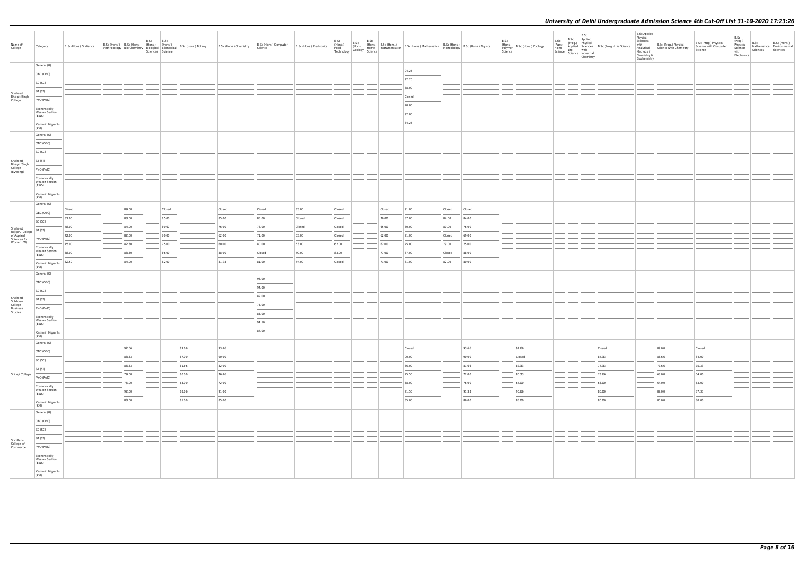| Name of<br>College                       | Category                                       | B.Sc (Hons.) Statistics | B.Sc (Hons.) B.Sc (Hons.) (Hons.) (Hons.)<br>Anthropology Bio-Chemistry Biological Biomedical |       | B.Sc | B.Sc<br>Sciences Science | B.Sc (Hons.) Botany | B.Sc (Hons.) Chemistry | B.Sc (Hons.) Computer<br>Science                    | B.Sc (Hons.) Electronics | B.Sc   | $\mid$ B.Sc | B.Sc   | ULLY B.S.C (Hons.)<br>(Hons.) B.S.C (Hons.) B.S.C (Hons.) Mathematics B.S.C (Hons.) B.S.C (Hons.) Physics<br>Technology Home Instrumentation B.S.C (Hons.) Mathematics B.C.C (Hons.) Physics<br>Technology Science |        |        | B.Sc<br>Science | (Hons.)<br>Polymer B.Sc (Hons.) Zoology | B.Sc<br>(Pass)<br>Home<br>Science   Lite<br>  Science   Industrial | B.Sc | Chemistry | B.Sc Applied<br>(Prog.) Physical<br>Applied Sciences B.Sc (Prog.) Life Science<br>Life with<br>Life industrial | <b>B.Sc Applied</b><br>Physical<br>Sciences<br>with<br>Analytical<br>Methods in<br>Chemistry &<br>Biochemistry | B.Sc (Prog.) Physical<br>Science with Chemistry | B.Sc (Prog.) Physical<br>Science with Computer<br>Science | B.Sc<br>(Prog.)<br>Physical<br>Science<br>with<br>Electronics | B.Sc<br>Sciences | B.Sc (Hons.)<br>Mathematical Environmental<br>Sciences |
|------------------------------------------|------------------------------------------------|-------------------------|-----------------------------------------------------------------------------------------------|-------|------|--------------------------|---------------------|------------------------|-----------------------------------------------------|--------------------------|--------|-------------|--------|--------------------------------------------------------------------------------------------------------------------------------------------------------------------------------------------------------------------|--------|--------|-----------------|-----------------------------------------|--------------------------------------------------------------------|------|-----------|----------------------------------------------------------------------------------------------------------------|----------------------------------------------------------------------------------------------------------------|-------------------------------------------------|-----------------------------------------------------------|---------------------------------------------------------------|------------------|--------------------------------------------------------|
|                                          | General (G)                                    |                         |                                                                                               |       |      |                          |                     |                        |                                                     |                          |        |             |        |                                                                                                                                                                                                                    |        |        |                 |                                         |                                                                    |      |           |                                                                                                                |                                                                                                                |                                                 |                                                           |                                                               |                  |                                                        |
|                                          | OBC (OBC)                                      |                         |                                                                                               |       |      |                          |                     |                        |                                                     |                          |        |             |        | 94.25<br>92.25                                                                                                                                                                                                     |        |        |                 |                                         |                                                                    |      |           |                                                                                                                |                                                                                                                |                                                 |                                                           |                                                               |                  |                                                        |
|                                          | SC (SC)                                        |                         |                                                                                               |       |      |                          |                     |                        |                                                     |                          |        |             |        |                                                                                                                                                                                                                    |        |        |                 |                                         |                                                                    |      |           |                                                                                                                |                                                                                                                |                                                 |                                                           |                                                               |                  |                                                        |
|                                          | ST (ST)                                        |                         |                                                                                               |       |      |                          |                     |                        |                                                     |                          |        |             |        | 88.00<br>Closed                                                                                                                                                                                                    |        |        |                 |                                         |                                                                    |      |           |                                                                                                                |                                                                                                                |                                                 |                                                           |                                                               |                  |                                                        |
| Shaheed<br>Bhagat Singh<br>College       | PwD (PwD)                                      |                         |                                                                                               |       |      |                          |                     |                        |                                                     |                          |        |             |        | 70.00                                                                                                                                                                                                              |        |        |                 |                                         |                                                                    |      |           |                                                                                                                |                                                                                                                |                                                 |                                                           |                                                               |                  |                                                        |
|                                          | Economically<br>Weaker Section<br>(EWS)        |                         |                                                                                               |       |      |                          |                     |                        |                                                     |                          |        |             |        | 92.00                                                                                                                                                                                                              |        |        |                 |                                         |                                                                    |      |           |                                                                                                                |                                                                                                                |                                                 |                                                           |                                                               |                  |                                                        |
|                                          | Kashmiri Migrants                              |                         |                                                                                               |       |      |                          |                     |                        |                                                     |                          |        |             |        | 84.25                                                                                                                                                                                                              |        |        |                 |                                         |                                                                    |      |           |                                                                                                                |                                                                                                                |                                                 |                                                           |                                                               |                  |                                                        |
|                                          | (KM)<br>General (G)                            |                         |                                                                                               |       |      |                          |                     |                        |                                                     |                          |        |             |        |                                                                                                                                                                                                                    |        |        |                 |                                         |                                                                    |      |           |                                                                                                                |                                                                                                                |                                                 |                                                           |                                                               |                  |                                                        |
|                                          | OBC (OBC)                                      |                         |                                                                                               |       |      |                          |                     |                        |                                                     |                          |        |             |        |                                                                                                                                                                                                                    |        |        |                 |                                         |                                                                    |      |           |                                                                                                                |                                                                                                                |                                                 |                                                           |                                                               |                  |                                                        |
|                                          | SC (SC)                                        |                         |                                                                                               |       |      |                          |                     |                        |                                                     |                          |        |             |        |                                                                                                                                                                                                                    |        |        |                 |                                         |                                                                    |      |           |                                                                                                                |                                                                                                                |                                                 |                                                           |                                                               |                  |                                                        |
| Shaheed                                  | ST (ST)                                        |                         |                                                                                               |       |      |                          |                     |                        |                                                     |                          |        |             |        |                                                                                                                                                                                                                    |        |        |                 |                                         |                                                                    |      |           |                                                                                                                |                                                                                                                |                                                 |                                                           |                                                               |                  |                                                        |
| Bhagat Singh<br>College<br>(Evening)     | PwD (PwD)                                      |                         |                                                                                               |       |      |                          |                     |                        |                                                     |                          |        |             |        |                                                                                                                                                                                                                    |        |        |                 |                                         |                                                                    |      |           |                                                                                                                |                                                                                                                |                                                 |                                                           |                                                               |                  |                                                        |
|                                          | Economically                                   |                         |                                                                                               |       |      |                          |                     |                        |                                                     |                          |        |             |        |                                                                                                                                                                                                                    |        |        |                 |                                         |                                                                    |      |           |                                                                                                                |                                                                                                                |                                                 |                                                           |                                                               |                  |                                                        |
|                                          | <b>Weaker Section</b><br>(EWS)                 |                         |                                                                                               |       |      |                          |                     |                        |                                                     |                          |        |             |        |                                                                                                                                                                                                                    |        |        |                 |                                         |                                                                    |      |           |                                                                                                                |                                                                                                                |                                                 |                                                           |                                                               |                  |                                                        |
|                                          | Kashmiri Migrants<br>(KM)                      |                         |                                                                                               |       |      |                          |                     |                        |                                                     |                          |        |             |        |                                                                                                                                                                                                                    |        |        |                 |                                         |                                                                    |      |           |                                                                                                                |                                                                                                                |                                                 |                                                           |                                                               |                  |                                                        |
|                                          | General (G)                                    |                         |                                                                                               |       |      |                          |                     |                        |                                                     |                          |        |             |        |                                                                                                                                                                                                                    |        |        |                 |                                         |                                                                    |      |           |                                                                                                                |                                                                                                                |                                                 |                                                           |                                                               |                  |                                                        |
|                                          | OBC (OBC)                                      | Closed                  |                                                                                               | 89.00 |      | Closed                   |                     | Closed                 | Closed                                              | 83.00                    | Closed |             | Closed | 91.00                                                                                                                                                                                                              | Closed | Closed |                 |                                         |                                                                    |      |           |                                                                                                                |                                                                                                                |                                                 |                                                           |                                                               |                  |                                                        |
|                                          | SC (SC)                                        | 87.00                   |                                                                                               | 88.00 |      | 85.00                    |                     | 85.00                  | 85.00                                               | Closed                   | Closed |             | 76.00  | 87.00                                                                                                                                                                                                              | 84.00  | 84.00  |                 |                                         |                                                                    |      |           |                                                                                                                |                                                                                                                |                                                 |                                                           |                                                               |                  |                                                        |
| Shaheed<br>Rajguru College<br>of Applied | ST (ST)                                        | 78.00                   |                                                                                               | 84.00 |      | 80.67                    |                     | 76.00                  | 78.00                                               | Closed                   | Closed |             | 65.00  | 80.00                                                                                                                                                                                                              | 80.00  | 76.00  |                 |                                         |                                                                    |      |           |                                                                                                                |                                                                                                                |                                                 |                                                           |                                                               |                  |                                                        |
| Sciences for<br>Women (W)                | PwD (PwD)                                      | 72.00                   |                                                                                               | 82.00 |      | 70.00                    |                     | 62.00                  | 71.00                                               | 63.00                    | Closed |             | 62.00  | 71.00                                                                                                                                                                                                              | Closed | 69.00  |                 |                                         |                                                                    |      |           |                                                                                                                |                                                                                                                |                                                 |                                                           |                                                               |                  |                                                        |
|                                          | Economically<br><b>Weaker Section</b>          | 75.00                   |                                                                                               | 82.30 |      | 75.00                    |                     | 60.00                  | 80.00                                               | 63.00                    | 62.00  |             | 62.00  | 75.00                                                                                                                                                                                                              | 79.00  | 75.00  |                 |                                         |                                                                    |      |           |                                                                                                                |                                                                                                                |                                                 |                                                           |                                                               |                  |                                                        |
|                                          | (EWS)                                          | 88.00                   |                                                                                               | 88.30 |      | 86.00                    |                     | 88.00                  | Closed                                              | 79.00                    | 83.00  |             | 77.00  | 87.00                                                                                                                                                                                                              | Closed | 88.00  |                 |                                         |                                                                    |      |           |                                                                                                                |                                                                                                                |                                                 |                                                           |                                                               |                  |                                                        |
|                                          | Kashmiri Migrants<br>(KM)                      | 82.50                   |                                                                                               | 84.00 |      | 82.00                    |                     | 81.33                  | 81.00                                               | 74.00                    | Closed |             | 71.00  | 81.00                                                                                                                                                                                                              | 82.00  | 80.00  |                 |                                         |                                                                    |      |           |                                                                                                                |                                                                                                                |                                                 |                                                           |                                                               |                  |                                                        |
|                                          | General (G)                                    |                         |                                                                                               |       |      |                          |                     |                        | 96.00                                               |                          |        |             |        |                                                                                                                                                                                                                    |        |        |                 |                                         |                                                                    |      |           |                                                                                                                |                                                                                                                |                                                 |                                                           |                                                               |                  |                                                        |
|                                          | OBC (OBC)                                      |                         |                                                                                               |       |      |                          |                     |                        | 94.00                                               |                          |        |             |        |                                                                                                                                                                                                                    |        |        |                 |                                         |                                                                    |      |           |                                                                                                                |                                                                                                                |                                                 |                                                           |                                                               |                  |                                                        |
| Shaheed                                  | SC (SC)                                        |                         |                                                                                               |       |      |                          |                     |                        | 89.00                                               |                          |        |             |        |                                                                                                                                                                                                                    |        |        |                 |                                         |                                                                    |      |           |                                                                                                                |                                                                                                                |                                                 |                                                           |                                                               |                  |                                                        |
| Sukhdev<br>College                       | ST (ST)                                        |                         |                                                                                               |       |      |                          |                     |                        | 75.00                                               |                          |        |             |        |                                                                                                                                                                                                                    |        |        |                 |                                         |                                                                    |      |           |                                                                                                                |                                                                                                                |                                                 |                                                           |                                                               |                  |                                                        |
| <b>Business</b><br>Studies               | PwD (PwD)                                      |                         |                                                                                               |       |      |                          |                     |                        | 85.00                                               |                          |        |             |        |                                                                                                                                                                                                                    |        |        |                 |                                         |                                                                    |      |           |                                                                                                                |                                                                                                                |                                                 |                                                           |                                                               |                  |                                                        |
|                                          | Economically<br><b>Weaker Section</b><br>(EWS) |                         |                                                                                               |       |      |                          |                     |                        | 94.50<br><b>Contract Contract Contract Contract</b> |                          |        |             |        |                                                                                                                                                                                                                    |        |        |                 |                                         |                                                                    |      |           |                                                                                                                |                                                                                                                |                                                 |                                                           |                                                               |                  |                                                        |
|                                          | Kashmiri Migrants<br>(KM)                      |                         |                                                                                               |       |      |                          |                     |                        | 87.00                                               |                          |        |             |        |                                                                                                                                                                                                                    |        |        |                 |                                         |                                                                    |      |           |                                                                                                                |                                                                                                                |                                                 |                                                           |                                                               |                  |                                                        |
|                                          | General (G)                                    |                         |                                                                                               | 92.66 |      |                          | 89.66               | 93.66                  |                                                     |                          |        |             |        | Closed                                                                                                                                                                                                             |        | 93.66  |                 | 91.66                                   |                                                                    |      | Closed    |                                                                                                                |                                                                                                                | 89.00                                           | Closed                                                    |                                                               |                  |                                                        |
|                                          | OBC (OBC)                                      |                         |                                                                                               | 88.33 |      |                          | 87.00               | 90.00                  |                                                     |                          |        |             |        | 90.00                                                                                                                                                                                                              |        | 90.00  |                 | Closed                                  |                                                                    |      | 84.33     |                                                                                                                |                                                                                                                | 86.66                                           | 84.00                                                     |                                                               |                  |                                                        |
|                                          | SC (SC)                                        |                         |                                                                                               | 86.33 |      |                          | 81.66               | 82.00                  |                                                     |                          |        |             |        | 86.00                                                                                                                                                                                                              |        | 81.66  |                 | 82.33                                   |                                                                    |      | $77.33$   |                                                                                                                |                                                                                                                | 77.66                                           | 75.33                                                     |                                                               |                  |                                                        |
| Shivaji College                          | ST (ST)                                        |                         |                                                                                               | 79.00 |      |                          | 80.00               | 76.66                  |                                                     |                          |        |             |        | 75.50                                                                                                                                                                                                              |        | 72.00  |                 | 80.33                                   |                                                                    |      | 73.66     |                                                                                                                |                                                                                                                | 68.00                                           | 64.00                                                     |                                                               |                  |                                                        |
|                                          | PwD (PwD)                                      |                         |                                                                                               | 75.00 |      |                          | 63.00               | 72.00                  |                                                     |                          |        |             |        | 68.00                                                                                                                                                                                                              |        | 76.00  |                 | $-64.00$                                |                                                                    |      | 63.00     |                                                                                                                |                                                                                                                | 64.00                                           | 63.00                                                     |                                                               |                  |                                                        |
|                                          | Economically<br><b>Weaker Section</b>          |                         |                                                                                               | 92.00 |      |                          | 88.66               | 91.00                  |                                                     |                          |        |             |        | 91.50                                                                                                                                                                                                              |        | 91.33  |                 | 90.66                                   |                                                                    |      | 86.00     |                                                                                                                |                                                                                                                | 87.00                                           | 87.33                                                     |                                                               |                  |                                                        |
|                                          | (EWS)                                          |                         |                                                                                               | 88.00 |      |                          | 85.00               | 85.00                  |                                                     |                          |        |             |        | 85.00                                                                                                                                                                                                              |        | 86.00  |                 | 85.00                                   |                                                                    |      | 80.00     |                                                                                                                |                                                                                                                | 80.00                                           | 80.00                                                     |                                                               |                  |                                                        |
|                                          | Kashmiri Migrants<br>(KM)                      |                         |                                                                                               |       |      |                          |                     |                        |                                                     |                          |        |             |        |                                                                                                                                                                                                                    |        |        |                 |                                         |                                                                    |      |           |                                                                                                                |                                                                                                                |                                                 |                                                           |                                                               |                  |                                                        |
|                                          | General (G)                                    |                         |                                                                                               |       |      |                          |                     |                        |                                                     |                          |        |             |        |                                                                                                                                                                                                                    |        |        |                 |                                         |                                                                    |      |           |                                                                                                                |                                                                                                                |                                                 |                                                           |                                                               |                  |                                                        |
|                                          | OBC (OBC)                                      |                         |                                                                                               |       |      |                          |                     |                        |                                                     |                          |        |             |        |                                                                                                                                                                                                                    |        |        |                 |                                         |                                                                    |      |           |                                                                                                                |                                                                                                                |                                                 |                                                           |                                                               |                  |                                                        |
|                                          | SC (SC)                                        |                         |                                                                                               |       |      |                          |                     |                        |                                                     |                          |        |             |        |                                                                                                                                                                                                                    |        |        |                 |                                         |                                                                    |      |           |                                                                                                                |                                                                                                                |                                                 |                                                           |                                                               |                  |                                                        |
| Shri Ram<br>College of                   | ST (ST)                                        |                         |                                                                                               |       |      |                          |                     |                        |                                                     |                          |        |             |        |                                                                                                                                                                                                                    |        |        |                 |                                         |                                                                    |      |           |                                                                                                                |                                                                                                                |                                                 |                                                           |                                                               |                  |                                                        |
| Commerce                                 | PwD (PwD)                                      |                         |                                                                                               |       |      |                          |                     |                        |                                                     |                          |        |             |        |                                                                                                                                                                                                                    |        |        |                 |                                         |                                                                    |      |           |                                                                                                                |                                                                                                                |                                                 |                                                           |                                                               |                  |                                                        |
|                                          | Economically<br><b>Weaker Section</b><br>(EWS) |                         |                                                                                               |       |      |                          |                     |                        |                                                     |                          |        |             |        |                                                                                                                                                                                                                    |        |        |                 |                                         |                                                                    |      |           |                                                                                                                |                                                                                                                |                                                 |                                                           |                                                               |                  |                                                        |
|                                          | Kashmiri Migrants<br>(KM)                      |                         |                                                                                               |       |      |                          |                     |                        |                                                     |                          |        |             |        |                                                                                                                                                                                                                    |        |        |                 |                                         |                                                                    |      |           |                                                                                                                |                                                                                                                |                                                 |                                                           |                                                               |                  |                                                        |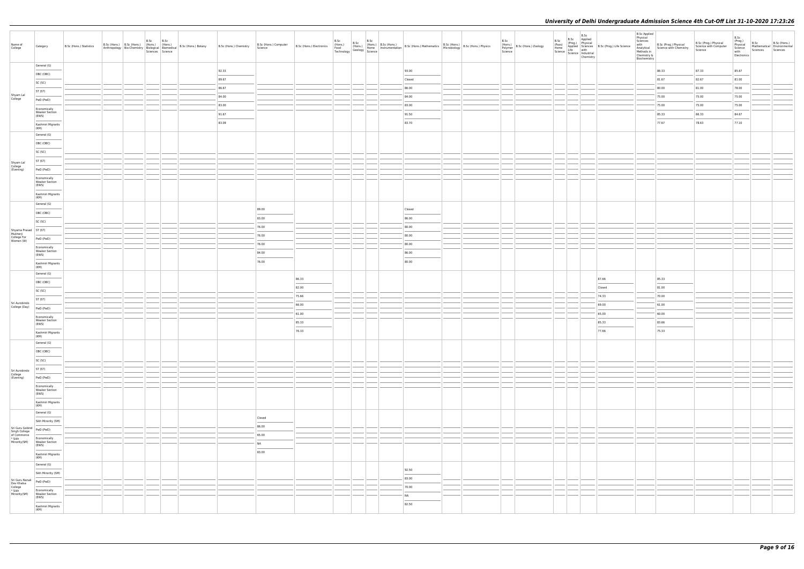| Biochemistry<br>General (G)<br>92.33<br>93.00<br>86.33<br>87.33<br>85.67<br>OBC (OBC)<br><b>STATISTICS</b><br>89.67<br>81.67<br>82.67<br>81.00<br>Closed<br>SC (SC)<br>86.67<br>86.00<br>80.00<br>81.00<br>78.00<br>ST (ST)<br>Shyam Lal<br>College<br>84.00<br>84.00<br>75.00<br>75.00<br>75.00<br>PwD (PwD)<br>83.00<br>83.00<br>75.00<br>75.00<br>75.00<br>Economically<br><b>Weaker Section</b><br>91.67<br>91.50<br>85.33<br>86.33<br>84.67<br>(EWS)<br>83.09<br>83.70<br>77.67<br>78.63<br>77.10<br>Kashmiri Migrants<br>(KM)<br>General (G)<br>OBC (OBC)<br>SC (SC)<br>ST (ST)<br>Shyam Lal<br>College<br>(Evening)<br>PwD (PwD)<br>Economically<br><b>Weaker Section</b><br>(EWS)<br>Kashmiri Migrants<br>(KM)<br>General (G)<br>89.00<br>Closed<br>OBC (OBC)<br>83.00<br>86.00<br>SC (SC)<br>76.00<br>80.00<br>Shyama Prasad<br>Mukherji<br>College For<br>WD (Pwl)<br>76.00<br>80.00<br>PwD (PwD)<br>Women (W)<br>76.00<br>80.00<br>Economically<br><b>Weaker Section</b><br>84.00<br>86.00<br>(EWS)<br>76.00<br>80.00<br>Kashmiri Migrants<br>(KM)<br>General (G)<br>87.66<br>85.33<br>86.33<br>OBC (OBC)<br>82.00<br>81.00<br>Closed<br>SC (SC)<br>75.66<br>74.33<br>70.00<br>ST (ST)<br>Sri Aurobindo<br>69.00<br>66.00<br>61.00<br>College (Day) PwD (PwD)<br>61.00<br>65.00<br>60.00<br>Economically<br><b>Weaker Section</b><br>85.33<br>85.33<br>83.66<br>(EWS)<br>$\sim$<br>$\frac{1}{2} \left( \frac{1}{2} \right) \left( \frac{1}{2} \right) \left( \frac{1}{2} \right) \left( \frac{1}{2} \right) \left( \frac{1}{2} \right) \left( \frac{1}{2} \right) \left( \frac{1}{2} \right) \left( \frac{1}{2} \right) \left( \frac{1}{2} \right) \left( \frac{1}{2} \right) \left( \frac{1}{2} \right) \left( \frac{1}{2} \right) \left( \frac{1}{2} \right) \left( \frac{1}{2} \right) \left( \frac{1}{2} \right) \left( \frac{1}{2} \right) \left( \frac$<br>$\sim$<br>$\frac{1}{2} \left( \frac{1}{2} \right) \left( \frac{1}{2} \right) \left( \frac{1}{2} \right) \left( \frac{1}{2} \right) \left( \frac{1}{2} \right) \left( \frac{1}{2} \right) \left( \frac{1}{2} \right) \left( \frac{1}{2} \right) \left( \frac{1}{2} \right) \left( \frac{1}{2} \right) \left( \frac{1}{2} \right) \left( \frac{1}{2} \right) \left( \frac{1}{2} \right) \left( \frac{1}{2} \right) \left( \frac{1}{2} \right) \left( \frac{1}{2} \right) \left( \frac$<br>76.33<br>77.66<br>75.33<br>Kashmiri Migrants<br>(KM)<br>General (G)<br>OBC (OBC)<br>$\frac{1}{2} \left( \frac{1}{2} \right) \left( \frac{1}{2} \right) \left( \frac{1}{2} \right) \left( \frac{1}{2} \right) \left( \frac{1}{2} \right) \left( \frac{1}{2} \right) \left( \frac{1}{2} \right) \left( \frac{1}{2} \right) \left( \frac{1}{2} \right) \left( \frac{1}{2} \right) \left( \frac{1}{2} \right) \left( \frac{1}{2} \right) \left( \frac{1}{2} \right) \left( \frac{1}{2} \right) \left( \frac{1}{2} \right) \left( \frac{1}{2} \right) \left( \frac$<br>SC (SC)<br>ST (ST)<br>Sri Aurobindo<br>College<br>(Evening)<br>PwD (PwD) |  |
|----------------------------------------------------------------------------------------------------------------------------------------------------------------------------------------------------------------------------------------------------------------------------------------------------------------------------------------------------------------------------------------------------------------------------------------------------------------------------------------------------------------------------------------------------------------------------------------------------------------------------------------------------------------------------------------------------------------------------------------------------------------------------------------------------------------------------------------------------------------------------------------------------------------------------------------------------------------------------------------------------------------------------------------------------------------------------------------------------------------------------------------------------------------------------------------------------------------------------------------------------------------------------------------------------------------------------------------------------------------------------------------------------------------------------------------------------------------------------------------------------------------------------------------------------------------------------------------------------------------------------------------------------------------------------------------------------------------------------------------------------------------------------------------------------------------------------------------------------------------------------------------------------------------------------------------------------------------------------------------------------------------------------------------------------------------------------------------------------------------------------------------------------------------------------------------------------------------------------------------------------------------------------------------------------------------------------------------------------------------------------------------------------------------------------------------------------------------------------------------------------------------------------------------------------------------------------------------------------------------------------------------------------------------------------------------------------------------------------------------------------------------------------------------------------------------------------------------------------------------------------------------------------------------------------------------------------------------------------------------------------------------|--|
|                                                                                                                                                                                                                                                                                                                                                                                                                                                                                                                                                                                                                                                                                                                                                                                                                                                                                                                                                                                                                                                                                                                                                                                                                                                                                                                                                                                                                                                                                                                                                                                                                                                                                                                                                                                                                                                                                                                                                                                                                                                                                                                                                                                                                                                                                                                                                                                                                                                                                                                                                                                                                                                                                                                                                                                                                                                                                                                                                                                                                |  |
|                                                                                                                                                                                                                                                                                                                                                                                                                                                                                                                                                                                                                                                                                                                                                                                                                                                                                                                                                                                                                                                                                                                                                                                                                                                                                                                                                                                                                                                                                                                                                                                                                                                                                                                                                                                                                                                                                                                                                                                                                                                                                                                                                                                                                                                                                                                                                                                                                                                                                                                                                                                                                                                                                                                                                                                                                                                                                                                                                                                                                |  |
|                                                                                                                                                                                                                                                                                                                                                                                                                                                                                                                                                                                                                                                                                                                                                                                                                                                                                                                                                                                                                                                                                                                                                                                                                                                                                                                                                                                                                                                                                                                                                                                                                                                                                                                                                                                                                                                                                                                                                                                                                                                                                                                                                                                                                                                                                                                                                                                                                                                                                                                                                                                                                                                                                                                                                                                                                                                                                                                                                                                                                |  |
|                                                                                                                                                                                                                                                                                                                                                                                                                                                                                                                                                                                                                                                                                                                                                                                                                                                                                                                                                                                                                                                                                                                                                                                                                                                                                                                                                                                                                                                                                                                                                                                                                                                                                                                                                                                                                                                                                                                                                                                                                                                                                                                                                                                                                                                                                                                                                                                                                                                                                                                                                                                                                                                                                                                                                                                                                                                                                                                                                                                                                |  |
|                                                                                                                                                                                                                                                                                                                                                                                                                                                                                                                                                                                                                                                                                                                                                                                                                                                                                                                                                                                                                                                                                                                                                                                                                                                                                                                                                                                                                                                                                                                                                                                                                                                                                                                                                                                                                                                                                                                                                                                                                                                                                                                                                                                                                                                                                                                                                                                                                                                                                                                                                                                                                                                                                                                                                                                                                                                                                                                                                                                                                |  |
|                                                                                                                                                                                                                                                                                                                                                                                                                                                                                                                                                                                                                                                                                                                                                                                                                                                                                                                                                                                                                                                                                                                                                                                                                                                                                                                                                                                                                                                                                                                                                                                                                                                                                                                                                                                                                                                                                                                                                                                                                                                                                                                                                                                                                                                                                                                                                                                                                                                                                                                                                                                                                                                                                                                                                                                                                                                                                                                                                                                                                |  |
|                                                                                                                                                                                                                                                                                                                                                                                                                                                                                                                                                                                                                                                                                                                                                                                                                                                                                                                                                                                                                                                                                                                                                                                                                                                                                                                                                                                                                                                                                                                                                                                                                                                                                                                                                                                                                                                                                                                                                                                                                                                                                                                                                                                                                                                                                                                                                                                                                                                                                                                                                                                                                                                                                                                                                                                                                                                                                                                                                                                                                |  |
|                                                                                                                                                                                                                                                                                                                                                                                                                                                                                                                                                                                                                                                                                                                                                                                                                                                                                                                                                                                                                                                                                                                                                                                                                                                                                                                                                                                                                                                                                                                                                                                                                                                                                                                                                                                                                                                                                                                                                                                                                                                                                                                                                                                                                                                                                                                                                                                                                                                                                                                                                                                                                                                                                                                                                                                                                                                                                                                                                                                                                |  |
|                                                                                                                                                                                                                                                                                                                                                                                                                                                                                                                                                                                                                                                                                                                                                                                                                                                                                                                                                                                                                                                                                                                                                                                                                                                                                                                                                                                                                                                                                                                                                                                                                                                                                                                                                                                                                                                                                                                                                                                                                                                                                                                                                                                                                                                                                                                                                                                                                                                                                                                                                                                                                                                                                                                                                                                                                                                                                                                                                                                                                |  |
|                                                                                                                                                                                                                                                                                                                                                                                                                                                                                                                                                                                                                                                                                                                                                                                                                                                                                                                                                                                                                                                                                                                                                                                                                                                                                                                                                                                                                                                                                                                                                                                                                                                                                                                                                                                                                                                                                                                                                                                                                                                                                                                                                                                                                                                                                                                                                                                                                                                                                                                                                                                                                                                                                                                                                                                                                                                                                                                                                                                                                |  |
|                                                                                                                                                                                                                                                                                                                                                                                                                                                                                                                                                                                                                                                                                                                                                                                                                                                                                                                                                                                                                                                                                                                                                                                                                                                                                                                                                                                                                                                                                                                                                                                                                                                                                                                                                                                                                                                                                                                                                                                                                                                                                                                                                                                                                                                                                                                                                                                                                                                                                                                                                                                                                                                                                                                                                                                                                                                                                                                                                                                                                |  |
|                                                                                                                                                                                                                                                                                                                                                                                                                                                                                                                                                                                                                                                                                                                                                                                                                                                                                                                                                                                                                                                                                                                                                                                                                                                                                                                                                                                                                                                                                                                                                                                                                                                                                                                                                                                                                                                                                                                                                                                                                                                                                                                                                                                                                                                                                                                                                                                                                                                                                                                                                                                                                                                                                                                                                                                                                                                                                                                                                                                                                |  |
|                                                                                                                                                                                                                                                                                                                                                                                                                                                                                                                                                                                                                                                                                                                                                                                                                                                                                                                                                                                                                                                                                                                                                                                                                                                                                                                                                                                                                                                                                                                                                                                                                                                                                                                                                                                                                                                                                                                                                                                                                                                                                                                                                                                                                                                                                                                                                                                                                                                                                                                                                                                                                                                                                                                                                                                                                                                                                                                                                                                                                |  |
|                                                                                                                                                                                                                                                                                                                                                                                                                                                                                                                                                                                                                                                                                                                                                                                                                                                                                                                                                                                                                                                                                                                                                                                                                                                                                                                                                                                                                                                                                                                                                                                                                                                                                                                                                                                                                                                                                                                                                                                                                                                                                                                                                                                                                                                                                                                                                                                                                                                                                                                                                                                                                                                                                                                                                                                                                                                                                                                                                                                                                |  |
|                                                                                                                                                                                                                                                                                                                                                                                                                                                                                                                                                                                                                                                                                                                                                                                                                                                                                                                                                                                                                                                                                                                                                                                                                                                                                                                                                                                                                                                                                                                                                                                                                                                                                                                                                                                                                                                                                                                                                                                                                                                                                                                                                                                                                                                                                                                                                                                                                                                                                                                                                                                                                                                                                                                                                                                                                                                                                                                                                                                                                |  |
|                                                                                                                                                                                                                                                                                                                                                                                                                                                                                                                                                                                                                                                                                                                                                                                                                                                                                                                                                                                                                                                                                                                                                                                                                                                                                                                                                                                                                                                                                                                                                                                                                                                                                                                                                                                                                                                                                                                                                                                                                                                                                                                                                                                                                                                                                                                                                                                                                                                                                                                                                                                                                                                                                                                                                                                                                                                                                                                                                                                                                |  |
|                                                                                                                                                                                                                                                                                                                                                                                                                                                                                                                                                                                                                                                                                                                                                                                                                                                                                                                                                                                                                                                                                                                                                                                                                                                                                                                                                                                                                                                                                                                                                                                                                                                                                                                                                                                                                                                                                                                                                                                                                                                                                                                                                                                                                                                                                                                                                                                                                                                                                                                                                                                                                                                                                                                                                                                                                                                                                                                                                                                                                |  |
|                                                                                                                                                                                                                                                                                                                                                                                                                                                                                                                                                                                                                                                                                                                                                                                                                                                                                                                                                                                                                                                                                                                                                                                                                                                                                                                                                                                                                                                                                                                                                                                                                                                                                                                                                                                                                                                                                                                                                                                                                                                                                                                                                                                                                                                                                                                                                                                                                                                                                                                                                                                                                                                                                                                                                                                                                                                                                                                                                                                                                |  |
|                                                                                                                                                                                                                                                                                                                                                                                                                                                                                                                                                                                                                                                                                                                                                                                                                                                                                                                                                                                                                                                                                                                                                                                                                                                                                                                                                                                                                                                                                                                                                                                                                                                                                                                                                                                                                                                                                                                                                                                                                                                                                                                                                                                                                                                                                                                                                                                                                                                                                                                                                                                                                                                                                                                                                                                                                                                                                                                                                                                                                |  |
|                                                                                                                                                                                                                                                                                                                                                                                                                                                                                                                                                                                                                                                                                                                                                                                                                                                                                                                                                                                                                                                                                                                                                                                                                                                                                                                                                                                                                                                                                                                                                                                                                                                                                                                                                                                                                                                                                                                                                                                                                                                                                                                                                                                                                                                                                                                                                                                                                                                                                                                                                                                                                                                                                                                                                                                                                                                                                                                                                                                                                |  |
|                                                                                                                                                                                                                                                                                                                                                                                                                                                                                                                                                                                                                                                                                                                                                                                                                                                                                                                                                                                                                                                                                                                                                                                                                                                                                                                                                                                                                                                                                                                                                                                                                                                                                                                                                                                                                                                                                                                                                                                                                                                                                                                                                                                                                                                                                                                                                                                                                                                                                                                                                                                                                                                                                                                                                                                                                                                                                                                                                                                                                |  |
|                                                                                                                                                                                                                                                                                                                                                                                                                                                                                                                                                                                                                                                                                                                                                                                                                                                                                                                                                                                                                                                                                                                                                                                                                                                                                                                                                                                                                                                                                                                                                                                                                                                                                                                                                                                                                                                                                                                                                                                                                                                                                                                                                                                                                                                                                                                                                                                                                                                                                                                                                                                                                                                                                                                                                                                                                                                                                                                                                                                                                |  |
|                                                                                                                                                                                                                                                                                                                                                                                                                                                                                                                                                                                                                                                                                                                                                                                                                                                                                                                                                                                                                                                                                                                                                                                                                                                                                                                                                                                                                                                                                                                                                                                                                                                                                                                                                                                                                                                                                                                                                                                                                                                                                                                                                                                                                                                                                                                                                                                                                                                                                                                                                                                                                                                                                                                                                                                                                                                                                                                                                                                                                |  |
|                                                                                                                                                                                                                                                                                                                                                                                                                                                                                                                                                                                                                                                                                                                                                                                                                                                                                                                                                                                                                                                                                                                                                                                                                                                                                                                                                                                                                                                                                                                                                                                                                                                                                                                                                                                                                                                                                                                                                                                                                                                                                                                                                                                                                                                                                                                                                                                                                                                                                                                                                                                                                                                                                                                                                                                                                                                                                                                                                                                                                |  |
|                                                                                                                                                                                                                                                                                                                                                                                                                                                                                                                                                                                                                                                                                                                                                                                                                                                                                                                                                                                                                                                                                                                                                                                                                                                                                                                                                                                                                                                                                                                                                                                                                                                                                                                                                                                                                                                                                                                                                                                                                                                                                                                                                                                                                                                                                                                                                                                                                                                                                                                                                                                                                                                                                                                                                                                                                                                                                                                                                                                                                |  |
|                                                                                                                                                                                                                                                                                                                                                                                                                                                                                                                                                                                                                                                                                                                                                                                                                                                                                                                                                                                                                                                                                                                                                                                                                                                                                                                                                                                                                                                                                                                                                                                                                                                                                                                                                                                                                                                                                                                                                                                                                                                                                                                                                                                                                                                                                                                                                                                                                                                                                                                                                                                                                                                                                                                                                                                                                                                                                                                                                                                                                |  |
|                                                                                                                                                                                                                                                                                                                                                                                                                                                                                                                                                                                                                                                                                                                                                                                                                                                                                                                                                                                                                                                                                                                                                                                                                                                                                                                                                                                                                                                                                                                                                                                                                                                                                                                                                                                                                                                                                                                                                                                                                                                                                                                                                                                                                                                                                                                                                                                                                                                                                                                                                                                                                                                                                                                                                                                                                                                                                                                                                                                                                |  |
|                                                                                                                                                                                                                                                                                                                                                                                                                                                                                                                                                                                                                                                                                                                                                                                                                                                                                                                                                                                                                                                                                                                                                                                                                                                                                                                                                                                                                                                                                                                                                                                                                                                                                                                                                                                                                                                                                                                                                                                                                                                                                                                                                                                                                                                                                                                                                                                                                                                                                                                                                                                                                                                                                                                                                                                                                                                                                                                                                                                                                |  |
|                                                                                                                                                                                                                                                                                                                                                                                                                                                                                                                                                                                                                                                                                                                                                                                                                                                                                                                                                                                                                                                                                                                                                                                                                                                                                                                                                                                                                                                                                                                                                                                                                                                                                                                                                                                                                                                                                                                                                                                                                                                                                                                                                                                                                                                                                                                                                                                                                                                                                                                                                                                                                                                                                                                                                                                                                                                                                                                                                                                                                |  |
|                                                                                                                                                                                                                                                                                                                                                                                                                                                                                                                                                                                                                                                                                                                                                                                                                                                                                                                                                                                                                                                                                                                                                                                                                                                                                                                                                                                                                                                                                                                                                                                                                                                                                                                                                                                                                                                                                                                                                                                                                                                                                                                                                                                                                                                                                                                                                                                                                                                                                                                                                                                                                                                                                                                                                                                                                                                                                                                                                                                                                |  |
|                                                                                                                                                                                                                                                                                                                                                                                                                                                                                                                                                                                                                                                                                                                                                                                                                                                                                                                                                                                                                                                                                                                                                                                                                                                                                                                                                                                                                                                                                                                                                                                                                                                                                                                                                                                                                                                                                                                                                                                                                                                                                                                                                                                                                                                                                                                                                                                                                                                                                                                                                                                                                                                                                                                                                                                                                                                                                                                                                                                                                |  |
|                                                                                                                                                                                                                                                                                                                                                                                                                                                                                                                                                                                                                                                                                                                                                                                                                                                                                                                                                                                                                                                                                                                                                                                                                                                                                                                                                                                                                                                                                                                                                                                                                                                                                                                                                                                                                                                                                                                                                                                                                                                                                                                                                                                                                                                                                                                                                                                                                                                                                                                                                                                                                                                                                                                                                                                                                                                                                                                                                                                                                |  |
|                                                                                                                                                                                                                                                                                                                                                                                                                                                                                                                                                                                                                                                                                                                                                                                                                                                                                                                                                                                                                                                                                                                                                                                                                                                                                                                                                                                                                                                                                                                                                                                                                                                                                                                                                                                                                                                                                                                                                                                                                                                                                                                                                                                                                                                                                                                                                                                                                                                                                                                                                                                                                                                                                                                                                                                                                                                                                                                                                                                                                |  |
|                                                                                                                                                                                                                                                                                                                                                                                                                                                                                                                                                                                                                                                                                                                                                                                                                                                                                                                                                                                                                                                                                                                                                                                                                                                                                                                                                                                                                                                                                                                                                                                                                                                                                                                                                                                                                                                                                                                                                                                                                                                                                                                                                                                                                                                                                                                                                                                                                                                                                                                                                                                                                                                                                                                                                                                                                                                                                                                                                                                                                |  |
|                                                                                                                                                                                                                                                                                                                                                                                                                                                                                                                                                                                                                                                                                                                                                                                                                                                                                                                                                                                                                                                                                                                                                                                                                                                                                                                                                                                                                                                                                                                                                                                                                                                                                                                                                                                                                                                                                                                                                                                                                                                                                                                                                                                                                                                                                                                                                                                                                                                                                                                                                                                                                                                                                                                                                                                                                                                                                                                                                                                                                |  |
| Economically<br><b>Weaker Section</b><br>(EWS)                                                                                                                                                                                                                                                                                                                                                                                                                                                                                                                                                                                                                                                                                                                                                                                                                                                                                                                                                                                                                                                                                                                                                                                                                                                                                                                                                                                                                                                                                                                                                                                                                                                                                                                                                                                                                                                                                                                                                                                                                                                                                                                                                                                                                                                                                                                                                                                                                                                                                                                                                                                                                                                                                                                                                                                                                                                                                                                                                                 |  |
| Kashmiri Migrants<br>(KM)                                                                                                                                                                                                                                                                                                                                                                                                                                                                                                                                                                                                                                                                                                                                                                                                                                                                                                                                                                                                                                                                                                                                                                                                                                                                                                                                                                                                                                                                                                                                                                                                                                                                                                                                                                                                                                                                                                                                                                                                                                                                                                                                                                                                                                                                                                                                                                                                                                                                                                                                                                                                                                                                                                                                                                                                                                                                                                                                                                                      |  |
| General (G)                                                                                                                                                                                                                                                                                                                                                                                                                                                                                                                                                                                                                                                                                                                                                                                                                                                                                                                                                                                                                                                                                                                                                                                                                                                                                                                                                                                                                                                                                                                                                                                                                                                                                                                                                                                                                                                                                                                                                                                                                                                                                                                                                                                                                                                                                                                                                                                                                                                                                                                                                                                                                                                                                                                                                                                                                                                                                                                                                                                                    |  |
| Closed<br>Sikh Minority (SM)                                                                                                                                                                                                                                                                                                                                                                                                                                                                                                                                                                                                                                                                                                                                                                                                                                                                                                                                                                                                                                                                                                                                                                                                                                                                                                                                                                                                                                                                                                                                                                                                                                                                                                                                                                                                                                                                                                                                                                                                                                                                                                                                                                                                                                                                                                                                                                                                                                                                                                                                                                                                                                                                                                                                                                                                                                                                                                                                                                                   |  |
| 86.00<br>Sri Guru Gobind<br>Singh College<br>of Commerce                                                                                                                                                                                                                                                                                                                                                                                                                                                                                                                                                                                                                                                                                                                                                                                                                                                                                                                                                                                                                                                                                                                                                                                                                                                                                                                                                                                                                                                                                                                                                                                                                                                                                                                                                                                                                                                                                                                                                                                                                                                                                                                                                                                                                                                                                                                                                                                                                                                                                                                                                                                                                                                                                                                                                                                                                                                                                                                                                       |  |
| 65.00<br>* Sikh<br>Minority(SM)<br>Economically<br>Weaker Section                                                                                                                                                                                                                                                                                                                                                                                                                                                                                                                                                                                                                                                                                                                                                                                                                                                                                                                                                                                                                                                                                                                                                                                                                                                                                                                                                                                                                                                                                                                                                                                                                                                                                                                                                                                                                                                                                                                                                                                                                                                                                                                                                                                                                                                                                                                                                                                                                                                                                                                                                                                                                                                                                                                                                                                                                                                                                                                                              |  |
| NA<br>(EWS)<br>$\frac{1}{2}$<br>83.00<br>Kashmiri Migrants                                                                                                                                                                                                                                                                                                                                                                                                                                                                                                                                                                                                                                                                                                                                                                                                                                                                                                                                                                                                                                                                                                                                                                                                                                                                                                                                                                                                                                                                                                                                                                                                                                                                                                                                                                                                                                                                                                                                                                                                                                                                                                                                                                                                                                                                                                                                                                                                                                                                                                                                                                                                                                                                                                                                                                                                                                                                                                                                                     |  |
| (KM)                                                                                                                                                                                                                                                                                                                                                                                                                                                                                                                                                                                                                                                                                                                                                                                                                                                                                                                                                                                                                                                                                                                                                                                                                                                                                                                                                                                                                                                                                                                                                                                                                                                                                                                                                                                                                                                                                                                                                                                                                                                                                                                                                                                                                                                                                                                                                                                                                                                                                                                                                                                                                                                                                                                                                                                                                                                                                                                                                                                                           |  |
| General (G)<br>92.50<br>Sikh Minority (SM)                                                                                                                                                                                                                                                                                                                                                                                                                                                                                                                                                                                                                                                                                                                                                                                                                                                                                                                                                                                                                                                                                                                                                                                                                                                                                                                                                                                                                                                                                                                                                                                                                                                                                                                                                                                                                                                                                                                                                                                                                                                                                                                                                                                                                                                                                                                                                                                                                                                                                                                                                                                                                                                                                                                                                                                                                                                                                                                                                                     |  |
| 83.00<br>Sri Guru Nanak<br>PwD (PwD)                                                                                                                                                                                                                                                                                                                                                                                                                                                                                                                                                                                                                                                                                                                                                                                                                                                                                                                                                                                                                                                                                                                                                                                                                                                                                                                                                                                                                                                                                                                                                                                                                                                                                                                                                                                                                                                                                                                                                                                                                                                                                                                                                                                                                                                                                                                                                                                                                                                                                                                                                                                                                                                                                                                                                                                                                                                                                                                                                                           |  |
| Dev Khalsa<br>College<br>* Sikh<br>Minority(SM)<br>70.00                                                                                                                                                                                                                                                                                                                                                                                                                                                                                                                                                                                                                                                                                                                                                                                                                                                                                                                                                                                                                                                                                                                                                                                                                                                                                                                                                                                                                                                                                                                                                                                                                                                                                                                                                                                                                                                                                                                                                                                                                                                                                                                                                                                                                                                                                                                                                                                                                                                                                                                                                                                                                                                                                                                                                                                                                                                                                                                                                       |  |
| Economically<br>Weaker Section<br>NA<br>(EWS)                                                                                                                                                                                                                                                                                                                                                                                                                                                                                                                                                                                                                                                                                                                                                                                                                                                                                                                                                                                                                                                                                                                                                                                                                                                                                                                                                                                                                                                                                                                                                                                                                                                                                                                                                                                                                                                                                                                                                                                                                                                                                                                                                                                                                                                                                                                                                                                                                                                                                                                                                                                                                                                                                                                                                                                                                                                                                                                                                                  |  |
| <b>Service Control</b><br>82.50<br>Kashmiri Migrants<br>(KM)                                                                                                                                                                                                                                                                                                                                                                                                                                                                                                                                                                                                                                                                                                                                                                                                                                                                                                                                                                                                                                                                                                                                                                                                                                                                                                                                                                                                                                                                                                                                                                                                                                                                                                                                                                                                                                                                                                                                                                                                                                                                                                                                                                                                                                                                                                                                                                                                                                                                                                                                                                                                                                                                                                                                                                                                                                                                                                                                                   |  |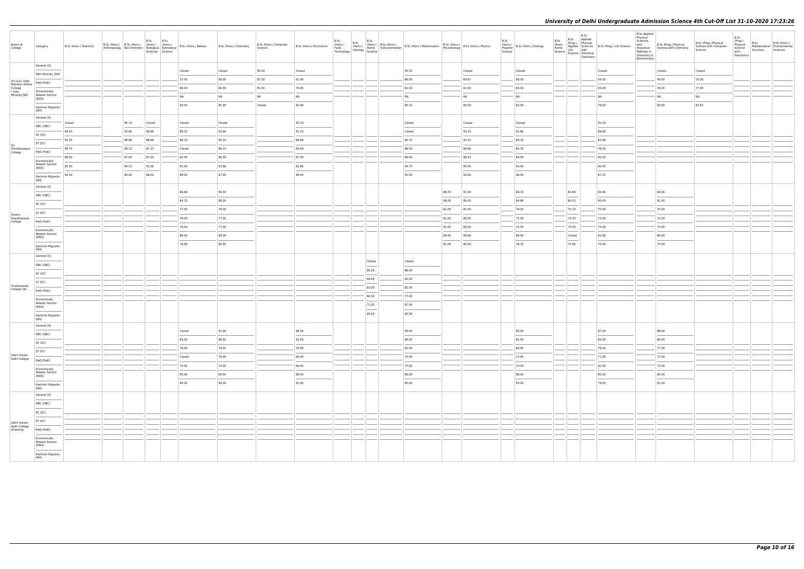| Name of<br>College                                   | Category                                                                                                                                                                                                                                                                                                                                                                                                                                                                              | B.Sc (Hons.) Statistics | B.Sc (Hons.) B.Sc (Hons.) (Hons.) (Hons.)<br>Anthropology Bio-Chemistry Biological Biomedical |       | B.Sc   | B.Sc<br>Sciences Science | B.Sc (Hons.) Botany | B.Sc (Hons.) Chemistry | B.Sc (Hons.) Computer<br>Science |                                   | B.Sc | B.Sc | B.Sc                                                                                                                                                                                                                                                                                                                                                                                                                                                                                |                                   |       | B.Sc (Hons.) Electronics<br>Food (Hons.) (Hons.) (Hons.) (Hons.) (Hons.) (Hons.) (Hons.) (Hons.) (Hons.) (Hons.) B.Sc (Hons.) Microbiology<br>Technology Geology Science (Hons.) (Hons.) (Hons.) (Microbiology B.Sc (Hons.) (Hons. | B.Sc<br>Polymer<br>Science | (Hons.)<br>B.Sc (Hons.) Zoology          | B.Sc<br>Chemistry | B.Sc applied<br>(Pass) (Prog.) Physical<br>Home Applied Science<br>Home Life with<br>Science Industrial<br>Science Industrial<br>The Chemistry<br>Chemistry<br>Chemistry | B.Sc Applied<br>Physical<br>Sciences<br>with<br>Analytical<br>Methods in<br>Chemistry &<br>Biochemistry | B.Sc (Prog.) Physical<br>Science with Chemistry | B.Sc (Prog.) Physical<br>Science with Computer<br>Science | B.Sc<br>(Prog.)<br>Physical<br>Science<br>with<br>Electronics | B.Sc<br>Sciences Sciences | B.Sc (Hons.)<br>Mathematical Environmental |
|------------------------------------------------------|---------------------------------------------------------------------------------------------------------------------------------------------------------------------------------------------------------------------------------------------------------------------------------------------------------------------------------------------------------------------------------------------------------------------------------------------------------------------------------------|-------------------------|-----------------------------------------------------------------------------------------------|-------|--------|--------------------------|---------------------|------------------------|----------------------------------|-----------------------------------|------|------|-------------------------------------------------------------------------------------------------------------------------------------------------------------------------------------------------------------------------------------------------------------------------------------------------------------------------------------------------------------------------------------------------------------------------------------------------------------------------------------|-----------------------------------|-------|------------------------------------------------------------------------------------------------------------------------------------------------------------------------------------------------------------------------------------|----------------------------|------------------------------------------|-------------------|--------------------------------------------------------------------------------------------------------------------------------------------------------------------------|---------------------------------------------------------------------------------------------------------|-------------------------------------------------|-----------------------------------------------------------|---------------------------------------------------------------|---------------------------|--------------------------------------------|
|                                                      | General (G)                                                                                                                                                                                                                                                                                                                                                                                                                                                                           |                         |                                                                                               |       |        |                          | Closed              | Closed                 | 95.00                            | Closed                            |      |      |                                                                                                                                                                                                                                                                                                                                                                                                                                                                                     | 95.25                             |       | Closed                                                                                                                                                                                                                             |                            | Closed                                   |                   | Closed                                                                                                                                                                   |                                                                                                         | Closed                                          | Closed                                                    |                                                               |                           |                                            |
|                                                      | Sikh Minority (SM)                                                                                                                                                                                                                                                                                                                                                                                                                                                                    |                         |                                                                                               |       |        |                          | 57.00               | 80.00                  | 87.00                            | 61.00                             |      |      |                                                                                                                                                                                                                                                                                                                                                                                                                                                                                     | 86.00                             |       | 69.67                                                                                                                                                                                                                              |                            | 68.00                                    |                   | 54.00                                                                                                                                                                    |                                                                                                         | 49.00                                           | 55.00                                                     |                                                               |                           |                                            |
| Sri Guru Tegh<br>Bahadur Khalsa<br>College<br>* Sikh | PwD (PwD)                                                                                                                                                                                                                                                                                                                                                                                                                                                                             |                         |                                                                                               |       |        |                          | 68.00               | 80.00                  | 81.00                            | 70.00                             |      |      |                                                                                                                                                                                                                                                                                                                                                                                                                                                                                     | 82.00                             |       | 61.00                                                                                                                                                                                                                              |                            | 64.00                                    |                   | 63.00                                                                                                                                                                    |                                                                                                         | 76.00                                           | 77.00                                                     |                                                               |                           |                                            |
| Minority(SM)                                         | Economically<br><b>Weaker Section</b><br>(EWS)                                                                                                                                                                                                                                                                                                                                                                                                                                        |                         |                                                                                               |       |        |                          | <b>NA</b>           | NA                     | <b>NA</b>                        | NA                                |      |      |                                                                                                                                                                                                                                                                                                                                                                                                                                                                                     | NA                                |       | <b>NA</b>                                                                                                                                                                                                                          |                            | <b>NA</b>                                |                   | NA                                                                                                                                                                       |                                                                                                         | <b>NA</b>                                       | NA                                                        |                                                               |                           |                                            |
|                                                      | Kashmiri Migrants                                                                                                                                                                                                                                                                                                                                                                                                                                                                     |                         |                                                                                               |       |        |                          | 80.00               | 85.00                  | Closed                           | 82.00                             |      |      |                                                                                                                                                                                                                                                                                                                                                                                                                                                                                     | 85.25                             |       | 85.00                                                                                                                                                                                                                              |                            | 83.00                                    |                   | 79.00                                                                                                                                                                    |                                                                                                         | 83.00                                           | 83.67                                                     |                                                               |                           |                                            |
|                                                      | (KM)<br>General (G)                                                                                                                                                                                                                                                                                                                                                                                                                                                                   |                         |                                                                                               |       |        |                          |                     |                        |                                  |                                   |      |      |                                                                                                                                                                                                                                                                                                                                                                                                                                                                                     |                                   |       |                                                                                                                                                                                                                                    |                            |                                          |                   |                                                                                                                                                                          |                                                                                                         |                                                 |                                                           |                                                               |                           |                                            |
|                                                      | OBC (OBC)                                                                                                                                                                                                                                                                                                                                                                                                                                                                             | Closed                  |                                                                                               | 95.33 | Closed |                          | Closed              | Closed                 |                                  | 93.33                             |      |      |                                                                                                                                                                                                                                                                                                                                                                                                                                                                                     | Closed                            |       | Closed                                                                                                                                                                                                                             |                            | Closed                                   |                   | 91.00                                                                                                                                                                    |                                                                                                         |                                                 |                                                           |                                                               |                           |                                            |
|                                                      | SC (SC)                                                                                                                                                                                                                                                                                                                                                                                                                                                                               | 94.50                   |                                                                                               | 92.66 | 90.66  |                          | 89.33               | 93.66                  |                                  | 91.33                             |      |      |                                                                                                                                                                                                                                                                                                                                                                                                                                                                                     | Closed                            |       | 95.33                                                                                                                                                                                                                              |                            | 91.66                                    |                   | 88.66                                                                                                                                                                    |                                                                                                         |                                                 |                                                           |                                                               |                           |                                            |
| Sri                                                  | $\frac{1}{2} \left( \frac{1}{2} \right) \left( \frac{1}{2} \right) \left( \frac{1}{2} \right) \left( \frac{1}{2} \right) \left( \frac{1}{2} \right) \left( \frac{1}{2} \right) \left( \frac{1}{2} \right) \left( \frac{1}{2} \right) \left( \frac{1}{2} \right) \left( \frac{1}{2} \right) \left( \frac{1}{2} \right) \left( \frac{1}{2} \right) \left( \frac{1}{2} \right) \left( \frac{1}{2} \right) \left( \frac{1}{2} \right) \left( \frac{1}{2} \right) \left( \frac$<br>ST (ST) | 91.25                   |                                                                                               | 89.66 | 88.66  |                          | 86.33               | 90.33                  |                                  | 86.66                             |      |      |                                                                                                                                                                                                                                                                                                                                                                                                                                                                                     | 90.75                             |       | 92.33                                                                                                                                                                                                                              |                            | 89.33                                    |                   | 83.66                                                                                                                                                                    |                                                                                                         |                                                 |                                                           |                                                               |                           |                                            |
| Venketeswara<br>College                              | PwD (PwD)                                                                                                                                                                                                                                                                                                                                                                                                                                                                             | 88.75                   |                                                                                               | 88.33 | 87.33  |                          | Closed              | 86.33                  |                                  | 84.00                             |      |      |                                                                                                                                                                                                                                                                                                                                                                                                                                                                                     | 88.50                             |       | 88.66                                                                                                                                                                                                                              |                            | 85.33                                    |                   | 78.00                                                                                                                                                                    |                                                                                                         |                                                 |                                                           |                                                               |                           |                                            |
|                                                      | Economically                                                                                                                                                                                                                                                                                                                                                                                                                                                                          | 89.00                   |                                                                                               | 87.00 | 87.00  |                          | 82.00               | 86.00                  |                                  | 87.00                             |      |      |                                                                                                                                                                                                                                                                                                                                                                                                                                                                                     | 88.00                             |       | 88.33                                                                                                                                                                                                                              |                            | 84.00                                    |                   | 82.00                                                                                                                                                                    |                                                                                                         |                                                 |                                                           |                                                               |                           |                                            |
|                                                      | <b>Weaker Section</b><br>(EWS)                                                                                                                                                                                                                                                                                                                                                                                                                                                        | 95.50                   |                                                                                               | 94.33 | 91.66  |                          | 91.00               | 93.66                  |                                  | 92.66                             |      |      |                                                                                                                                                                                                                                                                                                                                                                                                                                                                                     | 94.75                             |       | 95.00                                                                                                                                                                                                                              |                            | 93.00<br>$\sim$                          |                   | 90.00                                                                                                                                                                    |                                                                                                         |                                                 |                                                           |                                                               |                           |                                            |
|                                                      | Kashmiri Migrants<br>(KM)                                                                                                                                                                                                                                                                                                                                                                                                                                                             | 92.50                   |                                                                                               | 90.00 | 88.00  |                          | 89.00               | 87.00                  |                                  | 86.00                             |      |      |                                                                                                                                                                                                                                                                                                                                                                                                                                                                                     | 91.00                             |       | 90.00                                                                                                                                                                                                                              |                            | 88.00                                    |                   | 87.33                                                                                                                                                                    |                                                                                                         |                                                 |                                                           |                                                               |                           |                                            |
|                                                      | General (G)                                                                                                                                                                                                                                                                                                                                                                                                                                                                           |                         |                                                                                               |       |        |                          |                     |                        |                                  |                                   |      |      |                                                                                                                                                                                                                                                                                                                                                                                                                                                                                     |                                   |       |                                                                                                                                                                                                                                    |                            |                                          |                   |                                                                                                                                                                          |                                                                                                         |                                                 |                                                           |                                                               |                           |                                            |
|                                                      | OBC (OBC)                                                                                                                                                                                                                                                                                                                                                                                                                                                                             |                         |                                                                                               |       |        |                          | 86.66               | 90.00                  |                                  |                                   |      |      |                                                                                                                                                                                                                                                                                                                                                                                                                                                                                     |                                   | 88.33 | 91.00                                                                                                                                                                                                                              |                            | 88.33                                    | 84.66             | 84.66                                                                                                                                                                    |                                                                                                         | 84.66                                           |                                                           |                                                               |                           |                                            |
|                                                      | SC (SC)                                                                                                                                                                                                                                                                                                                                                                                                                                                                               |                         |                                                                                               |       |        |                          | 84.33               | 88.00                  |                                  |                                   |      |      |                                                                                                                                                                                                                                                                                                                                                                                                                                                                                     |                                   | 86.00 | 89.00                                                                                                                                                                                                                              |                            | 84.66                                    | 80.33             | 80.00                                                                                                                                                                    |                                                                                                         | 81.00                                           |                                                           |                                                               |                           |                                            |
| Swami                                                | ST (ST)                                                                                                                                                                                                                                                                                                                                                                                                                                                                               |                         |                                                                                               |       |        |                          | 77.00               | 78.00                  |                                  |                                   |      |      |                                                                                                                                                                                                                                                                                                                                                                                                                                                                                     |                                   | 81.00 | 81.00                                                                                                                                                                                                                              |                            | 79.00                                    | 75.33             | 75.00                                                                                                                                                                    |                                                                                                         | 75.00                                           |                                                           |                                                               |                           |                                            |
| Shardhanand<br>College                               | PwD (PwD)                                                                                                                                                                                                                                                                                                                                                                                                                                                                             |                         |                                                                                               |       |        |                          | 76.00               | 77.00                  |                                  |                                   |      |      |                                                                                                                                                                                                                                                                                                                                                                                                                                                                                     |                                   | 81.00 | 80.00                                                                                                                                                                                                                              |                            | 75.00                                    | 74.33             | 74.00                                                                                                                                                                    |                                                                                                         | 75.00                                           |                                                           |                                                               |                           |                                            |
|                                                      | Economically<br><b>Weaker Section</b>                                                                                                                                                                                                                                                                                                                                                                                                                                                 |                         |                                                                                               |       |        |                          | 76.00               | 77.00                  |                                  |                                   |      |      |                                                                                                                                                                                                                                                                                                                                                                                                                                                                                     |                                   | 81.00 | 80.00                                                                                                                                                                                                                              |                            | 75.00                                    | 74.00             | 75.00                                                                                                                                                                    |                                                                                                         | 75.00                                           |                                                           |                                                               |                           |                                            |
|                                                      | (EWS)                                                                                                                                                                                                                                                                                                                                                                                                                                                                                 |                         |                                                                                               |       |        |                          | 86.00               | 89.00                  |                                  |                                   |      |      |                                                                                                                                                                                                                                                                                                                                                                                                                                                                                     |                                   | 88.00 | 88.66                                                                                                                                                                                                                              |                            | 88.00                                    | Closed            | 81.00                                                                                                                                                                    |                                                                                                         | 84.00                                           |                                                           |                                                               |                           |                                            |
|                                                      | Kashmiri Migrants<br>(KM)                                                                                                                                                                                                                                                                                                                                                                                                                                                             |                         |                                                                                               |       |        |                          | 76.66               | 80.00                  |                                  |                                   |      |      |                                                                                                                                                                                                                                                                                                                                                                                                                                                                                     |                                   | 81.00 | 80.00                                                                                                                                                                                                                              |                            | 78.33                                    | 75.00             | 75.00                                                                                                                                                                    |                                                                                                         | 75.00                                           |                                                           |                                                               |                           |                                            |
|                                                      | General (G)                                                                                                                                                                                                                                                                                                                                                                                                                                                                           |                         |                                                                                               |       |        |                          |                     |                        |                                  |                                   |      |      | Closed                                                                                                                                                                                                                                                                                                                                                                                                                                                                              | Closed                            |       |                                                                                                                                                                                                                                    |                            |                                          |                   |                                                                                                                                                                          |                                                                                                         |                                                 |                                                           |                                                               |                           |                                            |
|                                                      | OBC (OBC)                                                                                                                                                                                                                                                                                                                                                                                                                                                                             |                         |                                                                                               |       |        |                          |                     |                        |                                  |                                   |      |      | 69.50                                                                                                                                                                                                                                                                                                                                                                                                                                                                               | 86.00                             |       |                                                                                                                                                                                                                                    |                            |                                          |                   |                                                                                                                                                                          |                                                                                                         |                                                 |                                                           |                                                               |                           |                                            |
|                                                      | SC (SC)                                                                                                                                                                                                                                                                                                                                                                                                                                                                               |                         |                                                                                               |       |        |                          |                     |                        |                                  |                                   |      |      | 66.00                                                                                                                                                                                                                                                                                                                                                                                                                                                                               | 82.00                             |       |                                                                                                                                                                                                                                    |                            |                                          |                   |                                                                                                                                                                          |                                                                                                         |                                                 |                                                           |                                                               |                           |                                            |
| Vivekananda                                          | ST (ST)                                                                                                                                                                                                                                                                                                                                                                                                                                                                               |                         |                                                                                               |       |        |                          |                     |                        |                                  |                                   |      |      | 63.00                                                                                                                                                                                                                                                                                                                                                                                                                                                                               | 82.00                             |       |                                                                                                                                                                                                                                    |                            |                                          |                   |                                                                                                                                                                          |                                                                                                         |                                                 |                                                           |                                                               |                           |                                            |
| College (W)                                          | PwD (PwD)                                                                                                                                                                                                                                                                                                                                                                                                                                                                             |                         |                                                                                               |       |        |                          |                     |                        |                                  |                                   |      |      | 60.00                                                                                                                                                                                                                                                                                                                                                                                                                                                                               | 77.00                             |       |                                                                                                                                                                                                                                    |                            |                                          |                   |                                                                                                                                                                          |                                                                                                         |                                                 |                                                           |                                                               |                           |                                            |
|                                                      | Economically<br><b>Weaker Section</b>                                                                                                                                                                                                                                                                                                                                                                                                                                                 |                         |                                                                                               |       |        |                          |                     |                        |                                  |                                   |      |      | 71.00                                                                                                                                                                                                                                                                                                                                                                                                                                                                               | 87.50                             |       |                                                                                                                                                                                                                                    |                            |                                          |                   |                                                                                                                                                                          |                                                                                                         |                                                 |                                                           |                                                               |                           |                                            |
|                                                      | (EWS)<br>Kashmiri Migrants                                                                                                                                                                                                                                                                                                                                                                                                                                                            |                         |                                                                                               |       |        |                          |                     |                        |                                  |                                   |      |      | $\frac{1}{2} \left( \frac{1}{2} \right) \left( \frac{1}{2} \right) \left( \frac{1}{2} \right) \left( \frac{1}{2} \right) \left( \frac{1}{2} \right) \left( \frac{1}{2} \right) \left( \frac{1}{2} \right) \left( \frac{1}{2} \right) \left( \frac{1}{2} \right) \left( \frac{1}{2} \right) \left( \frac{1}{2} \right) \left( \frac{1}{2} \right) \left( \frac{1}{2} \right) \left( \frac{1}{2} \right) \left( \frac{1}{2} \right) \left( \frac{1}{2} \right) \left( \frac$<br>69.50 | 82.00                             |       |                                                                                                                                                                                                                                    |                            |                                          |                   |                                                                                                                                                                          |                                                                                                         |                                                 |                                                           |                                                               |                           |                                            |
|                                                      | (KM)                                                                                                                                                                                                                                                                                                                                                                                                                                                                                  |                         |                                                                                               |       |        |                          |                     |                        |                                  |                                   |      |      |                                                                                                                                                                                                                                                                                                                                                                                                                                                                                     |                                   |       |                                                                                                                                                                                                                                    |                            |                                          |                   |                                                                                                                                                                          |                                                                                                         |                                                 |                                                           |                                                               |                           |                                            |
|                                                      | General (G)                                                                                                                                                                                                                                                                                                                                                                                                                                                                           |                         |                                                                                               |       |        |                          | Closed              | 91.00                  |                                  | 88.50                             |      |      |                                                                                                                                                                                                                                                                                                                                                                                                                                                                                     | 93.00                             |       |                                                                                                                                                                                                                                    |                            | 90.00                                    |                   | 87.00                                                                                                                                                                    |                                                                                                         | 88.00                                           |                                                           |                                                               |                           |                                            |
|                                                      | OBC (OBC)                                                                                                                                                                                                                                                                                                                                                                                                                                                                             |                         |                                                                                               |       |        |                          | 84.00               | 88.50                  |                                  | 83.50                             |      |      |                                                                                                                                                                                                                                                                                                                                                                                                                                                                                     | 89.50                             |       |                                                                                                                                                                                                                                    |                            | 85.50                                    |                   | 84.00                                                                                                                                                                    |                                                                                                         | 86.00                                           |                                                           |                                                               |                           |                                            |
|                                                      | SC (SC)                                                                                                                                                                                                                                                                                                                                                                                                                                                                               |                         |                                                                                               |       |        |                          | 79.00               | 79.50                  |                                  | 76.00                             |      |      |                                                                                                                                                                                                                                                                                                                                                                                                                                                                                     | 82.00                             |       |                                                                                                                                                                                                                                    |                            | 80.00                                    |                   | 78.00                                                                                                                                                                    |                                                                                                         | 77.00                                           |                                                           |                                                               |                           |                                            |
| Zakir Husain<br>Delhi College                        | ST (ST)<br>PwD (PwD)                                                                                                                                                                                                                                                                                                                                                                                                                                                                  |                         |                                                                                               |       |        |                          | Closed              | 76.00                  |                                  | 66.00                             |      |      |                                                                                                                                                                                                                                                                                                                                                                                                                                                                                     | 75.00                             |       |                                                                                                                                                                                                                                    |                            | 73.00                                    |                   | 71.00                                                                                                                                                                    |                                                                                                         | 72.00                                           |                                                           |                                                               |                           |                                            |
|                                                      |                                                                                                                                                                                                                                                                                                                                                                                                                                                                                       |                         |                                                                                               |       |        |                          | 74.00               | 74.00                  |                                  | 66.00                             |      |      |                                                                                                                                                                                                                                                                                                                                                                                                                                                                                     | 75.00                             |       |                                                                                                                                                                                                                                    |                            | 70.00                                    |                   | 62.00                                                                                                                                                                    |                                                                                                         | 72.00                                           |                                                           |                                                               |                           |                                            |
|                                                      | Economically<br><b>Weaker Section</b><br>(EWS)                                                                                                                                                                                                                                                                                                                                                                                                                                        |                         |                                                                                               |       |        |                          | 85.00               | 89.00                  |                                  | 86.00                             |      |      |                                                                                                                                                                                                                                                                                                                                                                                                                                                                                     | 89.00                             |       |                                                                                                                                                                                                                                    |                            | 88.00                                    |                   | 85.00                                                                                                                                                                    |                                                                                                         | 85.00                                           |                                                           |                                                               |                           |                                            |
|                                                      | Kashmiri Migrants                                                                                                                                                                                                                                                                                                                                                                                                                                                                     |                         |                                                                                               |       |        |                          | 80.00               | 84.00                  |                                  | $\overline{\phantom{a}}$<br>81.00 |      |      |                                                                                                                                                                                                                                                                                                                                                                                                                                                                                     | $\overline{\phantom{a}}$<br>85.00 |       |                                                                                                                                                                                                                                    |                            | $\hspace{0.1mm}-\hspace{0.1mm}$<br>83.00 |                   | 79.00                                                                                                                                                                    |                                                                                                         | $\overline{\phantom{a}}$<br>81.00               |                                                           |                                                               |                           |                                            |
|                                                      | (KM)<br>General (G)                                                                                                                                                                                                                                                                                                                                                                                                                                                                   |                         |                                                                                               |       |        |                          |                     |                        |                                  |                                   |      |      |                                                                                                                                                                                                                                                                                                                                                                                                                                                                                     |                                   |       |                                                                                                                                                                                                                                    |                            |                                          |                   |                                                                                                                                                                          |                                                                                                         |                                                 |                                                           |                                                               |                           |                                            |
|                                                      | OBC (OBC)                                                                                                                                                                                                                                                                                                                                                                                                                                                                             |                         |                                                                                               |       |        |                          |                     |                        |                                  |                                   |      |      |                                                                                                                                                                                                                                                                                                                                                                                                                                                                                     |                                   |       |                                                                                                                                                                                                                                    |                            |                                          |                   |                                                                                                                                                                          |                                                                                                         |                                                 |                                                           |                                                               |                           |                                            |
|                                                      | SC (SC)                                                                                                                                                                                                                                                                                                                                                                                                                                                                               |                         |                                                                                               |       |        |                          |                     |                        |                                  |                                   |      |      |                                                                                                                                                                                                                                                                                                                                                                                                                                                                                     |                                   |       |                                                                                                                                                                                                                                    |                            |                                          |                   |                                                                                                                                                                          |                                                                                                         |                                                 |                                                           |                                                               |                           |                                            |
|                                                      | ST (ST)                                                                                                                                                                                                                                                                                                                                                                                                                                                                               |                         |                                                                                               |       |        |                          |                     |                        |                                  |                                   |      |      |                                                                                                                                                                                                                                                                                                                                                                                                                                                                                     |                                   |       |                                                                                                                                                                                                                                    |                            |                                          |                   |                                                                                                                                                                          |                                                                                                         |                                                 |                                                           |                                                               |                           |                                            |
| Zakir Husain<br>Delhi College<br>(Evening)           | PwD (PwD)                                                                                                                                                                                                                                                                                                                                                                                                                                                                             |                         |                                                                                               |       |        |                          |                     |                        |                                  |                                   |      |      |                                                                                                                                                                                                                                                                                                                                                                                                                                                                                     |                                   |       |                                                                                                                                                                                                                                    |                            |                                          |                   |                                                                                                                                                                          |                                                                                                         |                                                 |                                                           |                                                               |                           |                                            |
|                                                      | Economically                                                                                                                                                                                                                                                                                                                                                                                                                                                                          |                         |                                                                                               |       |        |                          |                     |                        |                                  |                                   |      |      |                                                                                                                                                                                                                                                                                                                                                                                                                                                                                     |                                   |       |                                                                                                                                                                                                                                    |                            |                                          |                   |                                                                                                                                                                          |                                                                                                         |                                                 |                                                           |                                                               |                           |                                            |
|                                                      | <b>Weaker Section</b><br>(EWS)                                                                                                                                                                                                                                                                                                                                                                                                                                                        |                         |                                                                                               |       |        |                          |                     |                        |                                  |                                   |      |      |                                                                                                                                                                                                                                                                                                                                                                                                                                                                                     |                                   |       |                                                                                                                                                                                                                                    |                            |                                          |                   |                                                                                                                                                                          |                                                                                                         |                                                 |                                                           |                                                               |                           |                                            |
|                                                      | Kashmiri Migrants<br>(KM)                                                                                                                                                                                                                                                                                                                                                                                                                                                             |                         |                                                                                               |       |        |                          |                     |                        |                                  |                                   |      |      |                                                                                                                                                                                                                                                                                                                                                                                                                                                                                     |                                   |       |                                                                                                                                                                                                                                    |                            |                                          |                   |                                                                                                                                                                          |                                                                                                         |                                                 |                                                           |                                                               |                           |                                            |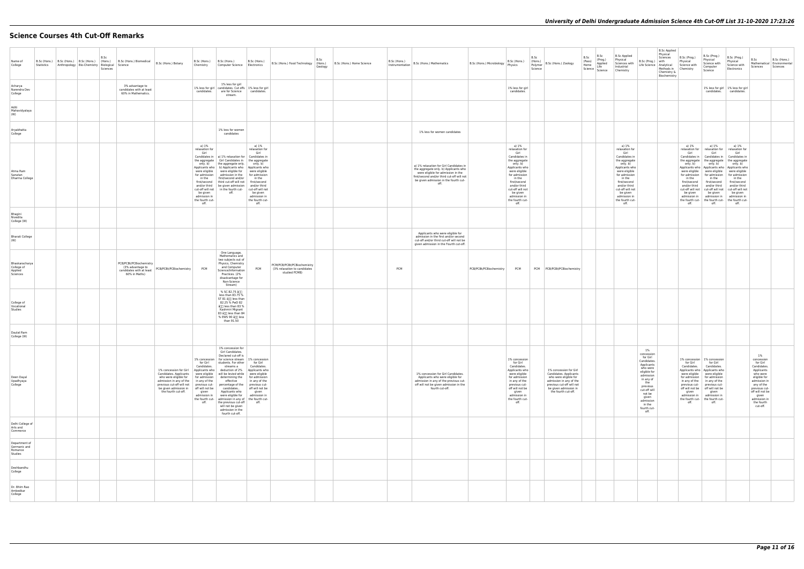# **Science Courses 4th Cut-Off Remarks**

| Name of<br>College                                  | B.Sc (Hons.) B.Sc (Hons.) B.Sc (Hons.) Biomedical B.Sc (Hons.) Biomedical B.Sc (Hons.) Botany<br>Statistics Anthropology Bio-Chemistry Biological Science | B.Sc<br>Sciences |                                                                                          |                                                                                                                                                                                                                                                                                                                                | Chemistry                                                                                                         | B.Sc (Hons.) B.Sc (Hons.)<br>Computer Science Electronics                                                                                                                                                                                                                                                                                                                                                                                                                                 | B.Sc (Hons.)                                                                                                                    | B.Sc (Hons.) Food Technology   (Hons.)                                       | B.Sc<br>B.Sc (Hons.) Home Science<br>Geology | B.Sc (Hons.)<br>Instrumentation | B.Sc (Hons.) Mathematics                                                                                                                                                                                              | B.Sc (Hons.) Microbiology Physics | B.Sc (Hons.)                                                                                                                                                                                                                                           | B.Sc<br>(Hons.)<br>B.Sc (Hons.) Zoology<br>Polymer<br>Science                                                                                                                     | B.Sc<br>B.Sc<br>(Prog.)<br>(Pass)<br>Applied<br>Home<br>Life<br>Science Science Chemistry | B.Sc Applied<br>Physical<br>Sciences with<br>Industrial                                                                                                                                                                                                | <b>B.Sc Applied</b><br>Physical<br>Sciences<br>B.Sc (Prog.) with<br>Life Science Analytical Science with<br>Chemistry &<br>Biochemistry                                                                             | B.Sc (Prog.)<br>Physical<br>Methods in Chemistry        | B.Sc (Prog.)<br>Physical<br>Science with<br>Computer<br>Science                                                                                                                                                                                                                                                                                                                                                                                                                  | B.Sc (Prog.)<br>Physical<br>Science with<br>Electronics                                                                                                                                        | B.Sc<br>B.Sc (Hons.)<br>Mathematical Environmental<br>Sciences<br>Sciences                                                                                                                                 |
|-----------------------------------------------------|-----------------------------------------------------------------------------------------------------------------------------------------------------------|------------------|------------------------------------------------------------------------------------------|--------------------------------------------------------------------------------------------------------------------------------------------------------------------------------------------------------------------------------------------------------------------------------------------------------------------------------|-------------------------------------------------------------------------------------------------------------------|-------------------------------------------------------------------------------------------------------------------------------------------------------------------------------------------------------------------------------------------------------------------------------------------------------------------------------------------------------------------------------------------------------------------------------------------------------------------------------------------|---------------------------------------------------------------------------------------------------------------------------------|------------------------------------------------------------------------------|----------------------------------------------|---------------------------------|-----------------------------------------------------------------------------------------------------------------------------------------------------------------------------------------------------------------------|-----------------------------------|--------------------------------------------------------------------------------------------------------------------------------------------------------------------------------------------------------------------------------------------------------|-----------------------------------------------------------------------------------------------------------------------------------------------------------------------------------|-------------------------------------------------------------------------------------------|--------------------------------------------------------------------------------------------------------------------------------------------------------------------------------------------------------------------------------------------------------|---------------------------------------------------------------------------------------------------------------------------------------------------------------------------------------------------------------------|---------------------------------------------------------|----------------------------------------------------------------------------------------------------------------------------------------------------------------------------------------------------------------------------------------------------------------------------------------------------------------------------------------------------------------------------------------------------------------------------------------------------------------------------------|------------------------------------------------------------------------------------------------------------------------------------------------------------------------------------------------|------------------------------------------------------------------------------------------------------------------------------------------------------------------------------------------------------------|
| Acharya<br>Narendra Dev<br>College                  |                                                                                                                                                           |                  | 3% advantage to<br>candidates with at least<br>60% in Mathematics.                       |                                                                                                                                                                                                                                                                                                                                | candidates.                                                                                                       | 1% less for girl<br>1% less for girl candidates. Cut offs 1% less for girl<br>are for Science<br>stream.                                                                                                                                                                                                                                                                                                                                                                                  | candidates.                                                                                                                     |                                                                              |                                              |                                 |                                                                                                                                                                                                                       |                                   | 1% less for girl<br>candidates.                                                                                                                                                                                                                        |                                                                                                                                                                                   |                                                                                           |                                                                                                                                                                                                                                                        |                                                                                                                                                                                                                     |                                                         |                                                                                                                                                                                                                                                                                                                                                                                                                                                                                  | 1% less for girl   1% less for girl<br>candidates. candidates.                                                                                                                                 |                                                                                                                                                                                                            |
| Aditi<br>Mahavidyalaya<br>(W)                       |                                                                                                                                                           |                  |                                                                                          |                                                                                                                                                                                                                                                                                                                                |                                                                                                                   |                                                                                                                                                                                                                                                                                                                                                                                                                                                                                           |                                                                                                                                 |                                                                              |                                              |                                 |                                                                                                                                                                                                                       |                                   |                                                                                                                                                                                                                                                        |                                                                                                                                                                                   |                                                                                           |                                                                                                                                                                                                                                                        |                                                                                                                                                                                                                     |                                                         |                                                                                                                                                                                                                                                                                                                                                                                                                                                                                  |                                                                                                                                                                                                |                                                                                                                                                                                                            |
| Aryabhatta<br>College                               |                                                                                                                                                           |                  |                                                                                          |                                                                                                                                                                                                                                                                                                                                |                                                                                                                   | 1% less for women<br>candidates                                                                                                                                                                                                                                                                                                                                                                                                                                                           |                                                                                                                                 |                                                                              |                                              |                                 | 1% less for women candidates                                                                                                                                                                                          |                                   |                                                                                                                                                                                                                                                        |                                                                                                                                                                                   |                                                                                           |                                                                                                                                                                                                                                                        |                                                                                                                                                                                                                     |                                                         |                                                                                                                                                                                                                                                                                                                                                                                                                                                                                  |                                                                                                                                                                                                |                                                                                                                                                                                                            |
| Atma Ram<br>Sanatan<br>Dharma College               |                                                                                                                                                           |                  |                                                                                          |                                                                                                                                                                                                                                                                                                                                | a) 1%<br>relaxation for<br>Girl<br>for admission<br>in the<br>be given<br>admission in<br>the fourth cut-<br>off. | Candidates in   a) 1% relaxation for   Candidates in<br>the aggregate Girl Candidates in   the aggregate<br>only. b) the aggregate only.<br>Applicants who   b) Applicants who   Applicants who<br>were eligible   were eligible for   were eligible<br>admission in the for admission<br>first/second and/or<br>first/second   third cut-off will not   first/second<br>and/or third be given admission and/or third<br>cut-off will not   in the fourth cut-   cut-off will not<br>off. | a) 1%<br>relaxation for<br>Girl<br>only. b)<br>in the<br>be given<br>admission in<br>the fourth cut-<br>off.                    |                                                                              |                                              |                                 | a) 1% relaxation for Girl Candidates in<br>the aggregate only. b) Applicants who<br>were eligible for admission in the<br>first/second and/or third cut-off will not<br>be given admission in the fourth cut-<br>off. |                                   | a) 1%<br>relaxation for<br>Girl<br>Candidates in<br>the aggregate<br>only. b)<br>Applicants who<br>were eligible<br>for admission<br>in the<br>first/second<br>and/or third<br>cut-off will not<br>be given<br>admission in<br>the fourth cut-<br>off. |                                                                                                                                                                                   |                                                                                           | a) 1%<br>relaxation for<br>Girl<br>Candidates in<br>the aggregate<br>only. b)<br>Applicants who<br>were eligible<br>for admission<br>in the<br>first/second<br>and/or third<br>cut-off will not<br>be given<br>admission in<br>the fourth cut-<br>off. |                                                                                                                                                                                                                     | a) 1%<br>Girl<br>only. b)<br>in the<br>be given<br>off. | a) 1%<br>relaxation for   relaxation for<br>Girl<br>Candidates in   Candidates in   Candidates in<br>the aggregate   the aggregate   the aggregate<br>only. b)<br>were eligible were eligible<br>for admission   for admission   for admission<br>in the<br>first/second first/second<br>and/or third and/or third<br>cut-off will not   cut-off will not   cut-off will not<br>be given<br>admission in admission in<br>the fourth cut- the fourth cut- the fourth cut-<br>off. | a) 1%<br>relaxation for<br>Girl<br>only. b)<br>Applicants who   Applicants who   Applicants who<br>were eligible<br>in the<br>first/second<br>and/or third<br>be given<br>admission in<br>off. |                                                                                                                                                                                                            |
| Bhagini<br>Nivedita<br>College (W)                  |                                                                                                                                                           |                  |                                                                                          |                                                                                                                                                                                                                                                                                                                                |                                                                                                                   |                                                                                                                                                                                                                                                                                                                                                                                                                                                                                           |                                                                                                                                 |                                                                              |                                              |                                 |                                                                                                                                                                                                                       |                                   |                                                                                                                                                                                                                                                        |                                                                                                                                                                                   |                                                                                           |                                                                                                                                                                                                                                                        |                                                                                                                                                                                                                     |                                                         |                                                                                                                                                                                                                                                                                                                                                                                                                                                                                  |                                                                                                                                                                                                |                                                                                                                                                                                                            |
| <b>Bharati College</b><br>(W)                       |                                                                                                                                                           |                  |                                                                                          |                                                                                                                                                                                                                                                                                                                                |                                                                                                                   |                                                                                                                                                                                                                                                                                                                                                                                                                                                                                           |                                                                                                                                 |                                                                              |                                              |                                 | Applicants who were eligible for<br>admission in the first and/or second<br>cut-off and/or third cut-off will not be<br>given admission in the Fourth cut-off.                                                        |                                   |                                                                                                                                                                                                                                                        |                                                                                                                                                                                   |                                                                                           |                                                                                                                                                                                                                                                        |                                                                                                                                                                                                                     |                                                         |                                                                                                                                                                                                                                                                                                                                                                                                                                                                                  |                                                                                                                                                                                                |                                                                                                                                                                                                            |
| Bhaskaracharya<br>College of<br>Applied<br>Sciences |                                                                                                                                                           |                  | PCB/PCBt/PCBiochemistry<br>(3% advantage to<br>candidates with at least<br>60% in Maths) | PCB/PCBt/PCBiochemistry                                                                                                                                                                                                                                                                                                        | <b>PCM</b>                                                                                                        | One Language,<br>Mathematics and<br>two subjects out of<br>Physics, Chemistry<br>and Computer<br>Science/Information<br>Practices. (2%<br>disadvantage for<br>Non-Science<br>Stream)                                                                                                                                                                                                                                                                                                      | PCM                                                                                                                             | PCM/PCB/PCBt/PCBiochemistry<br>(3% relaxation to candidates<br>studied PCMB) |                                              | <b>PCM</b>                      |                                                                                                                                                                                                                       | PCB/PCBt/PCBiochemistry           | <b>PCM</b>                                                                                                                                                                                                                                             | PCM PCB/PCBt/PCBiochemistry                                                                                                                                                       |                                                                                           |                                                                                                                                                                                                                                                        |                                                                                                                                                                                                                     |                                                         |                                                                                                                                                                                                                                                                                                                                                                                                                                                                                  |                                                                                                                                                                                                |                                                                                                                                                                                                            |
| College of<br>Vocational<br>Studies                 |                                                                                                                                                           |                  |                                                                                          |                                                                                                                                                                                                                                                                                                                                |                                                                                                                   | % SC 82.75 â∏]<br>less than 83.75 %<br>ST 81 â[][ less than<br>82.25 % PwD 82<br>â[]] less than 83 %<br>Kashmiri Migrant<br>83 â[][ less than 84<br>% EWS 90 â∏∏ less<br>than 91.50                                                                                                                                                                                                                                                                                                       |                                                                                                                                 |                                                                              |                                              |                                 |                                                                                                                                                                                                                       |                                   |                                                                                                                                                                                                                                                        |                                                                                                                                                                                   |                                                                                           |                                                                                                                                                                                                                                                        |                                                                                                                                                                                                                     |                                                         |                                                                                                                                                                                                                                                                                                                                                                                                                                                                                  |                                                                                                                                                                                                |                                                                                                                                                                                                            |
| Daulat Ram<br>College (W)                           |                                                                                                                                                           |                  |                                                                                          |                                                                                                                                                                                                                                                                                                                                |                                                                                                                   |                                                                                                                                                                                                                                                                                                                                                                                                                                                                                           |                                                                                                                                 |                                                                              |                                              |                                 |                                                                                                                                                                                                                       |                                   |                                                                                                                                                                                                                                                        |                                                                                                                                                                                   |                                                                                           |                                                                                                                                                                                                                                                        |                                                                                                                                                                                                                     |                                                         |                                                                                                                                                                                                                                                                                                                                                                                                                                                                                  |                                                                                                                                                                                                |                                                                                                                                                                                                            |
| Deen Dayal<br>Upadhyaya<br>College                  |                                                                                                                                                           |                  |                                                                                          | 1% concession for Girl<br>Candidates. Applicants   were eligible   will be levied while   were eligible<br>who were eligible for<br>admission in any of the   in any of the<br>previous cut-off will not   previous cut-   percentage of the   previous cut-<br>be given admission in   off will not be<br>the fourth cut-off. | for Girl<br>Candidates.<br>Applicants who<br>for admission<br>given<br>admission in<br>off.                       | 1% concession for<br>Girl Candidates.<br>Declared cut-off is<br>1% concession   for science stream   1% concession<br>students. For other<br>streams a<br>deduction of 2%<br>determining the<br>effective<br>candidates<br>Applicants who<br>were eligible for<br>the fourth cut- admission in any of the fourth cut-<br>the previous cut-off<br>will not be given<br>admission in the<br>fourth cut-off.                                                                                 | for Girl<br>Candidates.<br>Applicants who<br>for admission<br>in any of the<br>off will not be<br>given<br>admission in<br>off. |                                                                              |                                              |                                 | 1% concession for Girl Candidates.<br>Applicants who were eligible for<br>admission in any of the previous cut-<br>off will not be given admission in the<br>fourth cut-off.                                          |                                   | 1% concession<br>for Girl<br>Candidates.<br>Applicants who<br>were eligible<br>for admission<br>in any of the<br>previous cut-<br>off will not be<br>given<br>admission in<br>the fourth cut-<br>off.                                                  | 1% concession for Girl<br>Candidates. Applicants<br>who were eligible for<br>admission in any of the<br>previous cut-off will not<br>be given admission in<br>the fourth cut-off. |                                                                                           |                                                                                                                                                                                                                                                        | 1%<br>concession<br>for Girl<br>Candidates.<br>Applicants<br>who were<br>eligible for<br>admission<br>in any of<br>the<br>previous<br>cut-off will<br>not be<br>given<br>admission<br>in the<br>fourth cut-<br>off. | for Girl<br>given<br>off.                               | 1% concession   1% concession<br>for Girl<br>Candidates. Candidates.<br>Applicants who   Applicants who<br>were eligible   were eligible<br>for admission for admission<br>in any of the   in any of the<br>previous cut- previous cut-<br>off will not be   off will not be<br>given<br>admission in admission in<br>the fourth cut- the fourth cut-<br>off.                                                                                                                    |                                                                                                                                                                                                | 1%<br>concession<br>for Girl<br>Candidates.<br>Applicants<br>who were<br>eligible for<br>admission in<br>any of the<br>previous cut-<br>off will not be<br>given<br>admission ir<br>the fourth<br>cut-off. |
| Delhi College of<br>Arts and<br>Commerce            |                                                                                                                                                           |                  |                                                                                          |                                                                                                                                                                                                                                                                                                                                |                                                                                                                   |                                                                                                                                                                                                                                                                                                                                                                                                                                                                                           |                                                                                                                                 |                                                                              |                                              |                                 |                                                                                                                                                                                                                       |                                   |                                                                                                                                                                                                                                                        |                                                                                                                                                                                   |                                                                                           |                                                                                                                                                                                                                                                        |                                                                                                                                                                                                                     |                                                         |                                                                                                                                                                                                                                                                                                                                                                                                                                                                                  |                                                                                                                                                                                                |                                                                                                                                                                                                            |
| Department of<br>Germanic and<br>Romance<br>Studies |                                                                                                                                                           |                  |                                                                                          |                                                                                                                                                                                                                                                                                                                                |                                                                                                                   |                                                                                                                                                                                                                                                                                                                                                                                                                                                                                           |                                                                                                                                 |                                                                              |                                              |                                 |                                                                                                                                                                                                                       |                                   |                                                                                                                                                                                                                                                        |                                                                                                                                                                                   |                                                                                           |                                                                                                                                                                                                                                                        |                                                                                                                                                                                                                     |                                                         |                                                                                                                                                                                                                                                                                                                                                                                                                                                                                  |                                                                                                                                                                                                |                                                                                                                                                                                                            |
| Deshbandhu<br>College                               |                                                                                                                                                           |                  |                                                                                          |                                                                                                                                                                                                                                                                                                                                |                                                                                                                   |                                                                                                                                                                                                                                                                                                                                                                                                                                                                                           |                                                                                                                                 |                                                                              |                                              |                                 |                                                                                                                                                                                                                       |                                   |                                                                                                                                                                                                                                                        |                                                                                                                                                                                   |                                                                                           |                                                                                                                                                                                                                                                        |                                                                                                                                                                                                                     |                                                         |                                                                                                                                                                                                                                                                                                                                                                                                                                                                                  |                                                                                                                                                                                                |                                                                                                                                                                                                            |
| Dr. Bhim Rao<br>Ambedkar<br>College                 |                                                                                                                                                           |                  |                                                                                          |                                                                                                                                                                                                                                                                                                                                |                                                                                                                   |                                                                                                                                                                                                                                                                                                                                                                                                                                                                                           |                                                                                                                                 |                                                                              |                                              |                                 |                                                                                                                                                                                                                       |                                   |                                                                                                                                                                                                                                                        |                                                                                                                                                                                   |                                                                                           |                                                                                                                                                                                                                                                        |                                                                                                                                                                                                                     |                                                         |                                                                                                                                                                                                                                                                                                                                                                                                                                                                                  |                                                                                                                                                                                                |                                                                                                                                                                                                            |
|                                                     |                                                                                                                                                           |                  |                                                                                          |                                                                                                                                                                                                                                                                                                                                |                                                                                                                   |                                                                                                                                                                                                                                                                                                                                                                                                                                                                                           |                                                                                                                                 |                                                                              |                                              |                                 |                                                                                                                                                                                                                       |                                   |                                                                                                                                                                                                                                                        |                                                                                                                                                                                   |                                                                                           |                                                                                                                                                                                                                                                        |                                                                                                                                                                                                                     |                                                         |                                                                                                                                                                                                                                                                                                                                                                                                                                                                                  |                                                                                                                                                                                                |                                                                                                                                                                                                            |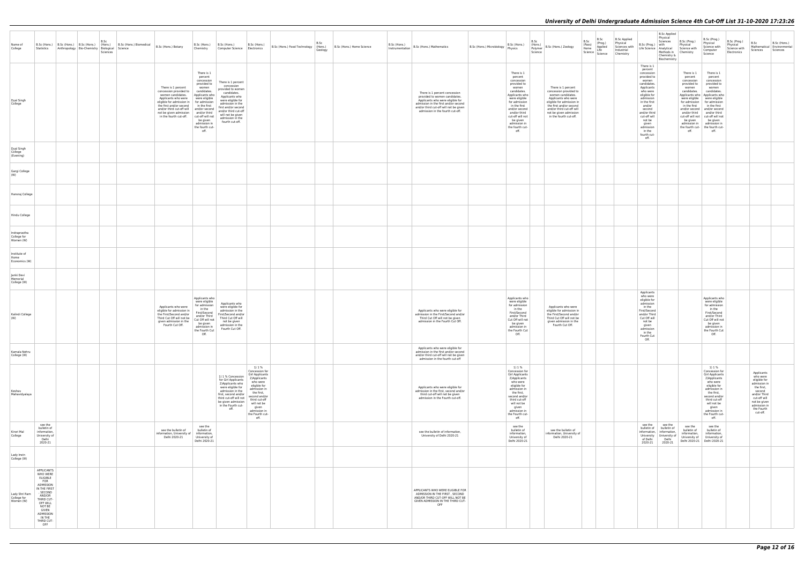| Name of<br>College                        |                                                                                                                                                                                                     | B.Sc<br>B.Sc (Hons.) B.Sc (Hons.) B.Sc (Hons.) (Hons.) B.Sc (Hons.) Biomedical B.Sc (Hons.) Botany<br>Statistics Anthropology Bio-Chemistry Biological Science<br>Sciences |                                                                                                                                                                                                                                                                                                          | Chemistry                                                                                                                                                            | B.Sc (Hons.) B.Sc (Hons.)<br>B.Sc (Hons.)<br>Computer Science Electronics                                                                                                                                                                                                                                                                                                                                                                   | B.Sc<br>B.Sc (Hons.) Food Technology (Hons.)<br>Geology | B.Sc (Hons.) Home Science | D.JL (MONS.) B.Sc (Hons.) Mathematics                                                                                                                                                                                    | B.Sc (Hons.) Microbiology Physics | B.Sc (Hons.)                                                                                                                                                                                                                                               | B.Sc<br>(Hons.)<br>Polymer<br>Science | B.Sc (Hons.) Zoology                                                                                                                                                                                                              | B.Sc<br>B.Sc<br>(Prog.)<br>(Pass)<br>Home<br>Life<br>Science Science | Applied | <b>B.Sc Applied</b><br>Physical<br>Sciences with<br>Industrial<br>Chemistry | <b>B.Sc Applied</b><br>Physical<br>Sciences<br>B.Sc (Prog.) with<br>Life Science Analytical Science with<br>Methods in Chemistry<br>Chemistry &<br>Biochemistry                                                                                                        | B.Sc (Prog.)<br>Physical                                                                                                        | B.Sc (Prog.)<br>Physical<br>Science with<br>Computer<br>Science                                                                                                                                                                                                                                                                                                      | B.Sc (Prog.)<br>Physical<br>Science with<br>Electronics | B.Sc<br>Sciences                                                                                                                                                         | B.Sc (Hons.)<br>Mathematical   Environmental<br>Sciences |
|-------------------------------------------|-----------------------------------------------------------------------------------------------------------------------------------------------------------------------------------------------------|----------------------------------------------------------------------------------------------------------------------------------------------------------------------------|----------------------------------------------------------------------------------------------------------------------------------------------------------------------------------------------------------------------------------------------------------------------------------------------------------|----------------------------------------------------------------------------------------------------------------------------------------------------------------------|---------------------------------------------------------------------------------------------------------------------------------------------------------------------------------------------------------------------------------------------------------------------------------------------------------------------------------------------------------------------------------------------------------------------------------------------|---------------------------------------------------------|---------------------------|--------------------------------------------------------------------------------------------------------------------------------------------------------------------------------------------------------------------------|-----------------------------------|------------------------------------------------------------------------------------------------------------------------------------------------------------------------------------------------------------------------------------------------------------|---------------------------------------|-----------------------------------------------------------------------------------------------------------------------------------------------------------------------------------------------------------------------------------|----------------------------------------------------------------------|---------|-----------------------------------------------------------------------------|------------------------------------------------------------------------------------------------------------------------------------------------------------------------------------------------------------------------------------------------------------------------|---------------------------------------------------------------------------------------------------------------------------------|----------------------------------------------------------------------------------------------------------------------------------------------------------------------------------------------------------------------------------------------------------------------------------------------------------------------------------------------------------------------|---------------------------------------------------------|--------------------------------------------------------------------------------------------------------------------------------------------------------------------------|----------------------------------------------------------|
| Dyal Singh<br>College                     |                                                                                                                                                                                                     |                                                                                                                                                                            | There is 1 percent<br>concession provided to<br>women candidates.<br>Applicants who were<br>eligible for admission in for admission<br>the first and/or second in the first<br>and/or third cut-off will and/or second<br>not be given admission and/or third<br>in the fourth cut-off. cut-off will not | There is 1<br>percent<br>concession<br>provided to<br>women<br>candidates.<br>Applicants who<br>were eligible<br>be given<br>admission in<br>the fourth cut-<br>off. | There is 1 percent<br>concession<br>provided to women<br>candidates.<br>Applicants who<br>were eligible for<br>admission in the<br>first and/or second<br>and/or third cut-off<br>will not be given<br>admission in the<br>fourth cut-off.                                                                                                                                                                                                  |                                                         |                           | There is 1 percent concession<br>provided to women candidates.<br>Applicants who were eligible for<br>admission in the first and/or second<br>and/or third cut-off will not be given<br>admission in the fourth cut-off. |                                   | There is 1<br>percent<br>concession<br>provided to<br>women<br>candidates.<br>Applicants who<br>were eligible<br>for admission<br>in the first<br>and/or second<br>and/or third<br>cut-off will not<br>be given<br>admission in<br>the fourth cut-<br>off. |                                       | There is 1 percent<br>concession provided to<br>women candidates.<br>Applicants who were<br>eligible for admission in<br>the first and/or second<br>and/or third cut-off will<br>not be given admission<br>in the fourth cut-off. |                                                                      |         |                                                                             | There is 1<br>percent<br>concession<br>provided to<br>women<br>candidates.<br>Applicants<br>who were<br>eligible for<br>admission<br>in the first<br>and/or<br>second<br>and/or third<br>cut-off will<br>not be<br>given<br>admission<br>in the<br>fourth cut-<br>off. | There is 1<br>percent<br>concession<br>provided to<br>women<br>candidates.<br>were eligible<br>in the first<br>be given<br>off. | There is 1<br>percent<br>concession<br>provided to<br>women<br>candidates.<br>Applicants who   Applicants who<br>were eligible<br>for admission   for admission<br>in the first<br>and/or second and/or second<br>and/or third and/or third<br>cut-off will not cut-off will not<br>be given<br>admission in admission in<br>the fourth cut- the fourth cut-<br>off. |                                                         |                                                                                                                                                                          |                                                          |
| Dyal Singh<br>College<br>(Evening)        |                                                                                                                                                                                                     |                                                                                                                                                                            |                                                                                                                                                                                                                                                                                                          |                                                                                                                                                                      |                                                                                                                                                                                                                                                                                                                                                                                                                                             |                                                         |                           |                                                                                                                                                                                                                          |                                   |                                                                                                                                                                                                                                                            |                                       |                                                                                                                                                                                                                                   |                                                                      |         |                                                                             |                                                                                                                                                                                                                                                                        |                                                                                                                                 |                                                                                                                                                                                                                                                                                                                                                                      |                                                         |                                                                                                                                                                          |                                                          |
| Gargi College<br>(W)                      |                                                                                                                                                                                                     |                                                                                                                                                                            |                                                                                                                                                                                                                                                                                                          |                                                                                                                                                                      |                                                                                                                                                                                                                                                                                                                                                                                                                                             |                                                         |                           |                                                                                                                                                                                                                          |                                   |                                                                                                                                                                                                                                                            |                                       |                                                                                                                                                                                                                                   |                                                                      |         |                                                                             |                                                                                                                                                                                                                                                                        |                                                                                                                                 |                                                                                                                                                                                                                                                                                                                                                                      |                                                         |                                                                                                                                                                          |                                                          |
| Hansraj College                           |                                                                                                                                                                                                     |                                                                                                                                                                            |                                                                                                                                                                                                                                                                                                          |                                                                                                                                                                      |                                                                                                                                                                                                                                                                                                                                                                                                                                             |                                                         |                           |                                                                                                                                                                                                                          |                                   |                                                                                                                                                                                                                                                            |                                       |                                                                                                                                                                                                                                   |                                                                      |         |                                                                             |                                                                                                                                                                                                                                                                        |                                                                                                                                 |                                                                                                                                                                                                                                                                                                                                                                      |                                                         |                                                                                                                                                                          |                                                          |
| Hindu College                             |                                                                                                                                                                                                     |                                                                                                                                                                            |                                                                                                                                                                                                                                                                                                          |                                                                                                                                                                      |                                                                                                                                                                                                                                                                                                                                                                                                                                             |                                                         |                           |                                                                                                                                                                                                                          |                                   |                                                                                                                                                                                                                                                            |                                       |                                                                                                                                                                                                                                   |                                                                      |         |                                                                             |                                                                                                                                                                                                                                                                        |                                                                                                                                 |                                                                                                                                                                                                                                                                                                                                                                      |                                                         |                                                                                                                                                                          |                                                          |
| Indraprastha<br>College for<br>Women (W)  |                                                                                                                                                                                                     |                                                                                                                                                                            |                                                                                                                                                                                                                                                                                                          |                                                                                                                                                                      |                                                                                                                                                                                                                                                                                                                                                                                                                                             |                                                         |                           |                                                                                                                                                                                                                          |                                   |                                                                                                                                                                                                                                                            |                                       |                                                                                                                                                                                                                                   |                                                                      |         |                                                                             |                                                                                                                                                                                                                                                                        |                                                                                                                                 |                                                                                                                                                                                                                                                                                                                                                                      |                                                         |                                                                                                                                                                          |                                                          |
| Institute of<br>Home<br>Economics (W)     |                                                                                                                                                                                                     |                                                                                                                                                                            |                                                                                                                                                                                                                                                                                                          |                                                                                                                                                                      |                                                                                                                                                                                                                                                                                                                                                                                                                                             |                                                         |                           |                                                                                                                                                                                                                          |                                   |                                                                                                                                                                                                                                                            |                                       |                                                                                                                                                                                                                                   |                                                                      |         |                                                                             |                                                                                                                                                                                                                                                                        |                                                                                                                                 |                                                                                                                                                                                                                                                                                                                                                                      |                                                         |                                                                                                                                                                          |                                                          |
| Janki Devi<br>Memorial<br>College (W)     |                                                                                                                                                                                                     |                                                                                                                                                                            |                                                                                                                                                                                                                                                                                                          |                                                                                                                                                                      |                                                                                                                                                                                                                                                                                                                                                                                                                                             |                                                         |                           |                                                                                                                                                                                                                          |                                   |                                                                                                                                                                                                                                                            |                                       |                                                                                                                                                                                                                                   |                                                                      |         |                                                                             | Applicants                                                                                                                                                                                                                                                             |                                                                                                                                 |                                                                                                                                                                                                                                                                                                                                                                      |                                                         |                                                                                                                                                                          |                                                          |
| Kalindi College<br>(W)                    |                                                                                                                                                                                                     |                                                                                                                                                                            | Applicants who were<br>eligible for admission in<br>the First/Second and/or<br>Third Cut Off will not be<br>given admission in the<br>Fourth Cut Off.                                                                                                                                                    | Applicants who<br>were eligible<br>for admission<br>in the<br>First/Second<br>and/or Third<br>Cut Off will not<br>be given<br>admission in<br>the Fourth Cut<br>Off  | Applicants who<br>were eligible for<br>admission in the<br>First/Second and/or<br>Third Cut Off will<br>not be given<br>admission in the<br>Fourth Cut Off.                                                                                                                                                                                                                                                                                 |                                                         |                           | Applicants who were eligible for<br>admission in the First/Second and/or<br>Third Cut Off will not be given<br>admission in the Fourth Cut Off.                                                                          |                                   | Applicants who<br>were eligible<br>for admission<br>in the<br>First/Second<br>and/or Third<br>Cut Off will not<br>be given<br>admission in<br>the Fourth Cut<br>Off.                                                                                       |                                       | Applicants who were<br>eligible for admission in<br>the First/Second and/or<br>Third Cut Off will not be<br>given admission in the<br>Fourth Cut Off.                                                                             |                                                                      |         |                                                                             | who were<br>eligible for<br>admission<br>in the<br>First/Second<br>and/or Third<br>Cut Off will<br>not be<br>given<br>admission<br>in the<br>Fourth Cut<br>Off.                                                                                                        |                                                                                                                                 | Applicants who<br>were eligible<br>for admission<br>in the<br>First/Second<br>and/or Third<br>Cut Off will not<br>be given<br>admission in<br>the Fourth Cut<br>Off                                                                                                                                                                                                  |                                                         |                                                                                                                                                                          |                                                          |
| Kamala Nehru<br>College (W)               |                                                                                                                                                                                                     |                                                                                                                                                                            |                                                                                                                                                                                                                                                                                                          |                                                                                                                                                                      |                                                                                                                                                                                                                                                                                                                                                                                                                                             |                                                         |                           | Applicants who were eligible for<br>admission in the first and/or second<br>and/or third cut-off will not be given<br>admission in the fourth cut-off                                                                    |                                   |                                                                                                                                                                                                                                                            |                                       |                                                                                                                                                                                                                                   |                                                                      |         |                                                                             |                                                                                                                                                                                                                                                                        |                                                                                                                                 |                                                                                                                                                                                                                                                                                                                                                                      |                                                         |                                                                                                                                                                          |                                                          |
| Keshav<br>Mahavidyalaya                   |                                                                                                                                                                                                     |                                                                                                                                                                            |                                                                                                                                                                                                                                                                                                          |                                                                                                                                                                      | 1) 1 %<br>Concession for<br>Girl Applicants<br>1) 1 % Concession<br>2) Applicants<br>for Girl Applicants<br>who were<br>2) Applicants who<br>eligible for<br>were eligible for<br>admission in<br>admission in the<br>the first,<br>first, second and/or<br>second and/or<br>third cut-off will not<br>third cut-off<br>be given admission<br>will not be<br>in the Fourth cut-<br>given<br>off.<br>admission in<br>the Fourth cut-<br>off. |                                                         |                           | Applicants who were eligible for<br>admission in the first, second and/or<br>third cut-off will not be given<br>admission in the Fourth cut-off.                                                                         |                                   | 1) 1 %<br>Concession for<br>Girl Applicants<br>2) Applicants<br>who were<br>eligible for<br>admission in<br>the first,<br>second and/or<br>third cut-off<br>will not be<br>given<br>admission in<br>the Fourth cut-<br>off.                                |                                       |                                                                                                                                                                                                                                   |                                                                      |         |                                                                             |                                                                                                                                                                                                                                                                        |                                                                                                                                 | 1) 1 %<br>Concession for<br><b>Girl Applicants</b><br>2) Applicants<br>who were<br>eligible for<br>admission in<br>the first,<br>second and/or<br>third cut-off<br>will not be<br>given<br>admission in<br>the Fourth cut-<br>off.                                                                                                                                   |                                                         | Applicants<br>who were<br>eligible for<br>admission in<br>the first,<br>second<br>and/or Third<br>cut-off will<br>not be given<br>admission in<br>the Fourth<br>cut-off. |                                                          |
| Kirori Mal<br>College                     | see the<br>bulletin of<br>information,<br>University of<br>Delhi<br>2020-21                                                                                                                         |                                                                                                                                                                            | see the bulletin of<br>information, University of<br>Delhi 2020-21                                                                                                                                                                                                                                       | see the<br>bulletin of<br>information,<br>University of<br>Delhi 2020-21                                                                                             |                                                                                                                                                                                                                                                                                                                                                                                                                                             |                                                         |                           | see the bulletin of information,<br>University of Delhi 2020-21                                                                                                                                                          |                                   | see the<br>bulletin of<br>information,<br>University of<br>Delhi 2020-21                                                                                                                                                                                   |                                       | see the bulletin of<br>information, University of<br>Delhi 2020-21                                                                                                                                                                |                                                                      |         |                                                                             | see the<br>see the<br>bulletin of bulletin of<br>information, information,<br>University University of<br>of Delhi<br>Delhi<br>2020-21<br>2020-21                                                                                                                      | see the<br>bulletin of<br>information.<br>University of                                                                         | see the<br>bulletin of<br>information,<br>University of<br>Delhi 2020-21   Delhi 2020-21                                                                                                                                                                                                                                                                             |                                                         |                                                                                                                                                                          |                                                          |
| Lady Irwin<br>College (W)                 |                                                                                                                                                                                                     |                                                                                                                                                                            |                                                                                                                                                                                                                                                                                                          |                                                                                                                                                                      |                                                                                                                                                                                                                                                                                                                                                                                                                                             |                                                         |                           |                                                                                                                                                                                                                          |                                   |                                                                                                                                                                                                                                                            |                                       |                                                                                                                                                                                                                                   |                                                                      |         |                                                                             |                                                                                                                                                                                                                                                                        |                                                                                                                                 |                                                                                                                                                                                                                                                                                                                                                                      |                                                         |                                                                                                                                                                          |                                                          |
| Lady Shri Ram<br>College for<br>Women (W) | APPLICANTS<br>WHO WERE<br><b>ELIGIBLE</b><br><b>FOR</b><br>ADMISSION<br>IN THE FIRST<br>, SECOND<br>AND/OR<br>THIRD CUT-<br>OFF WILL<br>NOT BE<br>GIVEN<br>ADMISSION<br>IN THE<br>THIRD CUT-<br>OFF |                                                                                                                                                                            |                                                                                                                                                                                                                                                                                                          |                                                                                                                                                                      |                                                                                                                                                                                                                                                                                                                                                                                                                                             |                                                         |                           | APPLICANTS WHO WERE ELIGIBLE FOR<br>ADMISSION IN THE FIRST, SECOND<br>AND/OR THIRD CUT-OFF WILL NOT BE<br>GIVEN ADMISSION IN THE THIRD CUT-<br>OFF                                                                       |                                   |                                                                                                                                                                                                                                                            |                                       |                                                                                                                                                                                                                                   |                                                                      |         |                                                                             |                                                                                                                                                                                                                                                                        |                                                                                                                                 |                                                                                                                                                                                                                                                                                                                                                                      |                                                         |                                                                                                                                                                          |                                                          |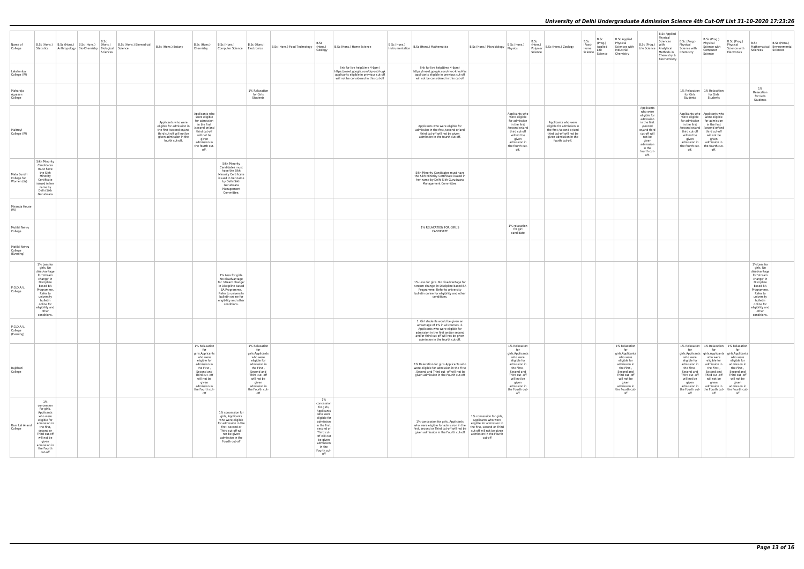| Name of<br>College                      | Statistics                                                                                                                                                                                                   | B.Sc (Hons.) B.Sc (Hons.) B.Sc (Hons.)   B.Sc (Hons.)   B.Sc (Hons.) Biomedical   B.Sc (Hons.) Botany<br>Anthropology Bio-Chemistry Biological Science | B.Sc<br>Sciences |                                                                                                                                                        | B.Sc (Hons.) B.Sc (Hons.)<br>Chemistry                                                                                                                                                               | B.Sc (Hons.)<br>Computer Science Electronics                                                                                                                                                         | B.Sc<br>B.Sc (Hons.) Food Technology (Hons.)<br>Geology                                                                                                                                                    | B.Sc (Hons.) Home Science                                                                                                                                   | $\Big \right.$ $\left.\right $ $\left.\right $ $\left.\right $ $\left.\right $ $\left.\right $ $\left.\right $ $\left.\right $ $\left.\right $ $\left.\right $ $\left.\right $ $\left.\right $ $\left.\right $ $\left.\right $ $\left.\right $ $\left.\right $ $\left.\right $ $\left.\right $ $\left.\right $ $\left.\right $ $\left.\right $ $\left.\right $ $\left.\right $ $\left.\right $ $\left.\right $ $\left.\right $ $\left.\right $ $\left.\right$ | B.Sc (Hons.) Microbiology   B.SC (Hons.)                                                                                                                                      | B.Sc (Hons.)                                                                                                                                                                                          | B.Sc<br>(Hons.)<br>Polymer<br>Science | B.Sc (Hons.) Zoology                                                                                                                                   | B.Sc<br>(Pass)<br>Home | B.Sc<br>(Prog.)<br>Applied<br>Life<br>Science Science | <b>B.Sc Applied</b><br>Physical<br>Sciences with<br>Industrial<br>Chemistry                                                                                                                           | B.Sc (Prog.) with                                                                                                                                                               | B.Sc Applied<br>Physical<br>Sciences<br>Life Science Analytical Science with<br>Methods in Chemistry<br>Chemistry &<br>Biochemistry | B.Sc (Prog.)<br>Physical                                                                                                                                                                                         | B.Sc (Prog.)<br>Physical<br>Science with<br>Computer<br>Science                                                                                              | B.Sc (Prog.)<br>Physical<br>Science with<br>Electronics                                                                                                                                                                                                                                                      | B.Sc<br>Sciences                                                                                                                                                                                             | B.Sc (Hons.)<br>Mathematical Environmental<br>Sciences |
|-----------------------------------------|--------------------------------------------------------------------------------------------------------------------------------------------------------------------------------------------------------------|--------------------------------------------------------------------------------------------------------------------------------------------------------|------------------|--------------------------------------------------------------------------------------------------------------------------------------------------------|------------------------------------------------------------------------------------------------------------------------------------------------------------------------------------------------------|------------------------------------------------------------------------------------------------------------------------------------------------------------------------------------------------------|------------------------------------------------------------------------------------------------------------------------------------------------------------------------------------------------------------|-------------------------------------------------------------------------------------------------------------------------------------------------------------|---------------------------------------------------------------------------------------------------------------------------------------------------------------------------------------------------------------------------------------------------------------------------------------------------------------------------------------------------------------------------------------------------------------------------------------------------------------|-------------------------------------------------------------------------------------------------------------------------------------------------------------------------------|-------------------------------------------------------------------------------------------------------------------------------------------------------------------------------------------------------|---------------------------------------|--------------------------------------------------------------------------------------------------------------------------------------------------------|------------------------|-------------------------------------------------------|-------------------------------------------------------------------------------------------------------------------------------------------------------------------------------------------------------|---------------------------------------------------------------------------------------------------------------------------------------------------------------------------------|-------------------------------------------------------------------------------------------------------------------------------------|------------------------------------------------------------------------------------------------------------------------------------------------------------------------------------------------------------------|--------------------------------------------------------------------------------------------------------------------------------------------------------------|--------------------------------------------------------------------------------------------------------------------------------------------------------------------------------------------------------------------------------------------------------------------------------------------------------------|--------------------------------------------------------------------------------------------------------------------------------------------------------------------------------------------------------------|--------------------------------------------------------|
| Lakshmibai<br>College (W)               |                                                                                                                                                                                                              |                                                                                                                                                        |                  |                                                                                                                                                        |                                                                                                                                                                                                      |                                                                                                                                                                                                      |                                                                                                                                                                                                            | link for live help(time 4-6pm)<br>https://meet.google.com/oip-osbf-ugk<br>applicants eligible in previous cut-off<br>will not be considered in this cut-off | link for live help(time 4-6pm)<br>https://meet.google.com/mwc-knod-fsx<br>applicants eligible in previous cut-off<br>will not be considered in this cut-off                                                                                                                                                                                                                                                                                                   |                                                                                                                                                                               |                                                                                                                                                                                                       |                                       |                                                                                                                                                        |                        |                                                       |                                                                                                                                                                                                       |                                                                                                                                                                                 |                                                                                                                                     |                                                                                                                                                                                                                  |                                                                                                                                                              |                                                                                                                                                                                                                                                                                                              |                                                                                                                                                                                                              |                                                        |
| Maharaja<br>Agrasen<br>College          |                                                                                                                                                                                                              |                                                                                                                                                        |                  |                                                                                                                                                        |                                                                                                                                                                                                      | 1% Relaxation<br>for Girls<br>Students                                                                                                                                                               |                                                                                                                                                                                                            |                                                                                                                                                             |                                                                                                                                                                                                                                                                                                                                                                                                                                                               |                                                                                                                                                                               |                                                                                                                                                                                                       |                                       |                                                                                                                                                        |                        |                                                       |                                                                                                                                                                                                       |                                                                                                                                                                                 |                                                                                                                                     | for Girls<br>Students                                                                                                                                                                                            | 1% Relaxation   1% Relaxation<br>for Girls<br>Students                                                                                                       |                                                                                                                                                                                                                                                                                                              | $1\%$<br>Relaxation<br>for Girls<br>Students                                                                                                                                                                 |                                                        |
| Maitreyi<br>College (W)                 |                                                                                                                                                                                                              |                                                                                                                                                        |                  | Applicants who were<br>eligible for admission in<br>the first /second or/and<br>third cut-off will not be<br>given admission in the<br>fourth cut-off. | Applicants who<br>were eligible<br>for admission<br>in the first<br>/second or/and<br>third cut-off<br>will not be<br>given<br>admission in<br>the fourth cut-<br>off.                               |                                                                                                                                                                                                      |                                                                                                                                                                                                            |                                                                                                                                                             | Applicants who were eligible for<br>admission in the first /second or/and<br>third cut-off will not be given<br>admission in the fourth cut-off.                                                                                                                                                                                                                                                                                                              |                                                                                                                                                                               | Applicants who<br>were eligible<br>for admission<br>in the first<br>/second or/and<br>third cut-off<br>will not be<br>given<br>admission in<br>the fourth cut-<br>off.                                |                                       | Applicants who were<br>eligible for admission in<br>the first /second or/and<br>third cut-off will not be<br>given admission in the<br>fourth cut-off. |                        |                                                       |                                                                                                                                                                                                       | Applicants<br>who were<br>eligible for<br>admission<br>in the first<br>/second<br>or/and third<br>cut-off will<br>not be<br>given<br>admission<br>in the<br>fourth cut-<br>off. |                                                                                                                                     | Applicants who   Applicants who<br>were eligible were eligible<br>for admission   for admission<br>in the first in the first<br>third cut-off<br>will not be<br>given<br>the fourth cut- the fourth cut-<br>off. | /second or/and   /second or/and<br>third cut-off<br>will not be<br>given<br>admission in admission in<br>off.                                                |                                                                                                                                                                                                                                                                                                              |                                                                                                                                                                                                              |                                                        |
| Mata Sundri<br>College for<br>Women (W) | Sikh Minority<br>Candidates<br>must have<br>the Sikh<br>Minority<br>Certificate<br>issued in her<br>name by<br>Delhi Sikh<br>Gurudwara                                                                       |                                                                                                                                                        |                  |                                                                                                                                                        |                                                                                                                                                                                                      | Sikh Minority<br>Candidates must<br>have the Sikh<br>Minority Certificate<br>issued in her name<br>by Delhi Sikh<br>Gurudwara<br>Management<br>Committee.                                            |                                                                                                                                                                                                            |                                                                                                                                                             | Sikh Minority Candidates must have<br>the Sikh Minority Certificate issued in<br>her name by Delhi Sikh Gurudwara<br>Management Committee.                                                                                                                                                                                                                                                                                                                    |                                                                                                                                                                               |                                                                                                                                                                                                       |                                       |                                                                                                                                                        |                        |                                                       |                                                                                                                                                                                                       |                                                                                                                                                                                 |                                                                                                                                     |                                                                                                                                                                                                                  |                                                                                                                                                              |                                                                                                                                                                                                                                                                                                              |                                                                                                                                                                                                              |                                                        |
| Miranda House<br>(W)                    |                                                                                                                                                                                                              |                                                                                                                                                        |                  |                                                                                                                                                        |                                                                                                                                                                                                      |                                                                                                                                                                                                      |                                                                                                                                                                                                            |                                                                                                                                                             |                                                                                                                                                                                                                                                                                                                                                                                                                                                               |                                                                                                                                                                               |                                                                                                                                                                                                       |                                       |                                                                                                                                                        |                        |                                                       |                                                                                                                                                                                                       |                                                                                                                                                                                 |                                                                                                                                     |                                                                                                                                                                                                                  |                                                                                                                                                              |                                                                                                                                                                                                                                                                                                              |                                                                                                                                                                                                              |                                                        |
| Motilal Nehru<br>College                |                                                                                                                                                                                                              |                                                                                                                                                        |                  |                                                                                                                                                        |                                                                                                                                                                                                      |                                                                                                                                                                                                      |                                                                                                                                                                                                            |                                                                                                                                                             | 1% RELAXATION FOR GIRL'S<br>CANDIDATE                                                                                                                                                                                                                                                                                                                                                                                                                         |                                                                                                                                                                               | 1% relaxation<br>for girl<br>candidate                                                                                                                                                                |                                       |                                                                                                                                                        |                        |                                                       |                                                                                                                                                                                                       |                                                                                                                                                                                 |                                                                                                                                     |                                                                                                                                                                                                                  |                                                                                                                                                              |                                                                                                                                                                                                                                                                                                              |                                                                                                                                                                                                              |                                                        |
| Motilal Nehru<br>College<br>(Evening)   |                                                                                                                                                                                                              |                                                                                                                                                        |                  |                                                                                                                                                        |                                                                                                                                                                                                      |                                                                                                                                                                                                      |                                                                                                                                                                                                            |                                                                                                                                                             |                                                                                                                                                                                                                                                                                                                                                                                                                                                               |                                                                                                                                                                               |                                                                                                                                                                                                       |                                       |                                                                                                                                                        |                        |                                                       |                                                                                                                                                                                                       |                                                                                                                                                                                 |                                                                                                                                     |                                                                                                                                                                                                                  |                                                                                                                                                              |                                                                                                                                                                                                                                                                                                              |                                                                                                                                                                                                              |                                                        |
| P.G.D.A.V.<br>College                   | 1% Less for<br>girls. No<br>disadvantage<br>for 'stream<br>change' in<br>Discipline<br>based BA<br>Programme.<br>Refer to<br>university<br>bulletin<br>online for<br>eligibility and<br>other<br>conditions. |                                                                                                                                                        |                  |                                                                                                                                                        |                                                                                                                                                                                                      | 1% Less for girls.<br>No disadvantage<br>for 'stream change'<br>in Discipline based<br>BA Programme.<br>Refer to university<br>bulletin online for<br>eligibility and other<br>conditions.           |                                                                                                                                                                                                            |                                                                                                                                                             | 1% Less for girls. No disadvantage for<br>'stream change' in Discipline based BA<br>Programme. Refer to university<br>bulletin online for eligibility and other<br>conditions.                                                                                                                                                                                                                                                                                |                                                                                                                                                                               |                                                                                                                                                                                                       |                                       |                                                                                                                                                        |                        |                                                       |                                                                                                                                                                                                       |                                                                                                                                                                                 |                                                                                                                                     |                                                                                                                                                                                                                  |                                                                                                                                                              |                                                                                                                                                                                                                                                                                                              | 1% Less for<br>girls. No<br>disadvantage<br>for 'stream<br>change' in<br>Discipline<br>based BA<br>Programme.<br>Refer to<br>university<br>bulletin<br>online for<br>eligibility and<br>other<br>conditions. |                                                        |
| P.G.D.A.V.<br>College<br>(Evening)      |                                                                                                                                                                                                              |                                                                                                                                                        |                  |                                                                                                                                                        |                                                                                                                                                                                                      |                                                                                                                                                                                                      |                                                                                                                                                                                                            |                                                                                                                                                             | 1. Girl students would be given an<br>advantage of 1% in all courses. 2.<br>Applicants who were eligible for<br>admission in the first and/or second<br>and/or third cut-off will not be given<br>admission in the fourth cut-off.                                                                                                                                                                                                                            |                                                                                                                                                                               |                                                                                                                                                                                                       |                                       |                                                                                                                                                        |                        |                                                       |                                                                                                                                                                                                       |                                                                                                                                                                                 |                                                                                                                                     |                                                                                                                                                                                                                  |                                                                                                                                                              |                                                                                                                                                                                                                                                                                                              |                                                                                                                                                                                                              |                                                        |
| Rajdhani<br>College                     |                                                                                                                                                                                                              |                                                                                                                                                        |                  |                                                                                                                                                        | 1% Relaxation<br>for<br>girls.Applicants<br>who were<br>eligible for<br>admission in<br>the First,<br>Second and<br>Third cut -off<br>will not be<br>given<br>admission in<br>the Fourth cut-<br>off | 1% Relaxation<br>for<br>girls.Applicants<br>who were<br>eligible for<br>admission in<br>the First,<br>Second and<br>Third cut -off<br>will not be<br>given<br>admission in<br>the Fourth cut-<br>off |                                                                                                                                                                                                            |                                                                                                                                                             | 1% Relaxation for girls.Applicants who<br>were eligible for admission in the First<br>, Second and Third cut -off will not be<br>given admission in the Fourth cut-off                                                                                                                                                                                                                                                                                        |                                                                                                                                                                               | 1% Relaxation<br>for<br>girls.Applicants<br>who were<br>eligible for<br>admission in<br>the First ,<br>Second and<br>Third cut -off<br>will not be<br>given<br>admission in<br>the Fourth cut-<br>off |                                       |                                                                                                                                                        |                        |                                                       | 1% Relaxation<br>for<br>girls.Applicants<br>who were<br>eligible for<br>admission in<br>the First ,<br>Second and<br>Third cut -off<br>will not be<br>given<br>admission in<br>the Fourth cut-<br>off |                                                                                                                                                                                 |                                                                                                                                     | for<br>who were<br>eligible for<br>admission in<br>the First ,<br>Second and<br>will not be<br>given<br>admission in<br>off                                                                                      | for<br>who were<br>eligible for<br>admission in<br>the First ,<br>Second and<br>Third cut -off Third cut -off<br>will not be<br>given<br>admission in<br>off | 1% Relaxation   1% Relaxation   1% Relaxation<br>for<br>girls.Applicants   girls.Applicants   girls.Applicants  <br>who were<br>eligible for<br>admission in<br>the First,<br>Second and<br>Third cut -off<br>will not be<br>given<br>admission in<br>the Fourth cut- the Fourth cut- the Fourth cut-<br>off |                                                                                                                                                                                                              |                                                        |
| Ram Lal Anand<br>College                | 1%<br>concession<br>for girls,<br>Applicants<br>who were<br>eligible for<br>admission in<br>the first,<br>second or<br>Third cut-off<br>will not be<br>given<br>admission in<br>the Fourth<br>cut-off        |                                                                                                                                                        |                  |                                                                                                                                                        |                                                                                                                                                                                                      | 1% concession for<br>girls, Applicants<br>who were eligible<br>for admission in the<br>first, second or<br>Third cut-off will<br>not be given<br>admission in the<br>Fourth cut-off                  | 1%<br>concession<br>for girls,<br>Applicants<br>who were<br>eligible for<br>admission<br>in the first,<br>second or<br>Third cut-<br>off will not<br>be given<br>admission<br>in the<br>Fourth cut-<br>off |                                                                                                                                                             | 1% concession for girls, Applicants<br>who were eligible for admission in the<br>first, second or Third cut-off will not be<br>given admission in the Fourth cut-off                                                                                                                                                                                                                                                                                          | 1% concession for girls,<br>Applicants who were<br>eligible for admission in<br>the first, second or Third<br>cut-off will not be given<br>admission in the Fourth<br>cut-off |                                                                                                                                                                                                       |                                       |                                                                                                                                                        |                        |                                                       |                                                                                                                                                                                                       |                                                                                                                                                                                 |                                                                                                                                     |                                                                                                                                                                                                                  |                                                                                                                                                              |                                                                                                                                                                                                                                                                                                              |                                                                                                                                                                                                              |                                                        |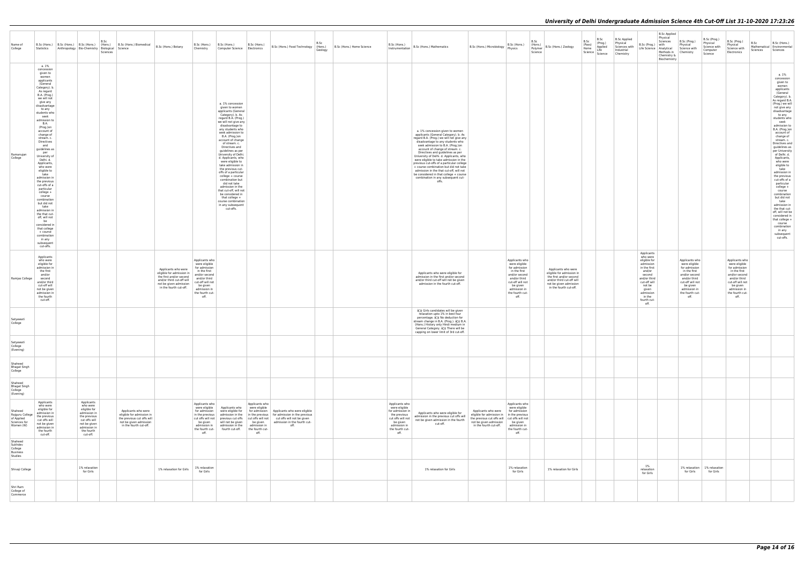| Name of<br>College                                                    |                                                                                                                                                                                                                                                                                                                                                                                                                                                                                                                                                                                                                                                                                               | B.Sc<br>B.Sc (Hons.) B.Sc (Hons.) B.Sc (Hons.) (Hons.)<br>Statistics Anthropology Bio-Chemistry Biological Science<br>Sciences                    | B.Sc (Hons.) Biomedical                                                                                                            | B.Sc (Hons.) Botany                                                                                                                                          | B.Sc (Hons.) B.Sc (Hons.)<br>Chemistry                                                                                                                                       | Computer Science Electronics                                                                                                                                                                                                                                                                                                                                                                                                                                                                                                                                                                                                   | B.Sc (Hons.)                       | B.Sc (Hons.) Food Technology (Hons.)                                                                                                                                                                                           | B.Sc<br>B.Sc (Hons.) Home Science<br>Geology |                                                                                                                                                 | D.JL (HONS.) B.Sc (Hons.) Mathematics                                                                                                                                                                                                                                                                                                                                                                                                                                                                                                                                             | B.Sc (Hons.) Microbiology Physics                                                                                                                                                                          | B.Sc (Hons.)                                                                                                                                                                 | B.Sc<br>(Hons.)<br>Polymer<br>Science | B.Sc (Hons.) Zoology                                                                                                                                         | B.Sc<br>(Pass)<br>Home<br>Science Science | B.Sc<br>(Prog.)<br>Applied<br>Life | B.Sc Applied<br>Physical<br>Sciences with<br>Industrial<br>Chemistry | B.Sc (Prog.) with<br>Life Science   Analytical                                                                                                                                           | B.Sc Applied<br>Physical<br>Sciences<br>Methods in Chemistry<br>Chemistry &<br>Biochemistry | B.Sc (Prog.)<br>Physical<br>Science with                                                                                                                                     | B.Sc (Prog.)<br>Physical<br>Science with<br>Computer<br>Science | B.Sc (Prog.)<br>Physical<br>Science with<br>Electronics                                                                                                                      | B.Sc<br>Sciences | B.Sc (Hons.)<br>Mathematical Environmental<br>Sciences                                                                                                                                                                                                                                                                                                                                                                                                                                                                                                                                                                                                                         |
|-----------------------------------------------------------------------|-----------------------------------------------------------------------------------------------------------------------------------------------------------------------------------------------------------------------------------------------------------------------------------------------------------------------------------------------------------------------------------------------------------------------------------------------------------------------------------------------------------------------------------------------------------------------------------------------------------------------------------------------------------------------------------------------|---------------------------------------------------------------------------------------------------------------------------------------------------|------------------------------------------------------------------------------------------------------------------------------------|--------------------------------------------------------------------------------------------------------------------------------------------------------------|------------------------------------------------------------------------------------------------------------------------------------------------------------------------------|--------------------------------------------------------------------------------------------------------------------------------------------------------------------------------------------------------------------------------------------------------------------------------------------------------------------------------------------------------------------------------------------------------------------------------------------------------------------------------------------------------------------------------------------------------------------------------------------------------------------------------|------------------------------------|--------------------------------------------------------------------------------------------------------------------------------------------------------------------------------------------------------------------------------|----------------------------------------------|-------------------------------------------------------------------------------------------------------------------------------------------------|-----------------------------------------------------------------------------------------------------------------------------------------------------------------------------------------------------------------------------------------------------------------------------------------------------------------------------------------------------------------------------------------------------------------------------------------------------------------------------------------------------------------------------------------------------------------------------------|------------------------------------------------------------------------------------------------------------------------------------------------------------------------------------------------------------|------------------------------------------------------------------------------------------------------------------------------------------------------------------------------|---------------------------------------|--------------------------------------------------------------------------------------------------------------------------------------------------------------|-------------------------------------------|------------------------------------|----------------------------------------------------------------------|------------------------------------------------------------------------------------------------------------------------------------------------------------------------------------------|---------------------------------------------------------------------------------------------|------------------------------------------------------------------------------------------------------------------------------------------------------------------------------|-----------------------------------------------------------------|------------------------------------------------------------------------------------------------------------------------------------------------------------------------------|------------------|--------------------------------------------------------------------------------------------------------------------------------------------------------------------------------------------------------------------------------------------------------------------------------------------------------------------------------------------------------------------------------------------------------------------------------------------------------------------------------------------------------------------------------------------------------------------------------------------------------------------------------------------------------------------------------|
| Ramanujan<br>College                                                  | a. 1%<br>concession<br>given to<br>women<br>applicants<br>(General<br>Category). b.<br>As regard<br>B.A. (Prog.)<br>we will not<br>give any<br>disadvantage<br>to any<br>students who<br>seek<br>admission to<br>B.A.<br>(Prog.)on<br>account of<br>change of<br>stream. c.<br>Directives<br>and<br>guidelines as<br>per<br>University of<br>Delhi. d.<br>Applicants,<br>who were<br>eligible to<br>take<br>admission in<br>the previous<br>cut-offs of a<br>particular<br>college +<br>course<br>combination<br>but did not<br>take<br>admission in<br>the that cut-<br>off, will not<br>be<br>considered in<br>that college<br>+ course<br>combination<br>in any<br>subsequent<br>cut-offs. |                                                                                                                                                   |                                                                                                                                    |                                                                                                                                                              |                                                                                                                                                                              | a. 1% concession<br>given to women<br>applicants (General<br>Category). b. As<br>regard B.A. (Prog.)<br>we will not give any<br>disadvantage to<br>any students who<br>seek admission to<br>B.A. (Prog.)on<br>account of change<br>of stream. c.<br>Directives and<br>guidelines as per<br>University of Delhi.<br>d. Applicants, who<br>were eligible to<br>take admission in<br>the previous cut-<br>offs of a particular<br>college + course<br>combination but<br>did not take<br>admission in the<br>that cut-off, will not<br>be considered in<br>that college +<br>course combination<br>in any subsequent<br>cut-offs. |                                    |                                                                                                                                                                                                                                |                                              |                                                                                                                                                 | a. 1% concession given to women<br>applicants (General Category). b. As<br>regard B.A. (Prog.) we will not give any<br>disadvantage to any students who<br>seek admission to B.A. (Prog.)on<br>account of change of stream. c.<br>Directives and guidelines as per<br>University of Delhi. d. Applicants, who<br>were eligible to take admission in the<br>previous cut-offs of a particular college<br>+ course combination but did not take<br>admission in the that cut-off, will not<br>be considered in that college + course<br>combination in any subsequent cut-<br>offs. |                                                                                                                                                                                                            |                                                                                                                                                                              |                                       |                                                                                                                                                              |                                           |                                    |                                                                      |                                                                                                                                                                                          |                                                                                             |                                                                                                                                                                              |                                                                 |                                                                                                                                                                              |                  | a. 1%<br>concession<br>given to<br>women<br>applicants<br>(General<br>Category). b.<br>As regard B.A.<br>(Prog.) we will<br>not give any<br>disadvantage<br>to any<br>students who<br>seek<br>admission to<br>B.A. (Prog.)on<br>account of<br>change of<br>stream. c.<br>Directives and<br>guidelines as<br>per University<br>of Delhi. d.<br>Applicants,<br>who were<br>eligible to<br>take<br>admission in<br>the previous<br>cut-offs of a<br>particular<br>college +<br>course<br>combination<br>but did not<br>take<br>admission in<br>the that cut-<br>off, will not be<br>considered in<br>that college +<br>course<br>combination<br>in any<br>subsequent<br>cut-offs. |
| Ramjas College                                                        | Applicants<br>who were<br>eligible for<br>admission in<br>the first<br>and/or<br>second<br>and/or third<br>cut-off will<br>not be given<br>admission in<br>the fourth<br>cut-off.                                                                                                                                                                                                                                                                                                                                                                                                                                                                                                             |                                                                                                                                                   |                                                                                                                                    | Applicants who were<br>eligible for admission in<br>the first and/or second<br>and/or third cut-off will<br>not be given admission<br>in the fourth cut-off. | Applicants who<br>were eligible<br>for admission<br>in the first<br>and/or second<br>and/or third<br>cut-off will not<br>be given<br>admission in<br>the fourth cut-<br>off. |                                                                                                                                                                                                                                                                                                                                                                                                                                                                                                                                                                                                                                |                                    |                                                                                                                                                                                                                                |                                              |                                                                                                                                                 | Applicants who were eligible for<br>admission in the first and/or second<br>and/or third cut-off will not be given<br>admission in the fourth cut-off.                                                                                                                                                                                                                                                                                                                                                                                                                            |                                                                                                                                                                                                            | Applicants who<br>were eligible<br>for admission<br>in the first<br>and/or second<br>and/or third<br>cut-off will not<br>be given<br>admission in<br>the fourth cut-<br>off. |                                       | Applicants who were<br>eligible for admission in<br>the first and/or second<br>and/or third cut-off will<br>not be given admission<br>in the fourth cut-off. |                                           |                                    |                                                                      | Applicants<br>who were<br>eligible for<br>admission<br>in the first<br>and/or<br>second<br>and/or third<br>cut-off will<br>not be<br>given<br>admission<br>in the<br>fourth cut-<br>off. |                                                                                             | Applicants who<br>were eligible<br>for admission<br>in the first<br>and/or second<br>and/or third<br>cut-off will not<br>be given<br>admission in<br>the fourth cut-<br>off. |                                                                 | Applicants who<br>were eligible<br>for admission<br>in the first<br>and/or second<br>and/or third<br>cut-off will not<br>be given<br>admission in<br>the fourth cut-<br>off. |                  |                                                                                                                                                                                                                                                                                                                                                                                                                                                                                                                                                                                                                                                                                |
| Satyawati<br>College                                                  |                                                                                                                                                                                                                                                                                                                                                                                                                                                                                                                                                                                                                                                                                               |                                                                                                                                                   |                                                                                                                                    |                                                                                                                                                              |                                                                                                                                                                              |                                                                                                                                                                                                                                                                                                                                                                                                                                                                                                                                                                                                                                |                                    |                                                                                                                                                                                                                                |                                              |                                                                                                                                                 | â[]¢ Girls candidates will be given<br>relaxation upto 1% in best four<br>percentage. â[c No deduction for<br>stream change in B.A. (Prog.). â[]¢ B.A.<br>(Hons.) History only Hindi medium in<br>General Category. â[]¢ There will be<br>capping on lower limit of 3rd cut-off.                                                                                                                                                                                                                                                                                                  |                                                                                                                                                                                                            |                                                                                                                                                                              |                                       |                                                                                                                                                              |                                           |                                    |                                                                      |                                                                                                                                                                                          |                                                                                             |                                                                                                                                                                              |                                                                 |                                                                                                                                                                              |                  |                                                                                                                                                                                                                                                                                                                                                                                                                                                                                                                                                                                                                                                                                |
| Satyawati<br>College<br>(Evening)                                     |                                                                                                                                                                                                                                                                                                                                                                                                                                                                                                                                                                                                                                                                                               |                                                                                                                                                   |                                                                                                                                    |                                                                                                                                                              |                                                                                                                                                                              |                                                                                                                                                                                                                                                                                                                                                                                                                                                                                                                                                                                                                                |                                    |                                                                                                                                                                                                                                |                                              |                                                                                                                                                 |                                                                                                                                                                                                                                                                                                                                                                                                                                                                                                                                                                                   |                                                                                                                                                                                                            |                                                                                                                                                                              |                                       |                                                                                                                                                              |                                           |                                    |                                                                      |                                                                                                                                                                                          |                                                                                             |                                                                                                                                                                              |                                                                 |                                                                                                                                                                              |                  |                                                                                                                                                                                                                                                                                                                                                                                                                                                                                                                                                                                                                                                                                |
| Shaheed<br><b>Bhagat Singh</b><br>College                             |                                                                                                                                                                                                                                                                                                                                                                                                                                                                                                                                                                                                                                                                                               |                                                                                                                                                   |                                                                                                                                    |                                                                                                                                                              |                                                                                                                                                                              |                                                                                                                                                                                                                                                                                                                                                                                                                                                                                                                                                                                                                                |                                    |                                                                                                                                                                                                                                |                                              |                                                                                                                                                 |                                                                                                                                                                                                                                                                                                                                                                                                                                                                                                                                                                                   |                                                                                                                                                                                                            |                                                                                                                                                                              |                                       |                                                                                                                                                              |                                           |                                    |                                                                      |                                                                                                                                                                                          |                                                                                             |                                                                                                                                                                              |                                                                 |                                                                                                                                                                              |                  |                                                                                                                                                                                                                                                                                                                                                                                                                                                                                                                                                                                                                                                                                |
| Shaheed<br><b>Bhagat Singh</b><br>College<br>(Evening)                |                                                                                                                                                                                                                                                                                                                                                                                                                                                                                                                                                                                                                                                                                               |                                                                                                                                                   |                                                                                                                                    |                                                                                                                                                              |                                                                                                                                                                              |                                                                                                                                                                                                                                                                                                                                                                                                                                                                                                                                                                                                                                |                                    |                                                                                                                                                                                                                                |                                              |                                                                                                                                                 |                                                                                                                                                                                                                                                                                                                                                                                                                                                                                                                                                                                   |                                                                                                                                                                                                            |                                                                                                                                                                              |                                       |                                                                                                                                                              |                                           |                                    |                                                                      |                                                                                                                                                                                          |                                                                                             |                                                                                                                                                                              |                                                                 |                                                                                                                                                                              |                  |                                                                                                                                                                                                                                                                                                                                                                                                                                                                                                                                                                                                                                                                                |
| Shaheed<br>Rajguru College<br>of Applied<br>Sciences for<br>Women (W) | Applicants<br>who were<br>eligible for<br>admission in<br>the previous<br>cut offs will<br>not be given<br>admission in<br>the fourth<br>cut-off.                                                                                                                                                                                                                                                                                                                                                                                                                                                                                                                                             | Applicants<br>who were<br>eligible for<br>admission in<br>the previous<br>cut offs will<br>not be given<br>admission in<br>the fourth<br>cut-off. | Applicants who were<br>eligible for admission in<br>the previous cut offs will<br>not be given admission<br>in the fourth cut-off. |                                                                                                                                                              | Applicants who<br>for admission<br>in the previous<br>be given<br>admission in<br>the fourth cut-<br>off.                                                                    | were eligible   Applicants who   were eligible<br>cut offs will not previous cut offs<br>will not be given<br>admission in the admission in<br>fourth cut-off.   the fourth cut-                                                                                                                                                                                                                                                                                                                                                                                                                                               | Applicants who<br>be given<br>off. | were eligible for   for admission   Applicants who were eligible<br>admission in the   in the previous   for admission in the previous<br>cut offs will not cut offs will not be given<br>admission in the fourth cut-<br>off. |                                              | Applicants who<br>were eligible<br>for admission in<br>the previous<br>cut offs will not<br>be given<br>admission in<br>the fourth cut-<br>off. | Applicants who were eligible for<br>admission in the previous cut offs will<br>not be given admission in the fourth<br>cut-off.                                                                                                                                                                                                                                                                                                                                                                                                                                                   | Applicants who were for admission<br>eligible for admission in   in the previous<br>the previous cut offs will cut offs will not<br>not be given admission be given<br>in the fourth cut-off. admission in | Applicants who<br>were eligible<br>the fourth cut-<br>off.                                                                                                                   |                                       |                                                                                                                                                              |                                           |                                    |                                                                      |                                                                                                                                                                                          |                                                                                             |                                                                                                                                                                              |                                                                 |                                                                                                                                                                              |                  |                                                                                                                                                                                                                                                                                                                                                                                                                                                                                                                                                                                                                                                                                |
| Shaheed<br>Sukhdev<br>College<br>Business<br>Studies                  |                                                                                                                                                                                                                                                                                                                                                                                                                                                                                                                                                                                                                                                                                               |                                                                                                                                                   |                                                                                                                                    |                                                                                                                                                              |                                                                                                                                                                              |                                                                                                                                                                                                                                                                                                                                                                                                                                                                                                                                                                                                                                |                                    |                                                                                                                                                                                                                                |                                              |                                                                                                                                                 |                                                                                                                                                                                                                                                                                                                                                                                                                                                                                                                                                                                   |                                                                                                                                                                                                            |                                                                                                                                                                              |                                       |                                                                                                                                                              |                                           |                                    |                                                                      |                                                                                                                                                                                          |                                                                                             |                                                                                                                                                                              |                                                                 |                                                                                                                                                                              |                  |                                                                                                                                                                                                                                                                                                                                                                                                                                                                                                                                                                                                                                                                                |
| Shivaji College                                                       |                                                                                                                                                                                                                                                                                                                                                                                                                                                                                                                                                                                                                                                                                               | 1% relaxation<br>for Girls                                                                                                                        |                                                                                                                                    | 1% relaxation for Girls                                                                                                                                      | 1% relaxation<br>for Girls                                                                                                                                                   |                                                                                                                                                                                                                                                                                                                                                                                                                                                                                                                                                                                                                                |                                    |                                                                                                                                                                                                                                |                                              |                                                                                                                                                 | 1% relaxation for Girls                                                                                                                                                                                                                                                                                                                                                                                                                                                                                                                                                           |                                                                                                                                                                                                            | 1% relaxation<br>for Girls                                                                                                                                                   |                                       | 1% relaxation for Girls                                                                                                                                      |                                           |                                    |                                                                      | 1%<br>relaxation<br>for Girls                                                                                                                                                            |                                                                                             | for Girls                                                                                                                                                                    | 1% relaxation   1% relaxation<br>for Girls                      |                                                                                                                                                                              |                  |                                                                                                                                                                                                                                                                                                                                                                                                                                                                                                                                                                                                                                                                                |
| Shri Ram<br>College of<br>Commerce                                    |                                                                                                                                                                                                                                                                                                                                                                                                                                                                                                                                                                                                                                                                                               |                                                                                                                                                   |                                                                                                                                    |                                                                                                                                                              |                                                                                                                                                                              |                                                                                                                                                                                                                                                                                                                                                                                                                                                                                                                                                                                                                                |                                    |                                                                                                                                                                                                                                |                                              |                                                                                                                                                 |                                                                                                                                                                                                                                                                                                                                                                                                                                                                                                                                                                                   |                                                                                                                                                                                                            |                                                                                                                                                                              |                                       |                                                                                                                                                              |                                           |                                    |                                                                      |                                                                                                                                                                                          |                                                                                             |                                                                                                                                                                              |                                                                 |                                                                                                                                                                              |                  |                                                                                                                                                                                                                                                                                                                                                                                                                                                                                                                                                                                                                                                                                |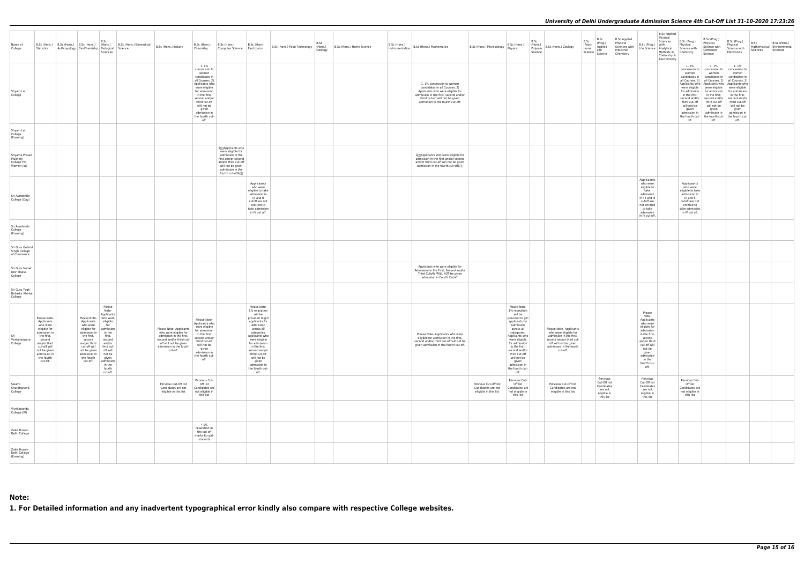| Name of<br>College                                    |                                                                                                                                                                                          | B.Sc (Hons.) B.Sc (Hons.) B.Sc (Hons.) (Hons.) B.Sc (Hons.) Biomedical B.Sc (Hons.) Botany<br>Statistics Anthropology Bio-Chemistry Biological Science                                                                                            | B.Sc<br>Sciences                                                                                                                |                                                                                                                                                                                                                                                                 | B.Sc (Hons.) B.Sc (Hons.)<br>Chemistry                                                                                                                                                                                                       | B.Sc (Hons.)<br>Computer Science   Electronics                                                                                                                                                                                                                                                     | B.Sc<br>B.Sc (Hons.) Food Technology (Hons.)<br>Geology | B.Sc (Hons.) Home Science | D.JL (HONS.) B.Sc (Hons.) Mathematics                                                                                                                                                                         | B.Sc (Hons.) Microbiology Physics                                    | B.Sc (Hons.)                                                                                                                                                                                                                                                                                       | B.Sc<br>(Hons.)<br>Polymer<br>Science | B.Sc (Hons.) Zoology                                                                                                                                                    | B.Sc<br>(Pass)<br>Home | B.Sc<br>(Prog.)<br>Applied<br>Science Science                                 | <b>B.Sc Applied</b><br>Physical<br>Sciences with<br>Industrial<br>Chemistry | B.Sc (Prog.) with                                                                                                                                                                                  | <b>B.Sc Applied</b><br>Physical<br>Sciences<br>Physical<br>Life Science Analytical Science with<br>Methods in Chemistry<br>Chemistry &<br>Biochemistry | B.Sc (Prog.)                                                                                                                                     | B.Sc (Prog.)<br>Physical<br>Science with<br>Computer<br>Science                                                                                                                                | B.Sc (Prog.)<br>Physical<br>Science with<br>Electronics                                                                                                                                                                                                                                                                                                                                                                                            | B.Sc<br>Sciences | B.Sc (Hons.)<br>Mathematical Environmental<br>Sciences |
|-------------------------------------------------------|------------------------------------------------------------------------------------------------------------------------------------------------------------------------------------------|---------------------------------------------------------------------------------------------------------------------------------------------------------------------------------------------------------------------------------------------------|---------------------------------------------------------------------------------------------------------------------------------|-----------------------------------------------------------------------------------------------------------------------------------------------------------------------------------------------------------------------------------------------------------------|----------------------------------------------------------------------------------------------------------------------------------------------------------------------------------------------------------------------------------------------|----------------------------------------------------------------------------------------------------------------------------------------------------------------------------------------------------------------------------------------------------------------------------------------------------|---------------------------------------------------------|---------------------------|---------------------------------------------------------------------------------------------------------------------------------------------------------------------------------------------------------------|----------------------------------------------------------------------|----------------------------------------------------------------------------------------------------------------------------------------------------------------------------------------------------------------------------------------------------------------------------------------------------|---------------------------------------|-------------------------------------------------------------------------------------------------------------------------------------------------------------------------|------------------------|-------------------------------------------------------------------------------|-----------------------------------------------------------------------------|----------------------------------------------------------------------------------------------------------------------------------------------------------------------------------------------------|--------------------------------------------------------------------------------------------------------------------------------------------------------|--------------------------------------------------------------------------------------------------------------------------------------------------|------------------------------------------------------------------------------------------------------------------------------------------------------------------------------------------------|----------------------------------------------------------------------------------------------------------------------------------------------------------------------------------------------------------------------------------------------------------------------------------------------------------------------------------------------------------------------------------------------------------------------------------------------------|------------------|--------------------------------------------------------|
| Shyam Lal<br>College                                  |                                                                                                                                                                                          |                                                                                                                                                                                                                                                   |                                                                                                                                 |                                                                                                                                                                                                                                                                 | 1.1%<br>concession to<br>women<br>candidates in<br>all Courses. 2)<br>Applicants who<br>were eligible<br>for admission<br>in the first,<br>second and/or<br>third cut-off<br>will not be<br>given<br>admission in<br>the fourth cut-<br>off. |                                                                                                                                                                                                                                                                                                    |                                                         |                           | 1.1% concession to women<br>candidates in all Courses. 2)<br>Applicants who were eligible for<br>admission in the first, second and/or<br>third cut-off will not be given<br>admission in the fourth cut-off. |                                                                      |                                                                                                                                                                                                                                                                                                    |                                       |                                                                                                                                                                         |                        |                                                                               |                                                                             |                                                                                                                                                                                                    |                                                                                                                                                        | 1.1%<br>women<br>third cut-off<br>will not be<br>given<br>off.                                                                                   | 1.1%<br>concession to concession to<br>women<br>were eligible   were eligible<br>in the first, in the first,<br>third cut-off<br>will not be<br>given<br>admission in   admission in  <br>off. | 1.1%<br>concession to<br>women<br>candidates in   candidates in   candidates in<br>all Courses. 2)   all Courses. 2)   all Courses. 2)<br>Applicants who   Applicants who   Applicants who<br>were eligible<br>for admission   for admission   for admission<br>in the first,<br>second and/or   second and/or   second and/or<br>third cut-off<br>will not be<br>given<br>admission in<br>the fourth cut- the fourth cut- the fourth cut-<br>off. |                  |                                                        |
| Shyam Lal<br>College<br>(Evening)                     |                                                                                                                                                                                          |                                                                                                                                                                                                                                                   |                                                                                                                                 |                                                                                                                                                                                                                                                                 |                                                                                                                                                                                                                                              |                                                                                                                                                                                                                                                                                                    |                                                         |                           |                                                                                                                                                                                                               |                                                                      |                                                                                                                                                                                                                                                                                                    |                                       |                                                                                                                                                                         |                        |                                                                               |                                                                             |                                                                                                                                                                                                    |                                                                                                                                                        |                                                                                                                                                  |                                                                                                                                                                                                |                                                                                                                                                                                                                                                                                                                                                                                                                                                    |                  |                                                        |
| Shyama Prasad<br>Mukherji<br>College For<br>Women (W) |                                                                                                                                                                                          |                                                                                                                                                                                                                                                   |                                                                                                                                 |                                                                                                                                                                                                                                                                 |                                                                                                                                                                                                                                              | â∏]Applicants who<br>were eligible for<br>admission in the<br>first and/or second<br>and/or third cut-off<br>will not be given<br>admission in the<br>fourth cut-offâ[][]                                                                                                                          |                                                         |                           | â□ Applicants who were eligible for<br>admission in the first and/or second<br>and/or third cut-off will not be given<br>admission in the fourth cut-offar                                                    |                                                                      |                                                                                                                                                                                                                                                                                                    |                                       |                                                                                                                                                                         |                        |                                                                               |                                                                             |                                                                                                                                                                                                    |                                                                                                                                                        |                                                                                                                                                  |                                                                                                                                                                                                |                                                                                                                                                                                                                                                                                                                                                                                                                                                    |                  |                                                        |
| Sri Aurobindo<br>College (Day)                        |                                                                                                                                                                                          |                                                                                                                                                                                                                                                   |                                                                                                                                 |                                                                                                                                                                                                                                                                 |                                                                                                                                                                                                                                              | Applicaants<br>who were<br>eligible to take<br>admission in<br>I,II and III<br>cutoff are not<br>entitled to<br>take admission<br>in IV cut off.                                                                                                                                                   |                                                         |                           |                                                                                                                                                                                                               |                                                                      |                                                                                                                                                                                                                                                                                                    |                                       |                                                                                                                                                                         |                        |                                                                               |                                                                             | Applicaants<br>who were<br>eligible to<br>take<br>admission<br>in I,II and III<br>cutoff are<br>not entitled<br>to take<br>admission<br>in IV cut off.                                             |                                                                                                                                                        | Applicaants<br>who were<br>eligible to take<br>admission in<br>I,II and III<br>cutoff are not<br>entitled to<br>take admission<br>in IV cut off. |                                                                                                                                                                                                |                                                                                                                                                                                                                                                                                                                                                                                                                                                    |                  |                                                        |
| Sri Aurobindo<br>College<br>(Evening)                 |                                                                                                                                                                                          |                                                                                                                                                                                                                                                   |                                                                                                                                 |                                                                                                                                                                                                                                                                 |                                                                                                                                                                                                                                              |                                                                                                                                                                                                                                                                                                    |                                                         |                           |                                                                                                                                                                                                               |                                                                      |                                                                                                                                                                                                                                                                                                    |                                       |                                                                                                                                                                         |                        |                                                                               |                                                                             |                                                                                                                                                                                                    |                                                                                                                                                        |                                                                                                                                                  |                                                                                                                                                                                                |                                                                                                                                                                                                                                                                                                                                                                                                                                                    |                  |                                                        |
| Sri Guru Gobind<br>Singh College<br>of Commerce       |                                                                                                                                                                                          |                                                                                                                                                                                                                                                   |                                                                                                                                 |                                                                                                                                                                                                                                                                 |                                                                                                                                                                                                                                              |                                                                                                                                                                                                                                                                                                    |                                                         |                           |                                                                                                                                                                                                               |                                                                      |                                                                                                                                                                                                                                                                                                    |                                       |                                                                                                                                                                         |                        |                                                                               |                                                                             |                                                                                                                                                                                                    |                                                                                                                                                        |                                                                                                                                                  |                                                                                                                                                                                                |                                                                                                                                                                                                                                                                                                                                                                                                                                                    |                  |                                                        |
| Sri Guru Nanak<br>Dev Khalsa<br>College               |                                                                                                                                                                                          |                                                                                                                                                                                                                                                   |                                                                                                                                 |                                                                                                                                                                                                                                                                 |                                                                                                                                                                                                                                              |                                                                                                                                                                                                                                                                                                    |                                                         |                           | Applicants who were eligible for<br>Admission in the First, Second and/or<br>Third Cutoffs WILL NOT be given<br>admission in Fourth Cutoff.                                                                   |                                                                      |                                                                                                                                                                                                                                                                                                    |                                       |                                                                                                                                                                         |                        |                                                                               |                                                                             |                                                                                                                                                                                                    |                                                                                                                                                        |                                                                                                                                                  |                                                                                                                                                                                                |                                                                                                                                                                                                                                                                                                                                                                                                                                                    |                  |                                                        |
| Sri Guru Tegh<br>Bahadur Khalsa<br>College            |                                                                                                                                                                                          |                                                                                                                                                                                                                                                   |                                                                                                                                 |                                                                                                                                                                                                                                                                 |                                                                                                                                                                                                                                              |                                                                                                                                                                                                                                                                                                    |                                                         |                           |                                                                                                                                                                                                               |                                                                      |                                                                                                                                                                                                                                                                                                    |                                       |                                                                                                                                                                         |                        |                                                                               |                                                                             |                                                                                                                                                                                                    |                                                                                                                                                        |                                                                                                                                                  |                                                                                                                                                                                                |                                                                                                                                                                                                                                                                                                                                                                                                                                                    |                  |                                                        |
| Sri<br>Venketeswara<br>College                        | Please Note-<br>Applicants<br>who were<br>eligible for<br>admission in<br>the first,<br>second<br>and/or third<br>cut-off will<br>not be given<br>admission in<br>the fourth<br>cut-off. | Please Note- who were<br>Applicants<br>who were<br>eligible for admission<br>admission in   in the<br>the first,<br>second<br>and/or third and/or<br>cut-off will<br>not be given off will<br>admission in not be<br>the fourth given<br>cut-off. | Please<br>Note-<br>Applicants<br>eligible<br>for<br>first,<br>second<br>third cut-<br>admission<br>in the<br>fourth<br>cut-off. | Please Note-Applicants $\left  \begin{array}{c} \text{were cusued} \\ \text{for admission} \end{array} \right $<br>who were eligible for<br>admission in the first,<br>second and/or third cut-<br>off will not be given<br>admission in the fourth<br>cut-off. | Please Note-<br>Applicants who<br>in the first,<br>second and/or<br>third cut-off<br>will not be<br>given<br>admission in<br>the fourth cut-<br>off.                                                                                         | Please Note-<br>1% relaxation<br>will be<br>provided to girl<br>applicants for<br>Admission<br>across all<br>categories.<br>Applicants who<br>were eligible<br>for admission<br>in the first,<br>second and/or<br>third cut-off<br>will not be<br>given<br>admission in<br>the fourth cut-<br>off. |                                                         |                           | Please Note- Applicants who were<br>eligible for admission in the first,<br>second and/or third cut-off will not be<br>given admission in the fourth cut-off.                                                 |                                                                      | Please Note-<br>1% relaxation<br>will be<br>provided to girl<br>applicants for<br>Admission<br>across all<br>categories.<br>Applicants who<br>were eligible<br>for admission<br>in the first,<br>second and/or<br>third cut-off<br>will not be<br>given<br>admission in<br>the fourth cut-<br>off. |                                       | Please Note- Applicants<br>who were eligible for<br>admission in the first,<br>second and/or third cut-<br>off will not be given<br>admission in the fourth<br>cut-off. |                        |                                                                               |                                                                             | Please<br>Note-<br>Applicants<br>who were<br>eligible for<br>admission<br>in the first,<br>second<br>and/or third<br>cut-off will<br>not be<br>given<br>admission<br>in the<br>fourth cut-<br>off. |                                                                                                                                                        |                                                                                                                                                  |                                                                                                                                                                                                |                                                                                                                                                                                                                                                                                                                                                                                                                                                    |                  |                                                        |
| Swami<br>Shardhanand<br>College                       |                                                                                                                                                                                          |                                                                                                                                                                                                                                                   |                                                                                                                                 | Pervious Cut-Off list<br>Candidates are not<br>eligible in this list                                                                                                                                                                                            | Pervious Cut-<br>Off list<br>Candidates are<br>not eligible in<br>this list                                                                                                                                                                  |                                                                                                                                                                                                                                                                                                    |                                                         |                           |                                                                                                                                                                                                               | Pervious Cut-Off list<br>Candidates are not<br>eligible in this list | Pervious Cut-<br>Off list<br>Candidates are<br>not eligible in<br>this list                                                                                                                                                                                                                        |                                       | Pervious Cut-Off list<br>Candidates are not<br>eligible in this list                                                                                                    |                        | Pervious<br>Cut-Off list<br>Candidates<br>are not<br>eligible in<br>this list |                                                                             | Pervious<br>Cut-Off list<br>Candidates<br>are not<br>eligible in<br>this list                                                                                                                      |                                                                                                                                                        | Pervious Cut-<br>Off list<br>Candidates are<br>not eligible in<br>this list                                                                      |                                                                                                                                                                                                |                                                                                                                                                                                                                                                                                                                                                                                                                                                    |                  |                                                        |
| Vivekananda<br>College (W)                            |                                                                                                                                                                                          |                                                                                                                                                                                                                                                   |                                                                                                                                 |                                                                                                                                                                                                                                                                 |                                                                                                                                                                                                                                              |                                                                                                                                                                                                                                                                                                    |                                                         |                           |                                                                                                                                                                                                               |                                                                      |                                                                                                                                                                                                                                                                                                    |                                       |                                                                                                                                                                         |                        |                                                                               |                                                                             |                                                                                                                                                                                                    |                                                                                                                                                        |                                                                                                                                                  |                                                                                                                                                                                                |                                                                                                                                                                                                                                                                                                                                                                                                                                                    |                  |                                                        |
| Zakir Husain<br>Delhi College                         |                                                                                                                                                                                          |                                                                                                                                                                                                                                                   |                                                                                                                                 |                                                                                                                                                                                                                                                                 | $*1%$<br>relaxation in<br>the cut-off<br>marks for girl-<br>students                                                                                                                                                                         |                                                                                                                                                                                                                                                                                                    |                                                         |                           |                                                                                                                                                                                                               |                                                                      |                                                                                                                                                                                                                                                                                                    |                                       |                                                                                                                                                                         |                        |                                                                               |                                                                             |                                                                                                                                                                                                    |                                                                                                                                                        |                                                                                                                                                  |                                                                                                                                                                                                |                                                                                                                                                                                                                                                                                                                                                                                                                                                    |                  |                                                        |
| Zakir Husain<br>Delhi College<br>(Evening)            |                                                                                                                                                                                          |                                                                                                                                                                                                                                                   |                                                                                                                                 |                                                                                                                                                                                                                                                                 |                                                                                                                                                                                                                                              |                                                                                                                                                                                                                                                                                                    |                                                         |                           |                                                                                                                                                                                                               |                                                                      |                                                                                                                                                                                                                                                                                                    |                                       |                                                                                                                                                                         |                        |                                                                               |                                                                             |                                                                                                                                                                                                    |                                                                                                                                                        |                                                                                                                                                  |                                                                                                                                                                                                |                                                                                                                                                                                                                                                                                                                                                                                                                                                    |                  |                                                        |

## **Note:**

**1. For Detailed information and any inadvertent typographical error kindly also compare with respective College websites.**